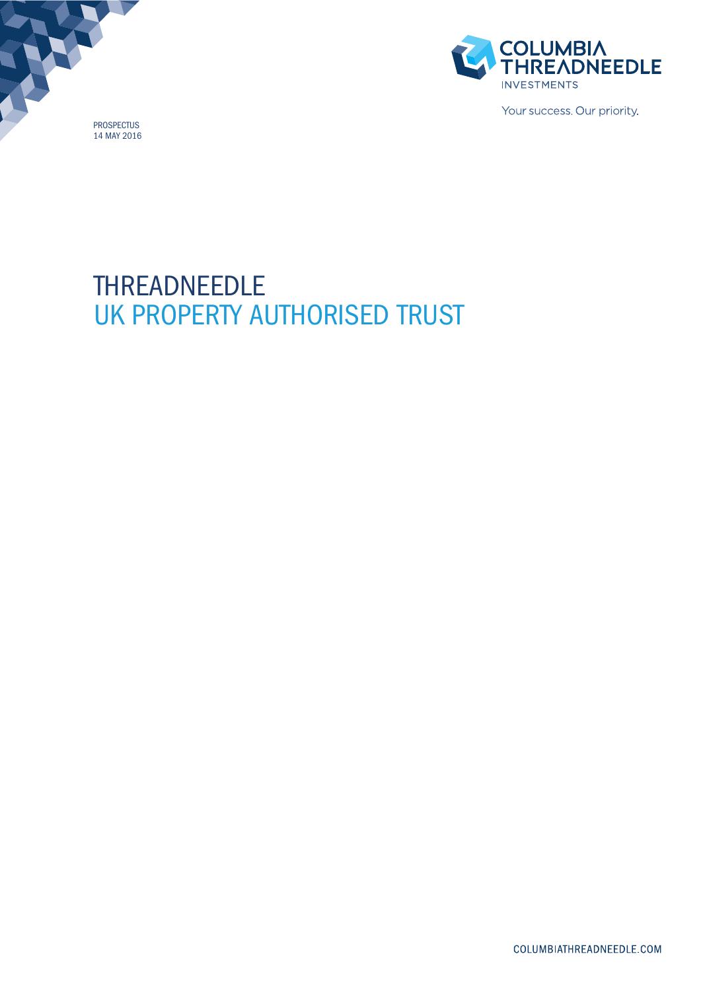



Your success. Our priority.

# THREADNEEDLE UK PROPERTY AUTHORISED TRUST

COLUMBIATHREADNEEDLE.COM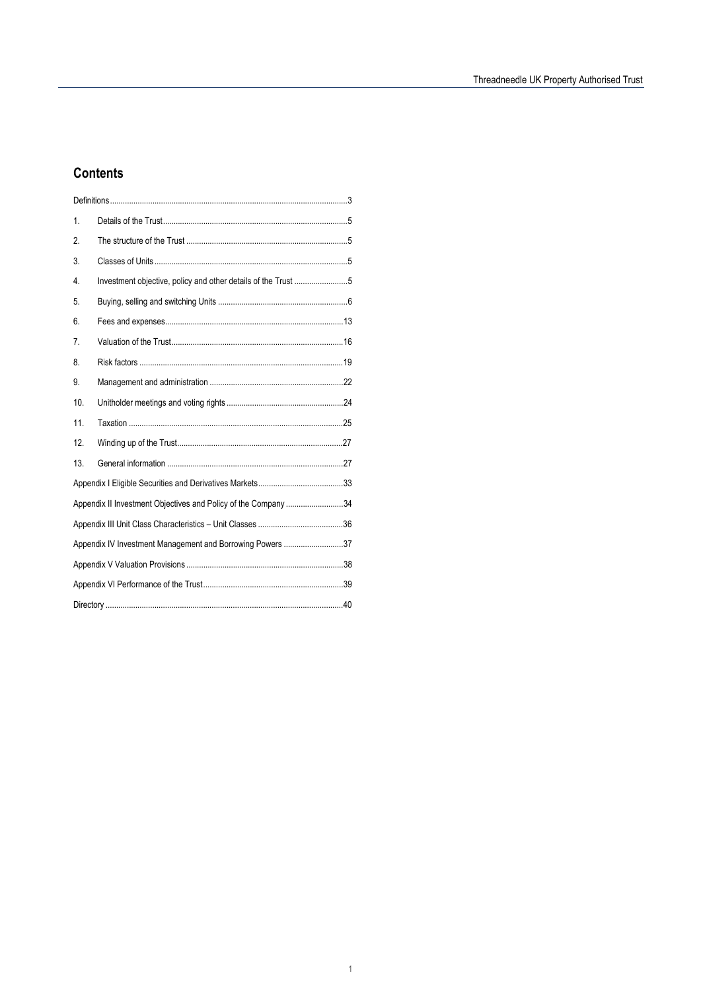## **Contents**

| 1.                                                             |                                                               |  |
|----------------------------------------------------------------|---------------------------------------------------------------|--|
| 2.                                                             |                                                               |  |
| 3.                                                             |                                                               |  |
| 4.                                                             | Investment objective, policy and other details of the Trust 5 |  |
| 5.                                                             |                                                               |  |
| 6.                                                             |                                                               |  |
| 7.                                                             |                                                               |  |
| 8.                                                             |                                                               |  |
| 9.                                                             |                                                               |  |
| 10.                                                            |                                                               |  |
| 11.                                                            |                                                               |  |
| 12.                                                            |                                                               |  |
| 13.                                                            |                                                               |  |
|                                                                |                                                               |  |
| Appendix II Investment Objectives and Policy of the Company 34 |                                                               |  |
|                                                                |                                                               |  |
| Appendix IV Investment Management and Borrowing Powers 37      |                                                               |  |
|                                                                |                                                               |  |
|                                                                |                                                               |  |
|                                                                |                                                               |  |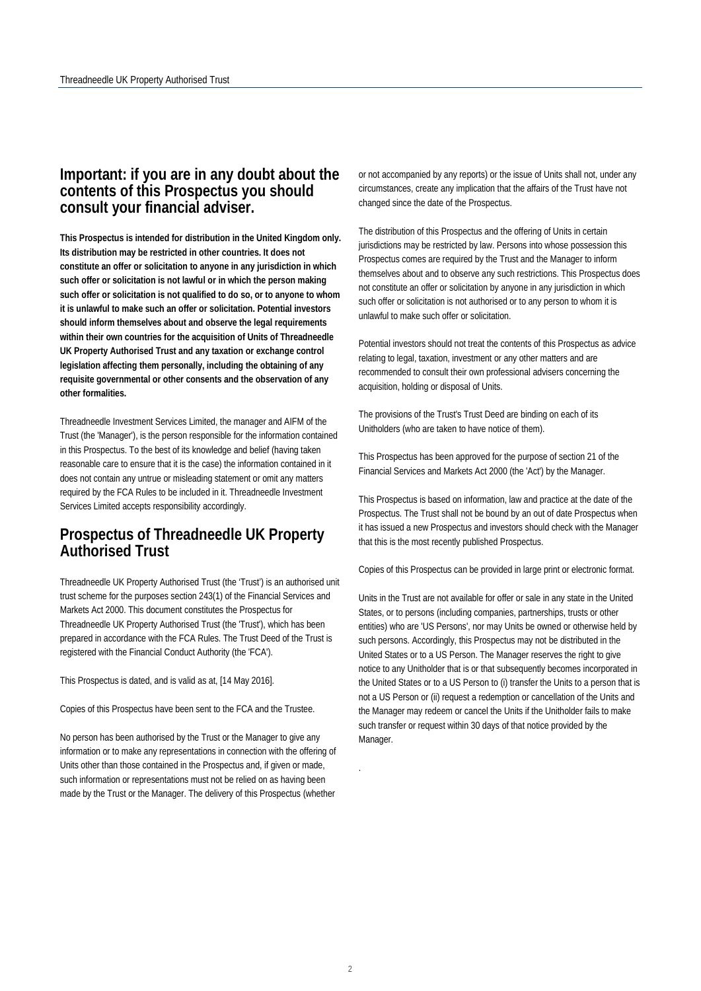## **Important: if you are in any doubt about the contents of this Prospectus you should consult your financial adviser.**

**This Prospectus is intended for distribution in the United Kingdom only. Its distribution may be restricted in other countries. It does not constitute an offer or solicitation to anyone in any jurisdiction in which such offer or solicitation is not lawful or in which the person making such offer or solicitation is not qualified to do so, or to anyone to whom it is unlawful to make such an offer or solicitation. Potential investors should inform themselves about and observe the legal requirements within their own countries for the acquisition of Units of Threadneedle UK Property Authorised Trust and any taxation or exchange control legislation affecting them personally, including the obtaining of any requisite governmental or other consents and the observation of any other formalities.** 

Threadneedle Investment Services Limited, the manager and AIFM of the Trust (the 'Manager'), is the person responsible for the information contained in this Prospectus. To the best of its knowledge and belief (having taken reasonable care to ensure that it is the case) the information contained in it does not contain any untrue or misleading statement or omit any matters required by the FCA Rules to be included in it. Threadneedle Investment Services Limited accepts responsibility accordingly.

## **Prospectus of Threadneedle UK Property Authorised Trust**

Threadneedle UK Property Authorised Trust (the 'Trust') is an authorised unit trust scheme for the purposes section 243(1) of the Financial Services and Markets Act 2000. This document constitutes the Prospectus for Threadneedle UK Property Authorised Trust (the 'Trust'), which has been prepared in accordance with the FCA Rules. The Trust Deed of the Trust is registered with the Financial Conduct Authority (the 'FCA').

This Prospectus is dated, and is valid as at, [14 May 2016].

Copies of this Prospectus have been sent to the FCA and the Trustee.

No person has been authorised by the Trust or the Manager to give any information or to make any representations in connection with the offering of Units other than those contained in the Prospectus and, if given or made, such information or representations must not be relied on as having been made by the Trust or the Manager. The delivery of this Prospectus (whether

or not accompanied by any reports) or the issue of Units shall not, under any circumstances, create any implication that the affairs of the Trust have not changed since the date of the Prospectus.

The distribution of this Prospectus and the offering of Units in certain jurisdictions may be restricted by law. Persons into whose possession this Prospectus comes are required by the Trust and the Manager to inform themselves about and to observe any such restrictions. This Prospectus does not constitute an offer or solicitation by anyone in any jurisdiction in which such offer or solicitation is not authorised or to any person to whom it is unlawful to make such offer or solicitation.

Potential investors should not treat the contents of this Prospectus as advice relating to legal, taxation, investment or any other matters and are recommended to consult their own professional advisers concerning the acquisition, holding or disposal of Units.

The provisions of the Trust's Trust Deed are binding on each of its Unitholders (who are taken to have notice of them).

This Prospectus has been approved for the purpose of section 21 of the Financial Services and Markets Act 2000 (the 'Act') by the Manager.

This Prospectus is based on information, law and practice at the date of the Prospectus. The Trust shall not be bound by an out of date Prospectus when it has issued a new Prospectus and investors should check with the Manager that this is the most recently published Prospectus.

Copies of this Prospectus can be provided in large print or electronic format.

Units in the Trust are not available for offer or sale in any state in the United States, or to persons (including companies, partnerships, trusts or other entities) who are 'US Persons', nor may Units be owned or otherwise held by such persons. Accordingly, this Prospectus may not be distributed in the United States or to a US Person. The Manager reserves the right to give notice to any Unitholder that is or that subsequently becomes incorporated in the United States or to a US Person to (i) transfer the Units to a person that is not a US Person or (ii) request a redemption or cancellation of the Units and the Manager may redeem or cancel the Units if the Unitholder fails to make such transfer or request within 30 days of that notice provided by the Manager.

.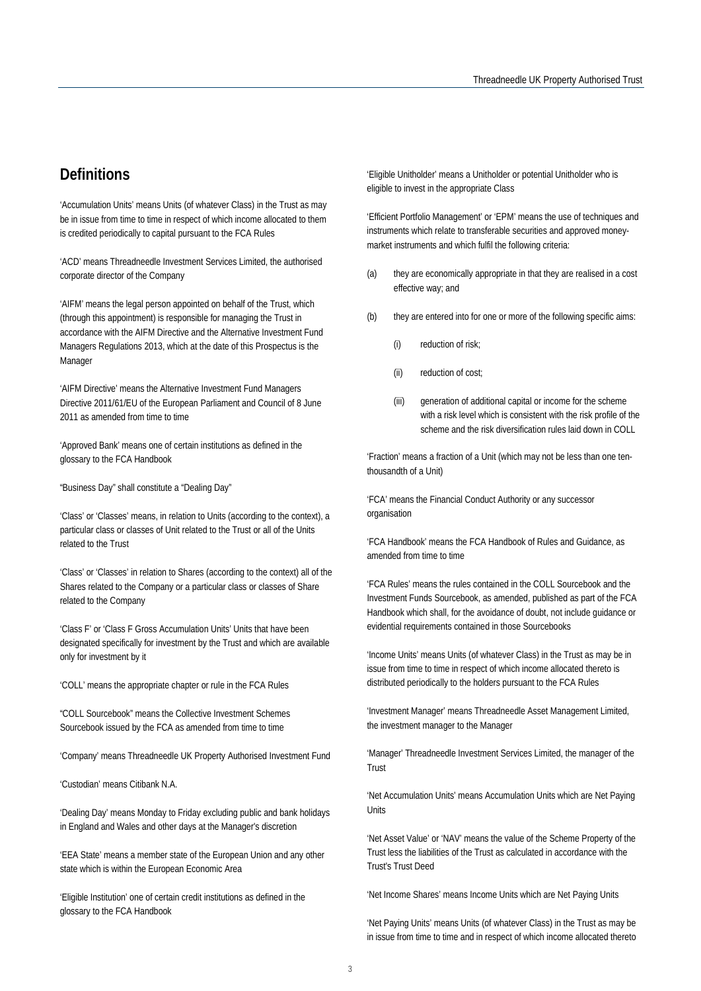## <span id="page-3-0"></span>**Definitions**

'Accumulation Units' means Units (of whatever Class) in the Trust as may be in issue from time to time in respect of which income allocated to them is credited periodically to capital pursuant to the FCA Rules

'ACD' means Threadneedle Investment Services Limited, the authorised corporate director of the Company

'AIFM' means the legal person appointed on behalf of the Trust, which (through this appointment) is responsible for managing the Trust in accordance with the AIFM Directive and the Alternative Investment Fund Managers Regulations 2013, which at the date of this Prospectus is the Manager

'AIFM Directive' means the Alternative Investment Fund Managers Directive 2011/61/EU of the European Parliament and Council of 8 June 2011 as amended from time to time

'Approved Bank' means one of certain institutions as defined in the glossary to the FCA Handbook

"Business Day" shall constitute a "Dealing Day"

'Class' or 'Classes' means, in relation to Units (according to the context), a particular class or classes of Unit related to the Trust or all of the Units related to the Trust

'Class' or 'Classes' in relation to Shares (according to the context) all of the Shares related to the Company or a particular class or classes of Share related to the Company

'Class F' or 'Class F Gross Accumulation Units' Units that have been designated specifically for investment by the Trust and which are available only for investment by it

'COLL' means the appropriate chapter or rule in the FCA Rules

"COLL Sourcebook" means the Collective Investment Schemes Sourcebook issued by the FCA as amended from time to time

'Company' means Threadneedle UK Property Authorised Investment Fund

'Custodian' means Citibank N.A.

'Dealing Day' means Monday to Friday excluding public and bank holidays in England and Wales and other days at the Manager's discretion

'EEA State' means a member state of the European Union and any other state which is within the European Economic Area

'Eligible Institution' one of certain credit institutions as defined in the glossary to the FCA Handbook

'Eligible Unitholder' means a Unitholder or potential Unitholder who is eligible to invest in the appropriate Class

'Efficient Portfolio Management' or 'EPM' means the use of techniques and instruments which relate to transferable securities and approved moneymarket instruments and which fulfil the following criteria:

- (a) they are economically appropriate in that they are realised in a cost effective way; and
- (b) they are entered into for one or more of the following specific aims:
	- (i) reduction of risk;
	- (ii) reduction of cost;
	- (iii) generation of additional capital or income for the scheme with a risk level which is consistent with the risk profile of the scheme and the risk diversification rules laid down in COLL

'Fraction' means a fraction of a Unit (which may not be less than one tenthousandth of a Unit)

'FCA' means the Financial Conduct Authority or any successor organisation

'FCA Handbook' means the FCA Handbook of Rules and Guidance, as amended from time to time

'FCA Rules' means the rules contained in the COLL Sourcebook and the Investment Funds Sourcebook, as amended, published as part of the FCA Handbook which shall, for the avoidance of doubt, not include guidance or evidential requirements contained in those Sourcebooks

'Income Units' means Units (of whatever Class) in the Trust as may be in issue from time to time in respect of which income allocated thereto is distributed periodically to the holders pursuant to the FCA Rules

'Investment Manager' means Threadneedle Asset Management Limited, the investment manager to the Manager

'Manager' Threadneedle Investment Services Limited, the manager of the Trust

'Net Accumulation Units' means Accumulation Units which are Net Paying Units

'Net Asset Value' or 'NAV' means the value of the Scheme Property of the Trust less the liabilities of the Trust as calculated in accordance with the Trust's Trust Deed

'Net Income Shares' means Income Units which are Net Paying Units

'Net Paying Units' means Units (of whatever Class) in the Trust as may be in issue from time to time and in respect of which income allocated thereto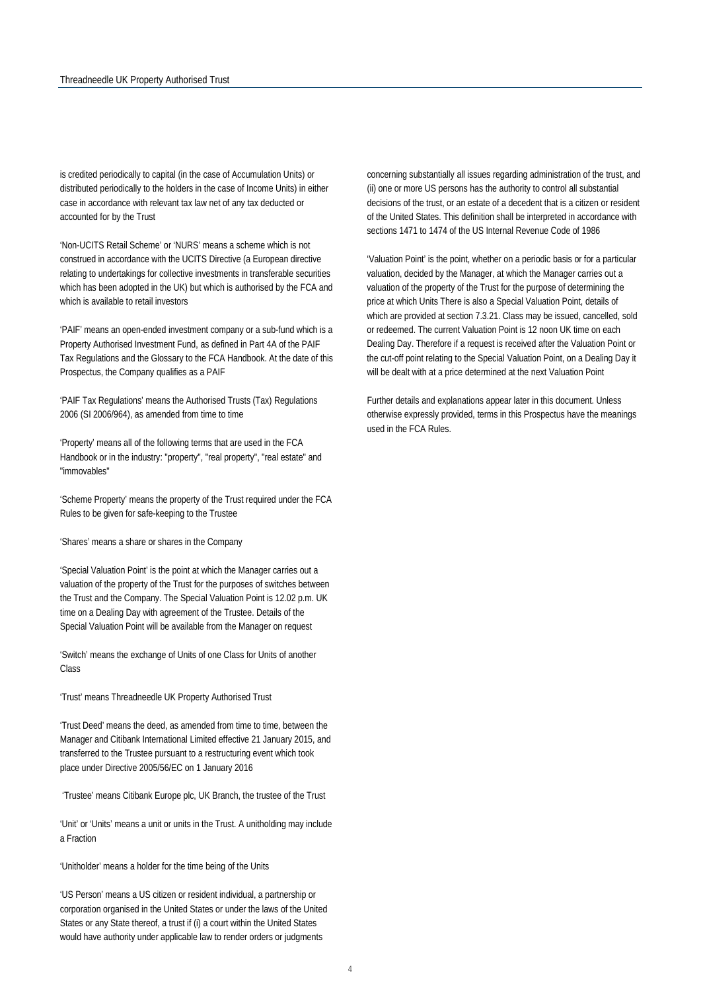is credited periodically to capital (in the case of Accumulation Units) or distributed periodically to the holders in the case of Income Units) in either case in accordance with relevant tax law net of any tax deducted or accounted for by the Trust

'Non-UCITS Retail Scheme' or 'NURS' means a scheme which is not construed in accordance with the UCITS Directive (a European directive relating to undertakings for collective investments in transferable securities which has been adopted in the UK) but which is authorised by the FCA and which is available to retail investors

'PAIF' means an open-ended investment company or a sub-fund which is a Property Authorised Investment Fund, as defined in Part 4A of the PAIF Tax Regulations and the Glossary to the FCA Handbook. At the date of this Prospectus, the Company qualifies as a PAIF

'PAIF Tax Regulations' means the Authorised Trusts (Tax) Regulations 2006 (SI 2006/964), as amended from time to time

'Property' means all of the following terms that are used in the FCA Handbook or in the industry: "property", "real property", "real estate" and "immovables"

'Scheme Property' means the property of the Trust required under the FCA Rules to be given for safe-keeping to the Trustee

'Shares' means a share or shares in the Company

'Special Valuation Point' is the point at which the Manager carries out a valuation of the property of the Trust for the purposes of switches between the Trust and the Company. The Special Valuation Point is 12.02 p.m. UK time on a Dealing Day with agreement of the Trustee. Details of the Special Valuation Point will be available from the Manager on request

'Switch' means the exchange of Units of one Class for Units of another Class

'Trust' means Threadneedle UK Property Authorised Trust

'Trust Deed' means the deed, as amended from time to time, between the Manager and Citibank International Limited effective 21 January 2015, and transferred to the Trustee pursuant to a restructuring event which took place under Directive 2005/56/EC on 1 January 2016

'Trustee' means Citibank Europe plc, UK Branch, the trustee of the Trust

'Unit' or 'Units' means a unit or units in the Trust. A unitholding may include a Fraction

'Unitholder' means a holder for the time being of the Units

'US Person' means a US citizen or resident individual, a partnership or corporation organised in the United States or under the laws of the United States or any State thereof, a trust if (i) a court within the United States would have authority under applicable law to render orders or judgments

concerning substantially all issues regarding administration of the trust, and (ii) one or more US persons has the authority to control all substantial decisions of the trust, or an estate of a decedent that is a citizen or resident of the United States. This definition shall be interpreted in accordance with sections 1471 to 1474 of the US Internal Revenue Code of 1986

'Valuation Point' is the point, whether on a periodic basis or for a particular valuation, decided by the Manager, at which the Manager carries out a valuation of the property of the Trust for the purpose of determining the price at which Units There is also a Special Valuation Point, details of which are provided at section 7.3.21. Class may be issued, cancelled, sold or redeemed. The current Valuation Point is 12 noon UK time on each Dealing Day. Therefore if a request is received after the Valuation Point or the cut-off point relating to the Special Valuation Point, on a Dealing Day it will be dealt with at a price determined at the next Valuation Point

Further details and explanations appear later in this document. Unless otherwise expressly provided, terms in this Prospectus have the meanings used in the FCA Rules.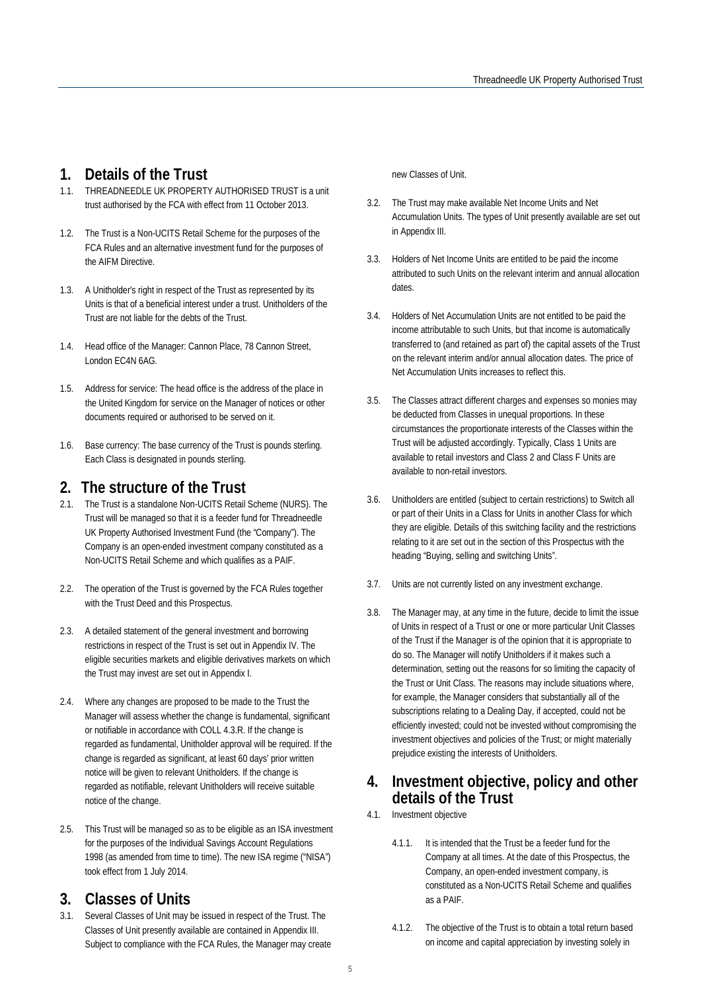## <span id="page-5-0"></span>**1. Details of the Trust**

- 1.1. THREADNEEDLE UK PROPERTY AUTHORISED TRUST is a unit trust authorised by the FCA with effect from 11 October 2013.
- 1.2. The Trust is a Non-UCITS Retail Scheme for the purposes of the FCA Rules and an alternative investment fund for the purposes of the AIFM Directive.
- 1.3. A Unitholder's right in respect of the Trust as represented by its Units is that of a beneficial interest under a trust. Unitholders of the Trust are not liable for the debts of the Trust.
- 1.4. Head office of the Manager: Cannon Place, 78 Cannon Street, London EC4N 6AG.
- 1.5. Address for service: The head office is the address of the place in the United Kingdom for service on the Manager of notices or other documents required or authorised to be served on it.
- 1.6. Base currency: The base currency of the Trust is pounds sterling. Each Class is designated in pounds sterling.

## <span id="page-5-1"></span>**2. The structure of the Trust**

- 2.1. The Trust is a standalone Non-UCITS Retail Scheme (NURS). The Trust will be managed so that it is a feeder fund for Threadneedle UK Property Authorised Investment Fund (the "Company"). The Company is an open-ended investment company constituted as a Non-UCITS Retail Scheme and which qualifies as a PAIF.
- 2.2. The operation of the Trust is governed by the FCA Rules together with the Trust Deed and this Prospectus.
- 2.3. A detailed statement of the general investment and borrowing restrictions in respect of the Trust is set out in Appendix IV. The eligible securities markets and eligible derivatives markets on which the Trust may invest are set out in Appendix I.
- 2.4. Where any changes are proposed to be made to the Trust the Manager will assess whether the change is fundamental, significant or notifiable in accordance with COLL 4.3.R. If the change is regarded as fundamental, Unitholder approval will be required. If the change is regarded as significant, at least 60 days' prior written notice will be given to relevant Unitholders. If the change is regarded as notifiable, relevant Unitholders will receive suitable notice of the change.
- 2.5. This Trust will be managed so as to be eligible as an ISA investment for the purposes of the Individual Savings Account Regulations 1998 (as amended from time to time). The new ISA regime ("NISA") took effect from 1 July 2014.

## <span id="page-5-2"></span>**3. Classes of Units**

3.1. Several Classes of Unit may be issued in respect of the Trust. The Classes of Unit presently available are contained in Appendix III. Subject to compliance with the FCA Rules, the Manager may create new Classes of Unit.

- 3.2. The Trust may make available Net Income Units and Net Accumulation Units. The types of Unit presently available are set out in Appendix III.
- 3.3. Holders of Net Income Units are entitled to be paid the income attributed to such Units on the relevant interim and annual allocation dates.
- 3.4. Holders of Net Accumulation Units are not entitled to be paid the income attributable to such Units, but that income is automatically transferred to (and retained as part of) the capital assets of the Trust on the relevant interim and/or annual allocation dates. The price of Net Accumulation Units increases to reflect this.
- 3.5. The Classes attract different charges and expenses so monies may be deducted from Classes in unequal proportions. In these circumstances the proportionate interests of the Classes within the Trust will be adjusted accordingly. Typically, Class 1 Units are available to retail investors and Class 2 and Class F Units are available to non-retail investors.
- 3.6. Unitholders are entitled (subject to certain restrictions) to Switch all or part of their Units in a Class for Units in another Class for which they are eligible. Details of this switching facility and the restrictions relating to it are set out in the section of this Prospectus with the heading "Buying, selling and switching Units".
- 3.7. Units are not currently listed on any investment exchange.
- 3.8. The Manager may, at any time in the future, decide to limit the issue of Units in respect of a Trust or one or more particular Unit Classes of the Trust if the Manager is of the opinion that it is appropriate to do so. The Manager will notify Unitholders if it makes such a determination, setting out the reasons for so limiting the capacity of the Trust or Unit Class. The reasons may include situations where, for example, the Manager considers that substantially all of the subscriptions relating to a Dealing Day, if accepted, could not be efficiently invested; could not be invested without compromising the investment objectives and policies of the Trust; or might materially prejudice existing the interests of Unitholders.

## <span id="page-5-3"></span>**4. Investment objective, policy and other details of the Trust**

- 4.1. Investment objective
	- 4.1.1. It is intended that the Trust be a feeder fund for the Company at all times. At the date of this Prospectus, the Company, an open-ended investment company, is constituted as a Non-UCITS Retail Scheme and qualifies as a PAIF.
	- 4.1.2. The objective of the Trust is to obtain a total return based on income and capital appreciation by investing solely in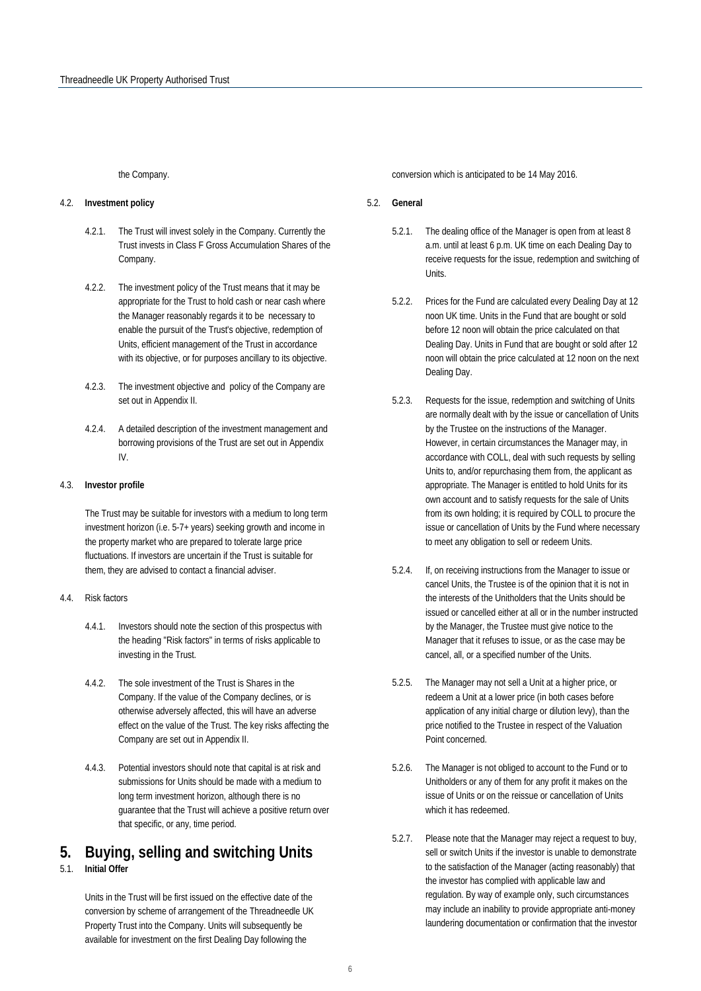the Company.

#### 4.2. **Investment policy**

- 4.2.1. The Trust will invest solely in the Company. Currently the Trust invests in Class F Gross Accumulation Shares of the Company.
- 4.2.2. The investment policy of the Trust means that it may be appropriate for the Trust to hold cash or near cash where the Manager reasonably regards it to be necessary to enable the pursuit of the Trust's objective, redemption of Units, efficient management of the Trust in accordance with its objective, or for purposes ancillary to its objective.
- 4.2.3. The investment objective and policy of the Company are set out in Appendix II.
- 4.2.4. A detailed description of the investment management and borrowing provisions of the Trust are set out in Appendix IV.

#### 4.3. **Investor profile**

The Trust may be suitable for investors with a medium to long term investment horizon (i.e. 5-7+ years) seeking growth and income in the property market who are prepared to tolerate large price fluctuations. If investors are uncertain if the Trust is suitable for them, they are advised to contact a financial adviser.

#### 4.4. Risk factors

- 4.4.1. Investors should note the section of this prospectus with the heading "Risk factors" in terms of risks applicable to investing in the Trust.
- 4.4.2. The sole investment of the Trust is Shares in the Company. If the value of the Company declines, or is otherwise adversely affected, this will have an adverse effect on the value of the Trust. The key risks affecting the Company are set out in Appendix II.
- 4.4.3. Potential investors should note that capital is at risk and submissions for Units should be made with a medium to long term investment horizon, although there is no guarantee that the Trust will achieve a positive return over that specific, or any, time period.

## <span id="page-6-0"></span>**5. Buying, selling and switching Units**

#### 5.1. **Initial Offer**

Units in the Trust will be first issued on the effective date of the conversion by scheme of arrangement of the Threadneedle UK Property Trust into the Company. Units will subsequently be available for investment on the first Dealing Day following the

conversion which is anticipated to be 14 May 2016.

#### 5.2. **General**

- 5.2.1. The dealing office of the Manager is open from at least 8 a.m. until at least 6 p.m. UK time on each Dealing Day to receive requests for the issue, redemption and switching of Units.
- 5.2.2. Prices for the Fund are calculated every Dealing Day at 12 noon UK time. Units in the Fund that are bought or sold before 12 noon will obtain the price calculated on that Dealing Day. Units in Fund that are bought or sold after 12 noon will obtain the price calculated at 12 noon on the next Dealing Day.
- 5.2.3. Requests for the issue, redemption and switching of Units are normally dealt with by the issue or cancellation of Units by the Trustee on the instructions of the Manager. However, in certain circumstances the Manager may, in accordance with COLL, deal with such requests by selling Units to, and/or repurchasing them from, the applicant as appropriate. The Manager is entitled to hold Units for its own account and to satisfy requests for the sale of Units from its own holding; it is required by COLL to procure the issue or cancellation of Units by the Fund where necessary to meet any obligation to sell or redeem Units.
- 5.2.4. If, on receiving instructions from the Manager to issue or cancel Units, the Trustee is of the opinion that it is not in the interests of the Unitholders that the Units should be issued or cancelled either at all or in the number instructed by the Manager, the Trustee must give notice to the Manager that it refuses to issue, or as the case may be cancel, all, or a specified number of the Units.
- 5.2.5. The Manager may not sell a Unit at a higher price, or redeem a Unit at a lower price (in both cases before application of any initial charge or dilution levy), than the price notified to the Trustee in respect of the Valuation Point concerned.
- 5.2.6. The Manager is not obliged to account to the Fund or to Unitholders or any of them for any profit it makes on the issue of Units or on the reissue or cancellation of Units which it has redeemed.
- 5.2.7. Please note that the Manager may reject a request to buy, sell or switch Units if the investor is unable to demonstrate to the satisfaction of the Manager (acting reasonably) that the investor has complied with applicable law and regulation. By way of example only, such circumstances may include an inability to provide appropriate anti-money laundering documentation or confirmation that the investor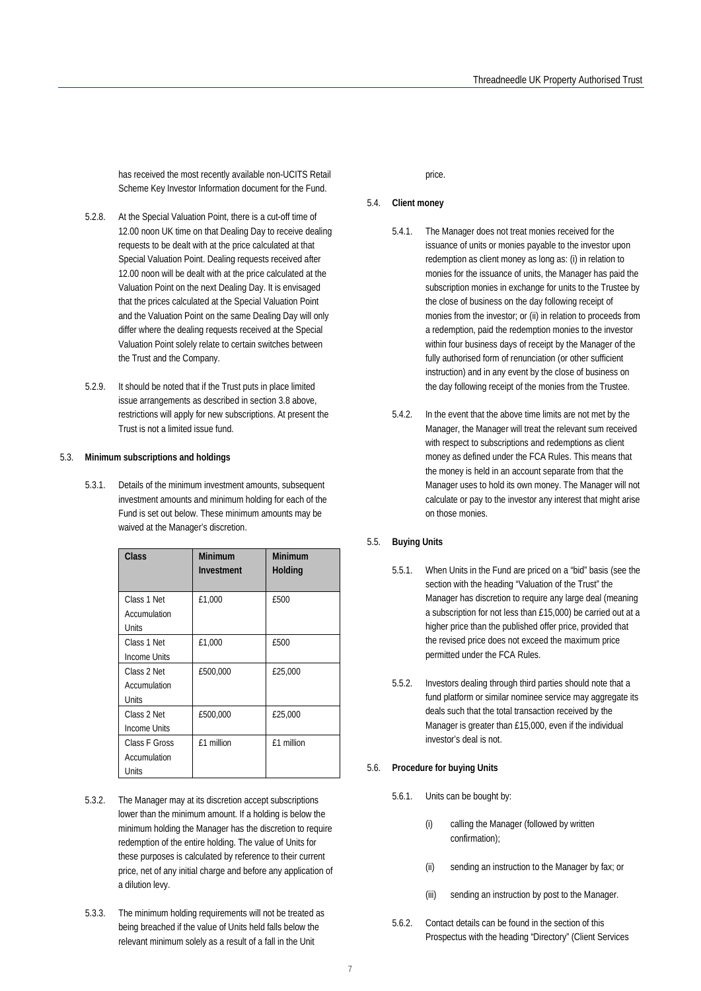has received the most recently available non-UCITS Retail Scheme Key Investor Information document for the Fund.

- 5.2.8. At the Special Valuation Point, there is a cut-off time of 12.00 noon UK time on that Dealing Day to receive dealing requests to be dealt with at the price calculated at that Special Valuation Point. Dealing requests received after 12.00 noon will be dealt with at the price calculated at the Valuation Point on the next Dealing Day. It is envisaged that the prices calculated at the Special Valuation Point and the Valuation Point on the same Dealing Day will only differ where the dealing requests received at the Special Valuation Point solely relate to certain switches between the Trust and the Company.
- 5.2.9. It should be noted that if the Trust puts in place limited issue arrangements as described in section 3.8 above, restrictions will apply for new subscriptions. At present the Trust is not a limited issue fund.

#### 5.3. **Minimum subscriptions and holdings**

5.3.1. Details of the minimum investment amounts, subsequent investment amounts and minimum holding for each of the Fund is set out below. These minimum amounts may be waived at the Manager's discretion.

| Class                                  | Minimum<br>Investment | Minimum<br>Holding |
|----------------------------------------|-----------------------|--------------------|
| Class 1 Net<br>Accumulation<br>Units   | £1,000                | £500               |
| Class 1 Net<br>Income Units            | £1,000                | £500               |
| Class 2 Net<br>Accumulation<br>Units   | £500,000              | £25,000            |
| Class 2 Net<br>Income Units            | £500,000              | £25,000            |
| Class F Gross<br>Accumulation<br>Units | f1 million            | f1 million         |

- 5.3.2. The Manager may at its discretion accept subscriptions lower than the minimum amount. If a holding is below the minimum holding the Manager has the discretion to require redemption of the entire holding. The value of Units for these purposes is calculated by reference to their current price, net of any initial charge and before any application of a dilution levy.
- 5.3.3. The minimum holding requirements will not be treated as being breached if the value of Units held falls below the relevant minimum solely as a result of a fall in the Unit

price.

#### 5.4. **Client money**

- 5.4.1. The Manager does not treat monies received for the issuance of units or monies payable to the investor upon redemption as client money as long as: (i) in relation to monies for the issuance of units, the Manager has paid the subscription monies in exchange for units to the Trustee by the close of business on the day following receipt of monies from the investor; or (ii) in relation to proceeds from a redemption, paid the redemption monies to the investor within four business days of receipt by the Manager of the fully authorised form of renunciation (or other sufficient instruction) and in any event by the close of business on the day following receipt of the monies from the Trustee.
- 5.4.2. In the event that the above time limits are not met by the Manager, the Manager will treat the relevant sum received with respect to subscriptions and redemptions as client money as defined under the FCA Rules. This means that the money is held in an account separate from that the Manager uses to hold its own money. The Manager will not calculate or pay to the investor any interest that might arise on those monies.

#### <span id="page-7-0"></span>5.5. **Buying Units**

- 5.5.1. When Units in the Fund are priced on a "bid" basis (see the section with the heading "Valuation of the Trust" the Manager has discretion to require any large deal (meaning a subscription for not less than £15,000) be carried out at a higher price than the published offer price, provided that the revised price does not exceed the maximum price permitted under the FCA Rules.
- 5.5.2. Investors dealing through third parties should note that a fund platform or similar nominee service may aggregate its deals such that the total transaction received by the Manager is greater than £15,000, even if the individual investor's deal is not.

#### 5.6. **Procedure for buying Units**

- 5.6.1. Units can be bought by:
	- (i) calling the Manager (followed by written confirmation);
	- (ii) sending an instruction to the Manager by fax; or
	- (iii) sending an instruction by post to the Manager.
- 5.6.2. Contact details can be found in the section of this Prospectus with the heading "Directory" (Client Services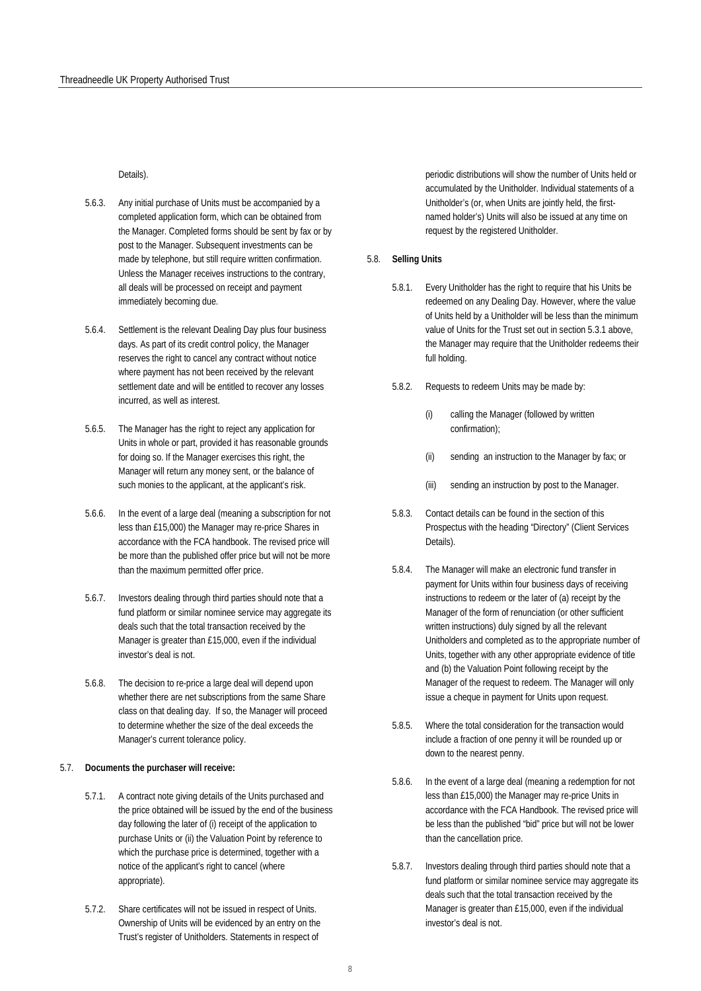Details).

- 5.6.3. Any initial purchase of Units must be accompanied by a completed application form, which can be obtained from the Manager. Completed forms should be sent by fax or by post to the Manager. Subsequent investments can be made by telephone, but still require written confirmation. Unless the Manager receives instructions to the contrary, all deals will be processed on receipt and payment immediately becoming due.
- 5.6.4. Settlement is the relevant Dealing Day plus four business days. As part of its credit control policy, the Manager reserves the right to cancel any contract without notice where payment has not been received by the relevant settlement date and will be entitled to recover any losses incurred, as well as interest.
- 5.6.5. The Manager has the right to reject any application for Units in whole or part, provided it has reasonable grounds for doing so. If the Manager exercises this right, the Manager will return any money sent, or the balance of such monies to the applicant, at the applicant's risk.
- 5.6.6. In the event of a large deal (meaning a subscription for not less than £15,000) the Manager may re-price Shares in accordance with the FCA handbook. The revised price will be more than the published offer price but will not be more than the maximum permitted offer price.
- 5.6.7. Investors dealing through third parties should note that a fund platform or similar nominee service may aggregate its deals such that the total transaction received by the Manager is greater than £15,000, even if the individual investor's deal is not.
- 5.6.8. The decision to re-price a large deal will depend upon whether there are net subscriptions from the same Share class on that dealing day. If so, the Manager will proceed to determine whether the size of the deal exceeds the Manager's current tolerance policy.

#### 5.7. **Documents the purchaser will receive:**

- 5.7.1. A contract note giving details of the Units purchased and the price obtained will be issued by the end of the business day following the later of (i) receipt of the application to purchase Units or (ii) the Valuation Point by reference to which the purchase price is determined, together with a notice of the applicant's right to cancel (where appropriate).
- 5.7.2. Share certificates will not be issued in respect of Units. Ownership of Units will be evidenced by an entry on the Trust's register of Unitholders. Statements in respect of

periodic distributions will show the number of Units held or accumulated by the Unitholder. Individual statements of a Unitholder's (or, when Units are jointly held, the firstnamed holder's) Units will also be issued at any time on request by the registered Unitholder.

#### 5.8. **Selling Units**

- 5.8.1. Every Unitholder has the right to require that his Units be redeemed on any Dealing Day. However, where the value of Units held by a Unitholder will be less than the minimum value of Units for the Trust set out in section 5.3.1 above, the Manager may require that the Unitholder redeems their full holding.
- 5.8.2. Requests to redeem Units may be made by:
	- (i) calling the Manager (followed by written confirmation);
	- (ii) sending an instruction to the Manager by fax; or
	- (iii) sending an instruction by post to the Manager.
- 5.8.3. Contact details can be found in the section of this Prospectus with the heading "Directory" (Client Services Details).
- 5.8.4. The Manager will make an electronic fund transfer in payment for Units within four business days of receiving instructions to redeem or the later of (a) receipt by the Manager of the form of renunciation (or other sufficient written instructions) duly signed by all the relevant Unitholders and completed as to the appropriate number of Units, together with any other appropriate evidence of title and (b) the Valuation Point following receipt by the Manager of the request to redeem. The Manager will only issue a cheque in payment for Units upon request.
- 5.8.5. Where the total consideration for the transaction would include a fraction of one penny it will be rounded up or down to the nearest penny.
- 5.8.6. In the event of a large deal (meaning a redemption for not less than £15,000) the Manager may re-price Units in accordance with the FCA Handbook. The revised price will be less than the published "bid" price but will not be lower than the cancellation price.
- 5.8.7. Investors dealing through third parties should note that a fund platform or similar nominee service may aggregate its deals such that the total transaction received by the Manager is greater than £15,000, even if the individual investor's deal is not.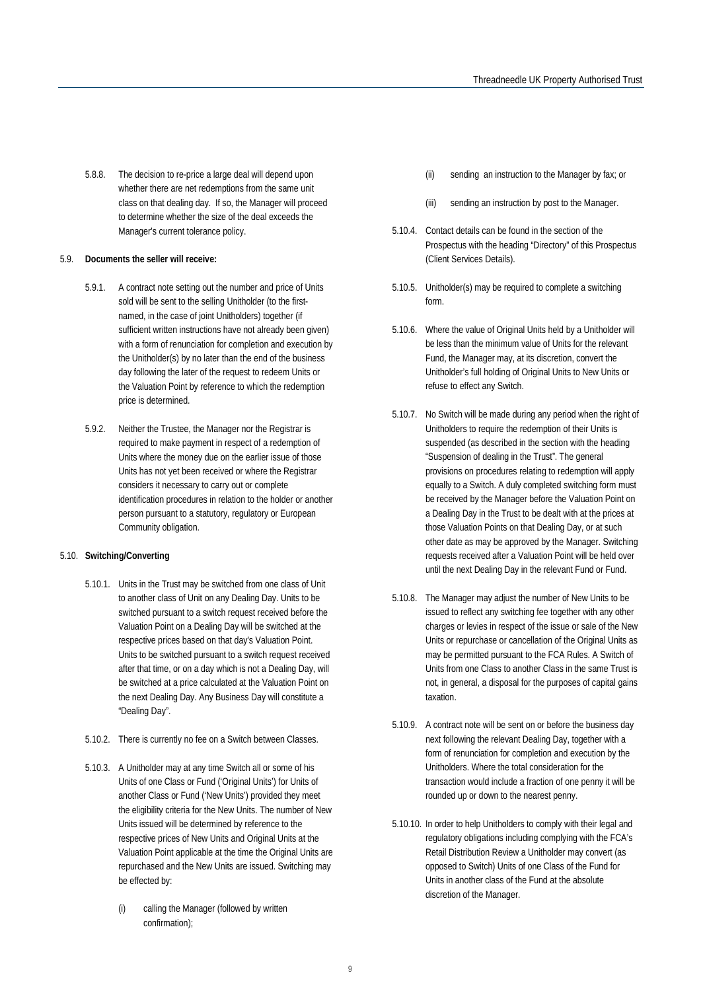5.8.8. The decision to re-price a large deal will depend upon whether there are net redemptions from the same unit class on that dealing day. If so, the Manager will proceed to determine whether the size of the deal exceeds the Manager's current tolerance policy.

#### 5.9. **Documents the seller will receive:**

- 5.9.1. A contract note setting out the number and price of Units sold will be sent to the selling Unitholder (to the firstnamed, in the case of joint Unitholders) together (if sufficient written instructions have not already been given) with a form of renunciation for completion and execution by the Unitholder(s) by no later than the end of the business day following the later of the request to redeem Units or the Valuation Point by reference to which the redemption price is determined.
- 5.9.2. Neither the Trustee, the Manager nor the Registrar is required to make payment in respect of a redemption of Units where the money due on the earlier issue of those Units has not yet been received or where the Registrar considers it necessary to carry out or complete identification procedures in relation to the holder or another person pursuant to a statutory, regulatory or European Community obligation.

#### 5.10. **Switching/Converting**

- 5.10.1. Units in the Trust may be switched from one class of Unit to another class of Unit on any Dealing Day. Units to be switched pursuant to a switch request received before the Valuation Point on a Dealing Day will be switched at the respective prices based on that day's Valuation Point. Units to be switched pursuant to a switch request received after that time, or on a day which is not a Dealing Day, will be switched at a price calculated at the Valuation Point on the next Dealing Day. Any Business Day will constitute a "Dealing Day".
- 5.10.2. There is currently no fee on a Switch between Classes.
- 5.10.3. A Unitholder may at any time Switch all or some of his Units of one Class or Fund ('Original Units') for Units of another Class or Fund ('New Units') provided they meet the eligibility criteria for the New Units. The number of New Units issued will be determined by reference to the respective prices of New Units and Original Units at the Valuation Point applicable at the time the Original Units are repurchased and the New Units are issued. Switching may be effected by:
	- (i) calling the Manager (followed by written confirmation);
- (ii) sending an instruction to the Manager by fax; or
- (iii) sending an instruction by post to the Manager.
- 5.10.4. Contact details can be found in the section of the Prospectus with the heading "Directory" of this Prospectus (Client Services Details).
- 5.10.5. Unitholder(s) may be required to complete a switching form.
- 5.10.6. Where the value of Original Units held by a Unitholder will be less than the minimum value of Units for the relevant Fund, the Manager may, at its discretion, convert the Unitholder's full holding of Original Units to New Units or refuse to effect any Switch.
- 5.10.7. No Switch will be made during any period when the right of Unitholders to require the redemption of their Units is suspended (as described in the section with the heading "Suspension of dealing in the Trust". The general provisions on procedures relating to redemption will apply equally to a Switch. A duly completed switching form must be received by the Manager before the Valuation Point on a Dealing Day in the Trust to be dealt with at the prices at those Valuation Points on that Dealing Day, or at such other date as may be approved by the Manager. Switching requests received after a Valuation Point will be held over until the next Dealing Day in the relevant Fund or Fund.
- 5.10.8. The Manager may adjust the number of New Units to be issued to reflect any switching fee together with any other charges or levies in respect of the issue or sale of the New Units or repurchase or cancellation of the Original Units as may be permitted pursuant to the FCA Rules. A Switch of Units from one Class to another Class in the same Trust is not, in general, a disposal for the purposes of capital gains taxation.
- 5.10.9. A contract note will be sent on or before the business day next following the relevant Dealing Day, together with a form of renunciation for completion and execution by the Unitholders. Where the total consideration for the transaction would include a fraction of one penny it will be rounded up or down to the nearest penny.
- 5.10.10. In order to help Unitholders to comply with their legal and regulatory obligations including complying with the FCA's Retail Distribution Review a Unitholder may convert (as opposed to Switch) Units of one Class of the Fund for Units in another class of the Fund at the absolute discretion of the Manager.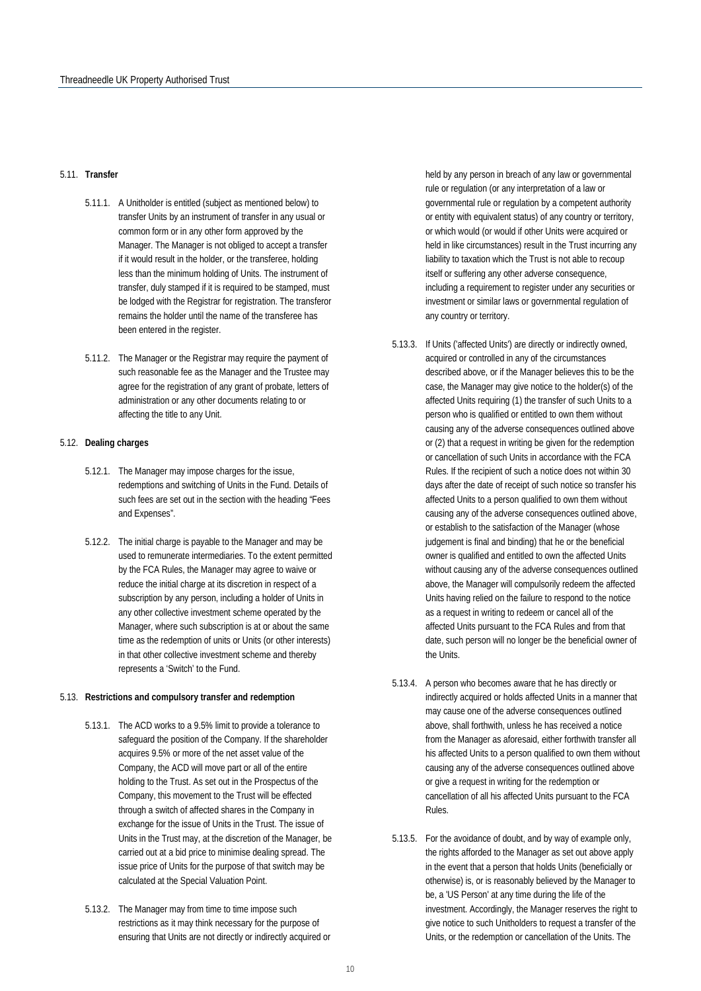#### 5.11. **Transfer**

- 5.11.1. A Unitholder is entitled (subject as mentioned below) to transfer Units by an instrument of transfer in any usual or common form or in any other form approved by the Manager. The Manager is not obliged to accept a transfer if it would result in the holder, or the transferee, holding less than the minimum holding of Units. The instrument of transfer, duly stamped if it is required to be stamped, must be lodged with the Registrar for registration. The transferor remains the holder until the name of the transferee has been entered in the register.
- 5.11.2. The Manager or the Registrar may require the payment of such reasonable fee as the Manager and the Trustee may agree for the registration of any grant of probate, letters of administration or any other documents relating to or affecting the title to any Unit.

#### 5.12. **Dealing charges**

- 5.12.1. The Manager may impose charges for the issue, redemptions and switching of Units in the Fund. Details of such fees are set out in the section with the heading "Fees and Expenses".
- 5.12.2. The initial charge is payable to the Manager and may be used to remunerate intermediaries. To the extent permitted by the FCA Rules, the Manager may agree to waive or reduce the initial charge at its discretion in respect of a subscription by any person, including a holder of Units in any other collective investment scheme operated by the Manager, where such subscription is at or about the same time as the redemption of units or Units (or other interests) in that other collective investment scheme and thereby represents a 'Switch' to the Fund.

#### 5.13. **Restrictions and compulsory transfer and redemption**

- 5.13.1. The ACD works to a 9.5% limit to provide a tolerance to safeguard the position of the Company. If the shareholder acquires 9.5% or more of the net asset value of the Company, the ACD will move part or all of the entire holding to the Trust. As set out in the Prospectus of the Company, this movement to the Trust will be effected through a switch of affected shares in the Company in exchange for the issue of Units in the Trust. The issue of Units in the Trust may, at the discretion of the Manager, be carried out at a bid price to minimise dealing spread. The issue price of Units for the purpose of that switch may be calculated at the Special Valuation Point.
- 5.13.2. The Manager may from time to time impose such restrictions as it may think necessary for the purpose of ensuring that Units are not directly or indirectly acquired or

held by any person in breach of any law or governmental rule or regulation (or any interpretation of a law or governmental rule or regulation by a competent authority or entity with equivalent status) of any country or territory, or which would (or would if other Units were acquired or held in like circumstances) result in the Trust incurring any liability to taxation which the Trust is not able to recoup itself or suffering any other adverse consequence, including a requirement to register under any securities or investment or similar laws or governmental regulation of any country or territory.

- 5.13.3. If Units ('affected Units') are directly or indirectly owned, acquired or controlled in any of the circumstances described above, or if the Manager believes this to be the case, the Manager may give notice to the holder(s) of the affected Units requiring (1) the transfer of such Units to a person who is qualified or entitled to own them without causing any of the adverse consequences outlined above or (2) that a request in writing be given for the redemption or cancellation of such Units in accordance with the FCA Rules. If the recipient of such a notice does not within 30 days after the date of receipt of such notice so transfer his affected Units to a person qualified to own them without causing any of the adverse consequences outlined above, or establish to the satisfaction of the Manager (whose judgement is final and binding) that he or the beneficial owner is qualified and entitled to own the affected Units without causing any of the adverse consequences outlined above, the Manager will compulsorily redeem the affected Units having relied on the failure to respond to the notice as a request in writing to redeem or cancel all of the affected Units pursuant to the FCA Rules and from that date, such person will no longer be the beneficial owner of the Units.
- 5.13.4. A person who becomes aware that he has directly or indirectly acquired or holds affected Units in a manner that may cause one of the adverse consequences outlined above, shall forthwith, unless he has received a notice from the Manager as aforesaid, either forthwith transfer all his affected Units to a person qualified to own them without causing any of the adverse consequences outlined above or give a request in writing for the redemption or cancellation of all his affected Units pursuant to the FCA Rules.
- 5.13.5. For the avoidance of doubt, and by way of example only, the rights afforded to the Manager as set out above apply in the event that a person that holds Units (beneficially or otherwise) is, or is reasonably believed by the Manager to be, a 'US Person' at any time during the life of the investment. Accordingly, the Manager reserves the right to give notice to such Unitholders to request a transfer of the Units, or the redemption or cancellation of the Units. The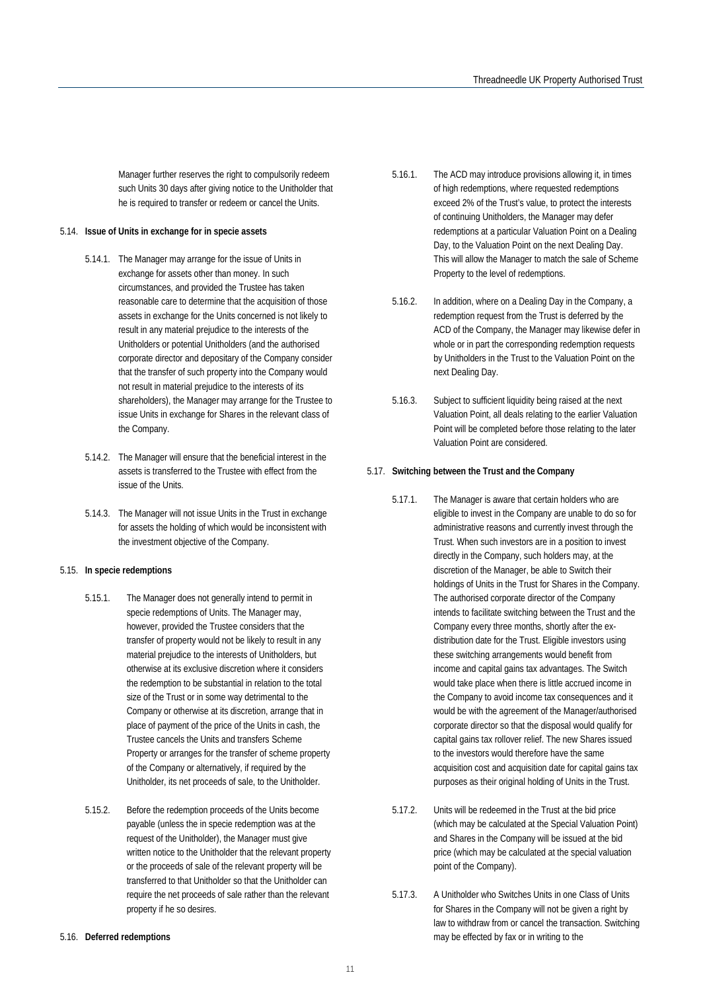Manager further reserves the right to compulsorily redeem such Units 30 days after giving notice to the Unitholder that he is required to transfer or redeem or cancel the Units.

#### 5.14. **Issue of Units in exchange for in specie assets**

- 5.14.1. The Manager may arrange for the issue of Units in exchange for assets other than money. In such circumstances, and provided the Trustee has taken reasonable care to determine that the acquisition of those assets in exchange for the Units concerned is not likely to result in any material prejudice to the interests of the Unitholders or potential Unitholders (and the authorised corporate director and depositary of the Company consider that the transfer of such property into the Company would not result in material prejudice to the interests of its shareholders), the Manager may arrange for the Trustee to issue Units in exchange for Shares in the relevant class of the Company.
- 5.14.2. The Manager will ensure that the beneficial interest in the assets is transferred to the Trustee with effect from the issue of the Units.
- 5.14.3. The Manager will not issue Units in the Trust in exchange for assets the holding of which would be inconsistent with the investment objective of the Company.

#### 5.15. **In specie redemptions**

- 5.15.1. The Manager does not generally intend to permit in specie redemptions of Units. The Manager may, however, provided the Trustee considers that the transfer of property would not be likely to result in any material prejudice to the interests of Unitholders, but otherwise at its exclusive discretion where it considers the redemption to be substantial in relation to the total size of the Trust or in some way detrimental to the Company or otherwise at its discretion, arrange that in place of payment of the price of the Units in cash, the Trustee cancels the Units and transfers Scheme Property or arranges for the transfer of scheme property of the Company or alternatively, if required by the Unitholder, its net proceeds of sale, to the Unitholder.
- 5.15.2. Before the redemption proceeds of the Units become payable (unless the in specie redemption was at the request of the Unitholder), the Manager must give written notice to the Unitholder that the relevant property or the proceeds of sale of the relevant property will be transferred to that Unitholder so that the Unitholder can require the net proceeds of sale rather than the relevant property if he so desires.
- 5.16.1. The ACD may introduce provisions allowing it, in times of high redemptions, where requested redemptions exceed 2% of the Trust's value, to protect the interests of continuing Unitholders, the Manager may defer redemptions at a particular Valuation Point on a Dealing Day, to the Valuation Point on the next Dealing Day. This will allow the Manager to match the sale of Scheme Property to the level of redemptions.
	- 5.16.2. In addition, where on a Dealing Day in the Company, a redemption request from the Trust is deferred by the ACD of the Company, the Manager may likewise defer in whole or in part the corresponding redemption requests by Unitholders in the Trust to the Valuation Point on the next Dealing Day.
	- 5.16.3. Subject to sufficient liquidity being raised at the next Valuation Point, all deals relating to the earlier Valuation Point will be completed before those relating to the later Valuation Point are considered.

#### 5.17. **Switching between the Trust and the Company**

- 5.17.1. The Manager is aware that certain holders who are eligible to invest in the Company are unable to do so for administrative reasons and currently invest through the Trust. When such investors are in a position to invest directly in the Company, such holders may, at the discretion of the Manager, be able to Switch their holdings of Units in the Trust for Shares in the Company. The authorised corporate director of the Company intends to facilitate switching between the Trust and the Company every three months, shortly after the exdistribution date for the Trust. Eligible investors using these switching arrangements would benefit from income and capital gains tax advantages. The Switch would take place when there is little accrued income in the Company to avoid income tax consequences and it would be with the agreement of the Manager/authorised corporate director so that the disposal would qualify for capital gains tax rollover relief. The new Shares issued to the investors would therefore have the same acquisition cost and acquisition date for capital gains tax purposes as their original holding of Units in the Trust.
- 5.17.2. Units will be redeemed in the Trust at the bid price (which may be calculated at the Special Valuation Point) and Shares in the Company will be issued at the bid price (which may be calculated at the special valuation point of the Company).
- 5.17.3. A Unitholder who Switches Units in one Class of Units for Shares in the Company will not be given a right by law to withdraw from or cancel the transaction. Switching may be effected by fax or in writing to the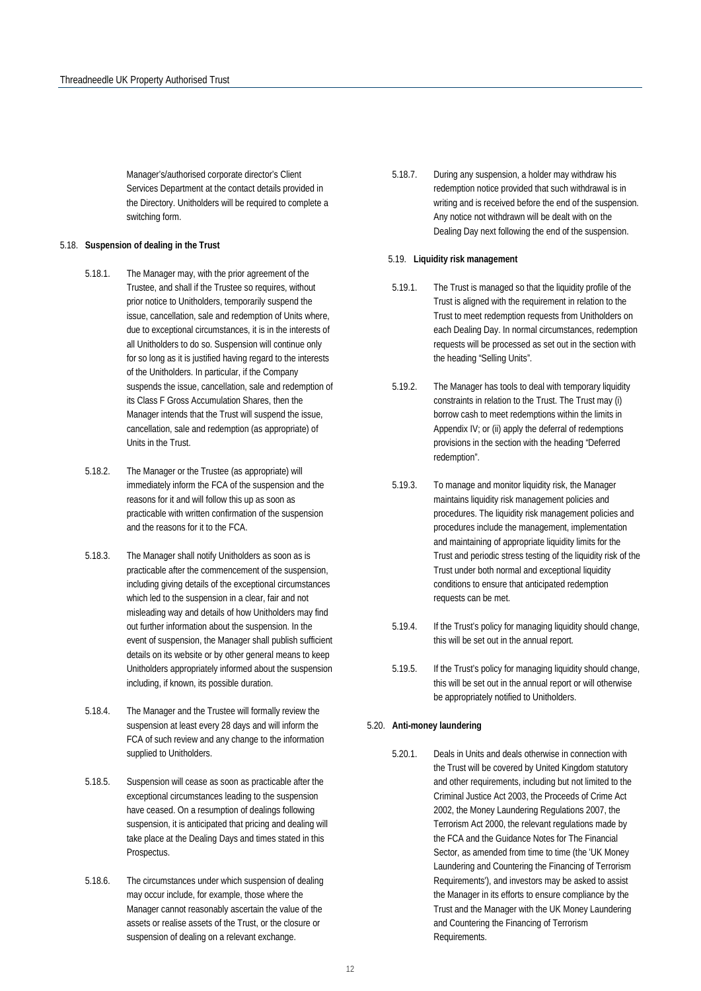Manager's/authorised corporate director's Client Services Department at the contact details provided in the Directory. Unitholders will be required to complete a switching form.

#### <span id="page-12-0"></span>5.18. **Suspension of dealing in the Trust**

- 5.18.1. The Manager may, with the prior agreement of the Trustee, and shall if the Trustee so requires, without prior notice to Unitholders, temporarily suspend the issue, cancellation, sale and redemption of Units where, due to exceptional circumstances, it is in the interests of all Unitholders to do so. Suspension will continue only for so long as it is justified having regard to the interests of the Unitholders. In particular, if the Company suspends the issue, cancellation, sale and redemption of its Class F Gross Accumulation Shares, then the Manager intends that the Trust will suspend the issue, cancellation, sale and redemption (as appropriate) of Units in the Trust.
- 5.18.2. The Manager or the Trustee (as appropriate) will immediately inform the FCA of the suspension and the reasons for it and will follow this up as soon as practicable with written confirmation of the suspension and the reasons for it to the FCA.
- 5.18.3. The Manager shall notify Unitholders as soon as is practicable after the commencement of the suspension, including giving details of the exceptional circumstances which led to the suspension in a clear, fair and not misleading way and details of how Unitholders may find out further information about the suspension. In the event of suspension, the Manager shall publish sufficient details on its website or by other general means to keep Unitholders appropriately informed about the suspension including, if known, its possible duration.
- 5.18.4. The Manager and the Trustee will formally review the suspension at least every 28 days and will inform the FCA of such review and any change to the information supplied to Unitholders.
- 5.18.5. Suspension will cease as soon as practicable after the exceptional circumstances leading to the suspension have ceased. On a resumption of dealings following suspension, it is anticipated that pricing and dealing will take place at the Dealing Days and times stated in this Prospectus.
- 5.18.6. The circumstances under which suspension of dealing may occur include, for example, those where the Manager cannot reasonably ascertain the value of the assets or realise assets of the Trust, or the closure or suspension of dealing on a relevant exchange.

5.18.7. During any suspension, a holder may withdraw his redemption notice provided that such withdrawal is in writing and is received before the end of the suspension. Any notice not withdrawn will be dealt with on the Dealing Day next following the end of the suspension.

#### <span id="page-12-1"></span>5.19. **Liquidity risk management**

- 5.19.1. The Trust is managed so that the liquidity profile of the Trust is aligned with the requirement in relation to the Trust to meet redemption requests from Unitholders on each Dealing Day. In normal circumstances, redemption requests will be processed as set out in the section with the heading "Selling Units".
- 5.19.2. The Manager has tools to deal with temporary liquidity constraints in relation to the Trust. The Trust may (i) borrow cash to meet redemptions within the limits in Appendix IV; or (ii) apply the deferral of redemptions provisions in the section with the heading "Deferred redemption".
- 5.19.3. To manage and monitor liquidity risk, the Manager maintains liquidity risk management policies and procedures. The liquidity risk management policies and procedures include the management, implementation and maintaining of appropriate liquidity limits for the Trust and periodic stress testing of the liquidity risk of the Trust under both normal and exceptional liquidity conditions to ensure that anticipated redemption requests can be met.
- 5.19.4. If the Trust's policy for managing liquidity should change, this will be set out in the annual report.
- 5.19.5. If the Trust's policy for managing liquidity should change, this will be set out in the annual report or will otherwise be appropriately notified to Unitholders.

#### <span id="page-12-2"></span>5.20. **Anti-money laundering**

5.20.1. Deals in Units and deals otherwise in connection with the Trust will be covered by United Kingdom statutory and other requirements, including but not limited to the Criminal Justice Act 2003, the Proceeds of Crime Act 2002, the Money Laundering Regulations 2007, the Terrorism Act 2000, the relevant regulations made by the FCA and the Guidance Notes for The Financial Sector, as amended from time to time (the 'UK Money Laundering and Countering the Financing of Terrorism Requirements'), and investors may be asked to assist the Manager in its efforts to ensure compliance by the Trust and the Manager with the UK Money Laundering and Countering the Financing of Terrorism Requirements.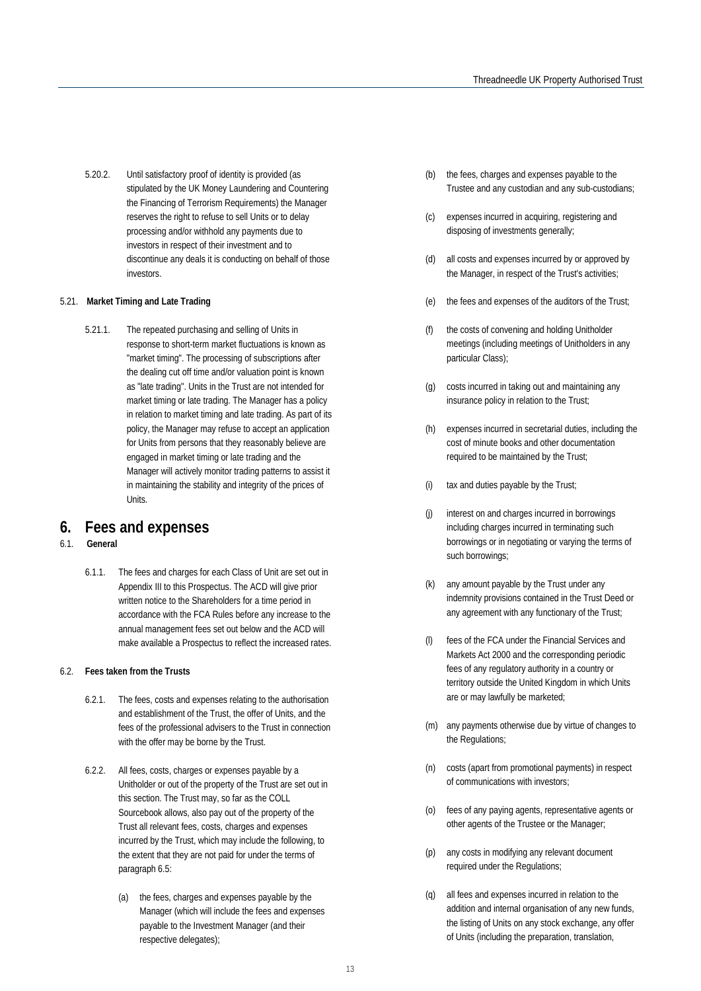5.20.2. Until satisfactory proof of identity is provided (as stipulated by the UK Money Laundering and Countering the Financing of Terrorism Requirements) the Manager reserves the right to refuse to sell Units or to delay processing and/or withhold any payments due to investors in respect of their investment and to discontinue any deals it is conducting on behalf of those investors.

#### <span id="page-13-0"></span>5.21. **Market Timing and Late Trading**

5.21.1. The repeated purchasing and selling of Units in response to short-term market fluctuations is known as "market timing". The processing of subscriptions after the dealing cut off time and/or valuation point is known as "late trading". Units in the Trust are not intended for market timing or late trading. The Manager has a policy in relation to market timing and late trading. As part of its policy, the Manager may refuse to accept an application for Units from persons that they reasonably believe are engaged in market timing or late trading and the Manager will actively monitor trading patterns to assist it in maintaining the stability and integrity of the prices of Units.

### <span id="page-13-1"></span>**6. Fees and expenses**

#### 6.1. **General**

6.1.1. The fees and charges for each Class of Unit are set out in Appendix III to this Prospectus. The ACD will give prior written notice to the Shareholders for a time period in accordance with the FCA Rules before any increase to the annual management fees set out below and the ACD will make available a Prospectus to reflect the increased rates.

#### 6.2. **Fees taken from the Trusts**

- 6.2.1. The fees, costs and expenses relating to the authorisation and establishment of the Trust, the offer of Units, and the fees of the professional advisers to the Trust in connection with the offer may be borne by the Trust.
- 6.2.2. All fees, costs, charges or expenses payable by a Unitholder or out of the property of the Trust are set out in this section. The Trust may, so far as the COLL Sourcebook allows, also pay out of the property of the Trust all relevant fees, costs, charges and expenses incurred by the Trust, which may include the following, to the extent that they are not paid for under the terms of paragraph 6.5:
	- (a) the fees, charges and expenses payable by the Manager (which will include the fees and expenses payable to the Investment Manager (and their respective delegates);
- (b) the fees, charges and expenses payable to the Trustee and any custodian and any sub-custodians;
- (c) expenses incurred in acquiring, registering and disposing of investments generally;
- (d) all costs and expenses incurred by or approved by the Manager, in respect of the Trust's activities;
- (e) the fees and expenses of the auditors of the Trust;
- (f) the costs of convening and holding Unitholder meetings (including meetings of Unitholders in any particular Class);
- (g) costs incurred in taking out and maintaining any insurance policy in relation to the Trust;
- (h) expenses incurred in secretarial duties, including the cost of minute books and other documentation required to be maintained by the Trust;
- (i) tax and duties payable by the Trust;
- (j) interest on and charges incurred in borrowings including charges incurred in terminating such borrowings or in negotiating or varying the terms of such borrowings;
- (k) any amount payable by the Trust under any indemnity provisions contained in the Trust Deed or any agreement with any functionary of the Trust;
- (l) fees of the FCA under the Financial Services and Markets Act 2000 and the corresponding periodic fees of any regulatory authority in a country or territory outside the United Kingdom in which Units are or may lawfully be marketed;
- (m) any payments otherwise due by virtue of changes to the Regulations;
- (n) costs (apart from promotional payments) in respect of communications with investors;
- (o) fees of any paying agents, representative agents or other agents of the Trustee or the Manager;
- (p) any costs in modifying any relevant document required under the Regulations;
- (q) all fees and expenses incurred in relation to the addition and internal organisation of any new funds, the listing of Units on any stock exchange, any offer of Units (including the preparation, translation,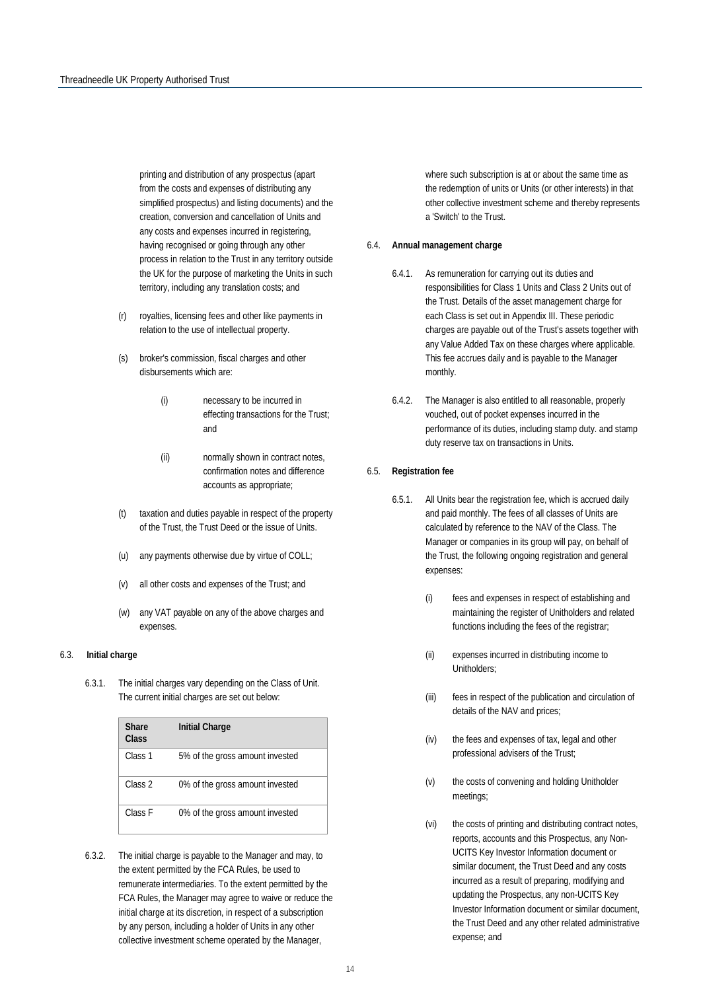printing and distribution of any prospectus (apart from the costs and expenses of distributing any simplified prospectus) and listing documents) and the creation, conversion and cancellation of Units and any costs and expenses incurred in registering, having recognised or going through any other process in relation to the Trust in any territory outside the UK for the purpose of marketing the Units in such territory, including any translation costs; and

- (r) royalties, licensing fees and other like payments in relation to the use of intellectual property.
- (s) broker's commission, fiscal charges and other disbursements which are:
	- (i) necessary to be incurred in effecting transactions for the Trust; and
	- (ii) normally shown in contract notes, confirmation notes and difference accounts as appropriate;
- (t) taxation and duties payable in respect of the property of the Trust, the Trust Deed or the issue of Units.
- (u) any payments otherwise due by virtue of COLL;
- (v) all other costs and expenses of the Trust; and
- (w) any VAT payable on any of the above charges and expenses.

#### 6.3. **Initial charge**

6.3.1. The initial charges vary depending on the Class of Unit. The current initial charges are set out below:

| <b>Share</b><br>Class | <b>Initial Charge</b>           |
|-----------------------|---------------------------------|
| Class <sub>1</sub>    | 5% of the gross amount invested |
| Class <sub>2</sub>    | 0% of the gross amount invested |
| Class F               | 0% of the gross amount invested |

6.3.2. The initial charge is payable to the Manager and may, to the extent permitted by the FCA Rules, be used to remunerate intermediaries. To the extent permitted by the FCA Rules, the Manager may agree to waive or reduce the initial charge at its discretion, in respect of a subscription by any person, including a holder of Units in any other collective investment scheme operated by the Manager,

where such subscription is at or about the same time as the redemption of units or Units (or other interests) in that other collective investment scheme and thereby represents a 'Switch' to the Trust.

#### 6.4. **Annual management charge**

- 6.4.1. As remuneration for carrying out its duties and responsibilities for Class 1 Units and Class 2 Units out of the Trust. Details of the asset management charge for each Class is set out in Appendix III. These periodic charges are payable out of the Trust's assets together with any Value Added Tax on these charges where applicable. This fee accrues daily and is payable to the Manager monthly.
- 6.4.2. The Manager is also entitled to all reasonable, properly vouched, out of pocket expenses incurred in the performance of its duties, including stamp duty. and stamp duty reserve tax on transactions in Units.

#### 6.5. **Registration fee**

- 6.5.1. All Units bear the registration fee, which is accrued daily and paid monthly. The fees of all classes of Units are calculated by reference to the NAV of the Class. The Manager or companies in its group will pay, on behalf of the Trust, the following ongoing registration and general expenses:
	- (i) fees and expenses in respect of establishing and maintaining the register of Unitholders and related functions including the fees of the registrar;
	- (ii) expenses incurred in distributing income to Unitholders;
	- (iii) fees in respect of the publication and circulation of details of the NAV and prices;
	- (iv) the fees and expenses of tax, legal and other professional advisers of the Trust;
	- (v) the costs of convening and holding Unitholder meetings;
	- (vi) the costs of printing and distributing contract notes, reports, accounts and this Prospectus, any Non-UCITS Key Investor Information document or similar document, the Trust Deed and any costs incurred as a result of preparing, modifying and updating the Prospectus, any non-UCITS Key Investor Information document or similar document, the Trust Deed and any other related administrative expense; and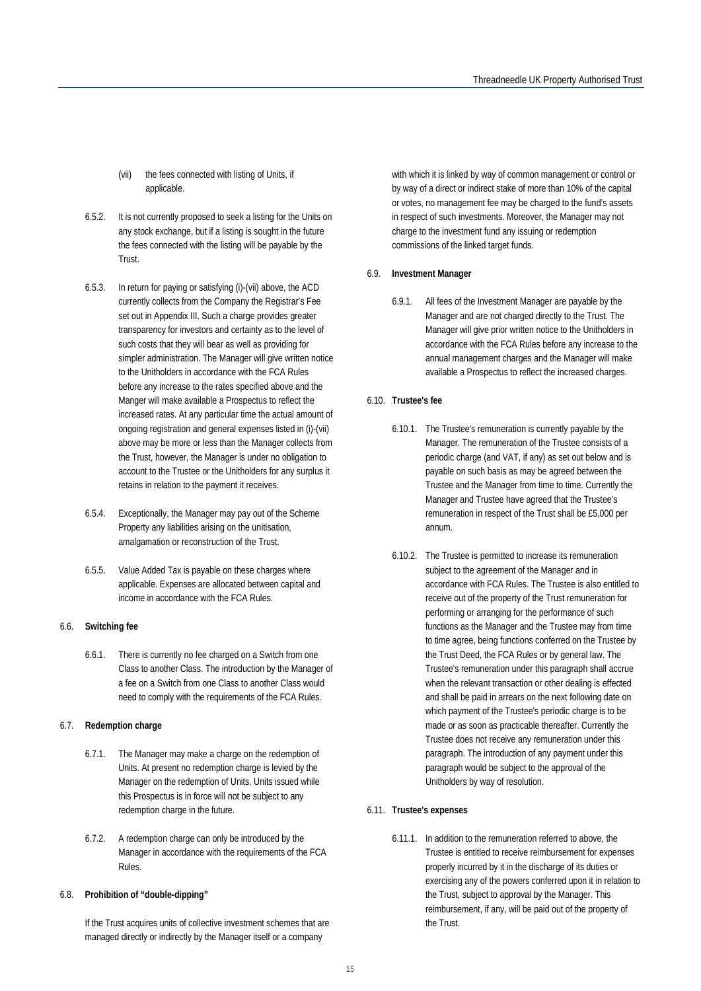(vii) the fees connected with listing of Units, if applicable.

- 6.5.2. It is not currently proposed to seek a listing for the Units on any stock exchange, but if a listing is sought in the future the fees connected with the listing will be payable by the Trust.
- 6.5.3. In return for paying or satisfying (i)-(vii) above, the ACD currently collects from the Company the Registrar's Fee set out in Appendix III. Such a charge provides greater transparency for investors and certainty as to the level of such costs that they will bear as well as providing for simpler administration. The Manager will give written notice to the Unitholders in accordance with the FCA Rules before any increase to the rates specified above and the Manger will make available a Prospectus to reflect the increased rates. At any particular time the actual amount of ongoing registration and general expenses listed in (i)-(vii) above may be more or less than the Manager collects from the Trust, however, the Manager is under no obligation to account to the Trustee or the Unitholders for any surplus it retains in relation to the payment it receives.
- 6.5.4. Exceptionally, the Manager may pay out of the Scheme Property any liabilities arising on the unitisation, amalgamation or reconstruction of the Trust.
- 6.5.5. Value Added Tax is payable on these charges where applicable. Expenses are allocated between capital and income in accordance with the FCA Rules.

#### 6.6. **Switching fee**

6.6.1. There is currently no fee charged on a Switch from one Class to another Class. The introduction by the Manager of a fee on a Switch from one Class to another Class would need to comply with the requirements of the FCA Rules.

#### 6.7. **Redemption charge**

- 6.7.1. The Manager may make a charge on the redemption of Units. At present no redemption charge is levied by the Manager on the redemption of Units. Units issued while this Prospectus is in force will not be subject to any redemption charge in the future.
- 6.7.2. A redemption charge can only be introduced by the Manager in accordance with the requirements of the FCA Rules.

#### 6.8. **Prohibition of "double-dipping"**

If the Trust acquires units of collective investment schemes that are managed directly or indirectly by the Manager itself or a company

with which it is linked by way of common management or control or by way of a direct or indirect stake of more than 10% of the capital or votes, no management fee may be charged to the fund's assets in respect of such investments. Moreover, the Manager may not charge to the investment fund any issuing or redemption commissions of the linked target funds.

#### 6.9. **Investment Manager**

6.9.1. All fees of the Investment Manager are payable by the Manager and are not charged directly to the Trust. The Manager will give prior written notice to the Unitholders in accordance with the FCA Rules before any increase to the annual management charges and the Manager will make available a Prospectus to reflect the increased charges.

#### 6.10. **Trustee's fee**

- 6.10.1. The Trustee's remuneration is currently payable by the Manager. The remuneration of the Trustee consists of a periodic charge (and VAT, if any) as set out below and is payable on such basis as may be agreed between the Trustee and the Manager from time to time. Currently the Manager and Trustee have agreed that the Trustee's remuneration in respect of the Trust shall be £5,000 per annum.
- 6.10.2. The Trustee is permitted to increase its remuneration subject to the agreement of the Manager and in accordance with FCA Rules. The Trustee is also entitled to receive out of the property of the Trust remuneration for performing or arranging for the performance of such functions as the Manager and the Trustee may from time to time agree, being functions conferred on the Trustee by the Trust Deed, the FCA Rules or by general law. The Trustee's remuneration under this paragraph shall accrue when the relevant transaction or other dealing is effected and shall be paid in arrears on the next following date on which payment of the Trustee's periodic charge is to be made or as soon as practicable thereafter. Currently the Trustee does not receive any remuneration under this paragraph. The introduction of any payment under this paragraph would be subject to the approval of the Unitholders by way of resolution.
- 6.11. **Trustee's expenses** 
	- 6.11.1. In addition to the remuneration referred to above, the Trustee is entitled to receive reimbursement for expenses properly incurred by it in the discharge of its duties or exercising any of the powers conferred upon it in relation to the Trust, subject to approval by the Manager. This reimbursement, if any, will be paid out of the property of the Trust.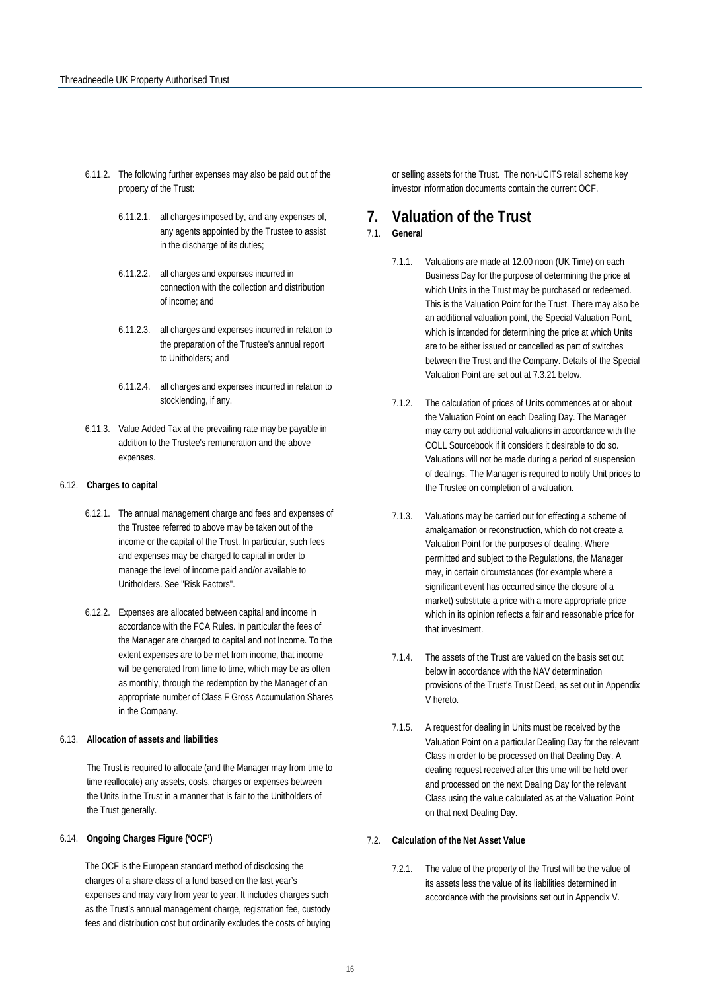- 6.11.2. The following further expenses may also be paid out of the property of the Trust:
	- 6.11.2.1. all charges imposed by, and any expenses of, any agents appointed by the Trustee to assist in the discharge of its duties;
	- 6.11.2.2. all charges and expenses incurred in connection with the collection and distribution of income; and
	- 6.11.2.3. all charges and expenses incurred in relation to the preparation of the Trustee's annual report to Unitholders; and
	- 6.11.2.4. all charges and expenses incurred in relation to stocklending, if any.
- 6.11.3. Value Added Tax at the prevailing rate may be payable in addition to the Trustee's remuneration and the above expenses.

#### 6.12. **Charges to capital**

- 6.12.1. The annual management charge and fees and expenses of the Trustee referred to above may be taken out of the income or the capital of the Trust. In particular, such fees and expenses may be charged to capital in order to manage the level of income paid and/or available to Unitholders. See "Risk Factors".
- 6.12.2. Expenses are allocated between capital and income in accordance with the FCA Rules. In particular the fees of the Manager are charged to capital and not Income. To the extent expenses are to be met from income, that income will be generated from time to time, which may be as often as monthly, through the redemption by the Manager of an appropriate number of Class F Gross Accumulation Shares in the Company.

#### 6.13. **Allocation of assets and liabilities**

The Trust is required to allocate (and the Manager may from time to time reallocate) any assets, costs, charges or expenses between the Units in the Trust in a manner that is fair to the Unitholders of the Trust generally.

#### 6.14. **Ongoing Charges Figure ('OCF')**

The OCF is the European standard method of disclosing the charges of a share class of a fund based on the last year's expenses and may vary from year to year. It includes charges such as the Trust's annual management charge, registration fee, custody fees and distribution cost but ordinarily excludes the costs of buying or selling assets for the Trust. The non-UCITS retail scheme key investor information documents contain the current OCF.

## **7. Valuation of the Trust**

#### 7.1. **General**

- 7.1.1. Valuations are made at 12.00 noon (UK Time) on each Business Day for the purpose of determining the price at which Units in the Trust may be purchased or redeemed. This is the Valuation Point for the Trust. There may also be an additional valuation point, the Special Valuation Point, which is intended for determining the price at which Units are to be either issued or cancelled as part of switches between the Trust and the Company. Details of the Special Valuation Point are set out at 7.3.21 below.
- 7.1.2. The calculation of prices of Units commences at or about the Valuation Point on each Dealing Day. The Manager may carry out additional valuations in accordance with the COLL Sourcebook if it considers it desirable to do so. Valuations will not be made during a period of suspension of dealings. The Manager is required to notify Unit prices to the Trustee on completion of a valuation.
- 7.1.3. Valuations may be carried out for effecting a scheme of amalgamation or reconstruction, which do not create a Valuation Point for the purposes of dealing. Where permitted and subject to the Regulations, the Manager may, in certain circumstances (for example where a significant event has occurred since the closure of a market) substitute a price with a more appropriate price which in its opinion reflects a fair and reasonable price for that investment.
- 7.1.4. The assets of the Trust are valued on the basis set out below in accordance with the NAV determination provisions of the Trust's Trust Deed, as set out in Appendix V hereto.
- 7.1.5. A request for dealing in Units must be received by the Valuation Point on a particular Dealing Day for the relevant Class in order to be processed on that Dealing Day. A dealing request received after this time will be held over and processed on the next Dealing Day for the relevant Class using the value calculated as at the Valuation Point on that next Dealing Day.

#### 7.2. **Calculation of the Net Asset Value**

7.2.1. The value of the property of the Trust will be the value of its assets less the value of its liabilities determined in accordance with the provisions set out in Appendix V.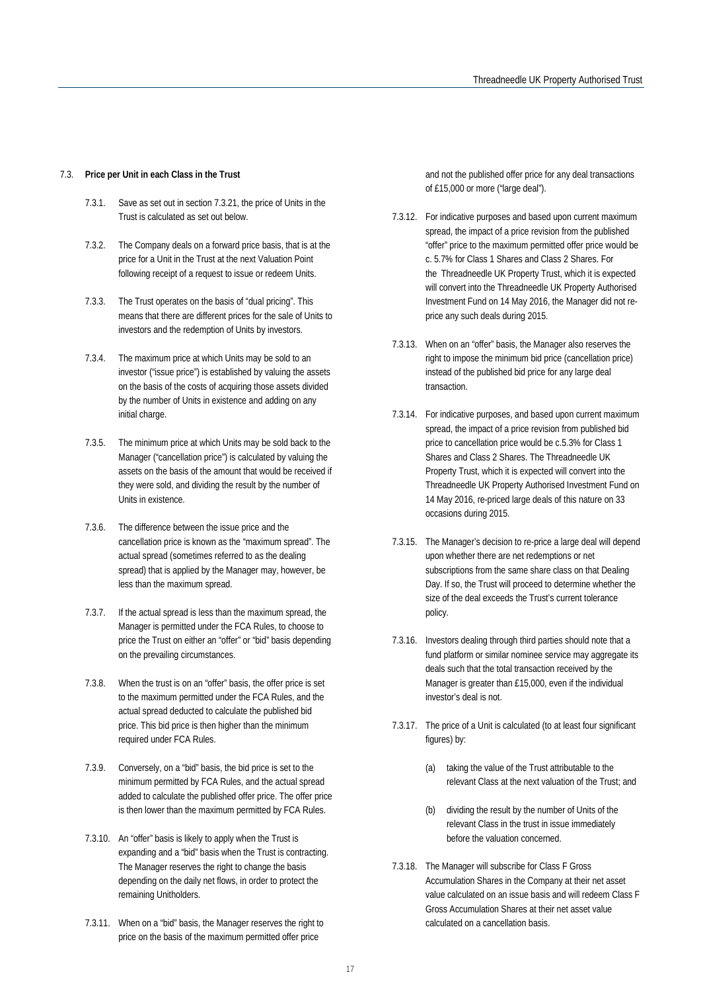#### 7.3. **Price per Unit in each Class in the Trust**

- 7.3.1. Save as set out in section 7.3.21, the price of Units in the Trust is calculated as set out below.
- 7.3.2. The Company deals on a forward price basis, that is at the price for a Unit in the Trust at the next Valuation Point following receipt of a request to issue or redeem Units.
- 7.3.3. The Trust operates on the basis of "dual pricing". This means that there are different prices for the sale of Units to investors and the redemption of Units by investors.
- 7.3.4. The maximum price at which Units may be sold to an investor ("issue price") is established by valuing the assets on the basis of the costs of acquiring those assets divided by the number of Units in existence and adding on any initial charge.
- 7.3.5. The minimum price at which Units may be sold back to the Manager ("cancellation price") is calculated by valuing the assets on the basis of the amount that would be received if they were sold, and dividing the result by the number of Units in existence.
- 7.3.6. The difference between the issue price and the cancellation price is known as the "maximum spread". The actual spread (sometimes referred to as the dealing spread) that is applied by the Manager may, however, be less than the maximum spread.
- 7.3.7. If the actual spread is less than the maximum spread, the Manager is permitted under the FCA Rules, to choose to price the Trust on either an "offer" or "bid" basis depending on the prevailing circumstances.
- 7.3.8. When the trust is on an "offer" basis, the offer price is set to the maximum permitted under the FCA Rules, and the actual spread deducted to calculate the published bid price. This bid price is then higher than the minimum required under FCA Rules.
- 7.3.9. Conversely, on a "bid" basis, the bid price is set to the minimum permitted by FCA Rules, and the actual spread added to calculate the published offer price. The offer price is then lower than the maximum permitted by FCA Rules.
- 7.3.10. An "offer" basis is likely to apply when the Trust is expanding and a "bid" basis when the Trust is contracting. The Manager reserves the right to change the basis depending on the daily net flows, in order to protect the remaining Unitholders.
- 7.3.11. When on a "bid" basis, the Manager reserves the right to price on the basis of the maximum permitted offer price

and not the published offer price for any deal transactions of £15,000 or more ("large deal").

- 7.3.12. For indicative purposes and based upon current maximum spread, the impact of a price revision from the published "offer" price to the maximum permitted offer price would be c. 5.7% for Class 1 Shares and Class 2 Shares. For the Threadneedle UK Property Trust, which it is expected will convert into the Threadneedle UK Property Authorised Investment Fund on 14 May 2016, the Manager did not reprice any such deals during 2015.
- 7.3.13. When on an "offer" basis, the Manager also reserves the right to impose the minimum bid price (cancellation price) instead of the published bid price for any large deal transaction.
- 7.3.14. For indicative purposes, and based upon current maximum spread, the impact of a price revision from published bid price to cancellation price would be c.5.3% for Class 1 Shares and Class 2 Shares. The Threadneedle UK Property Trust, which it is expected will convert into the Threadneedle UK Property Authorised Investment Fund on 14 May 2016, re-priced large deals of this nature on 33 occasions during 2015.
- 7.3.15. The Manager's decision to re-price a large deal will depend upon whether there are net redemptions or net subscriptions from the same share class on that Dealing Day. If so, the Trust will proceed to determine whether the size of the deal exceeds the Trust's current tolerance policy.
- 7.3.16. Investors dealing through third parties should note that a fund platform or similar nominee service may aggregate its deals such that the total transaction received by the Manager is greater than £15,000, even if the individual investor's deal is not.
- 7.3.17. The price of a Unit is calculated (to at least four significant figures) by:
	- (a) taking the value of the Trust attributable to the relevant Class at the next valuation of the Trust; and
	- (b) dividing the result by the number of Units of the relevant Class in the trust in issue immediately before the valuation concerned.
- 7.3.18. The Manager will subscribe for Class F Gross Accumulation Shares in the Company at their net asset value calculated on an issue basis and will redeem Class F Gross Accumulation Shares at their net asset value calculated on a cancellation basis.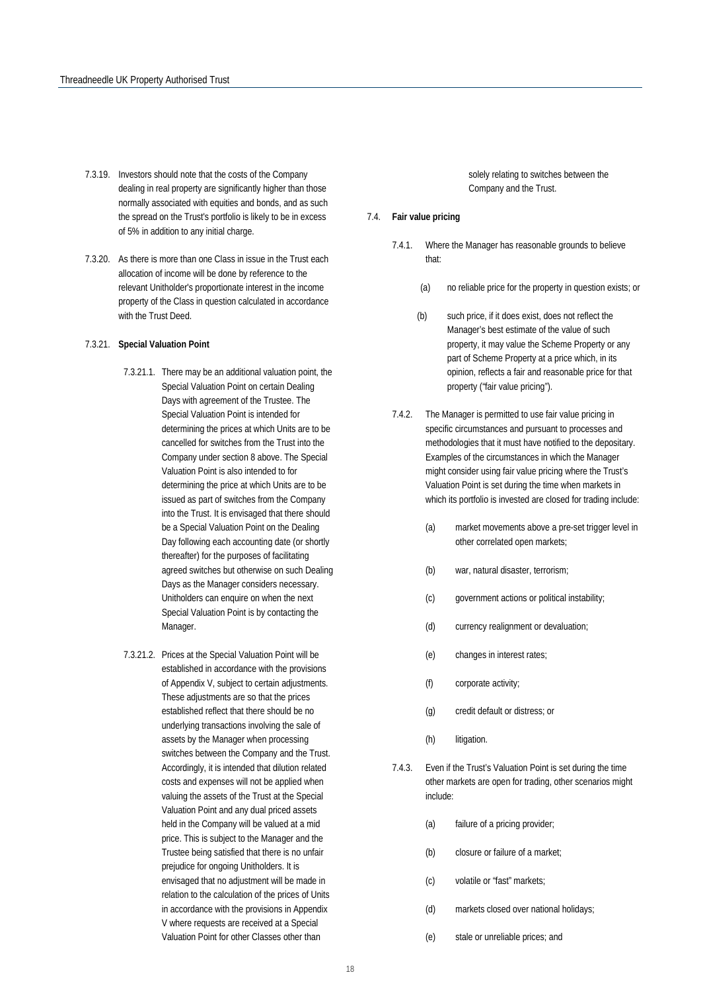- 7.3.19. Investors should note that the costs of the Company dealing in real property are significantly higher than those normally associated with equities and bonds, and as such the spread on the Trust's portfolio is likely to be in excess of 5% in addition to any initial charge.
- 7.3.20. As there is more than one Class in issue in the Trust each allocation of income will be done by reference to the relevant Unitholder's proportionate interest in the income property of the Class in question calculated in accordance with the Trust Deed.

#### 7.3.21. **Special Valuation Point**

- 7.3.21.1. There may be an additional valuation point, the Special Valuation Point on certain Dealing Days with agreement of the Trustee. The Special Valuation Point is intended for determining the prices at which Units are to be cancelled for switches from the Trust into the Company under section 8 above. The Special Valuation Point is also intended to for determining the price at which Units are to be issued as part of switches from the Company into the Trust. It is envisaged that there should be a Special Valuation Point on the Dealing Day following each accounting date (or shortly thereafter) for the purposes of facilitating agreed switches but otherwise on such Dealing Days as the Manager considers necessary. Unitholders can enquire on when the next Special Valuation Point is by contacting the Manager.
- 7.3.21.2. Prices at the Special Valuation Point will be established in accordance with the provisions of Appendix V, subject to certain adjustments. These adjustments are so that the prices established reflect that there should be no underlying transactions involving the sale of assets by the Manager when processing switches between the Company and the Trust. Accordingly, it is intended that dilution related costs and expenses will not be applied when valuing the assets of the Trust at the Special Valuation Point and any dual priced assets held in the Company will be valued at a mid price. This is subject to the Manager and the Trustee being satisfied that there is no unfair prejudice for ongoing Unitholders. It is envisaged that no adjustment will be made in relation to the calculation of the prices of Units in accordance with the provisions in Appendix V where requests are received at a Special Valuation Point for other Classes other than

solely relating to switches between the Company and the Trust.

#### 7.4. **Fair value pricing**

- 7.4.1. Where the Manager has reasonable grounds to believe that:
	- (a) no reliable price for the property in question exists; or
	- (b) such price, if it does exist, does not reflect the Manager's best estimate of the value of such property, it may value the Scheme Property or any part of Scheme Property at a price which, in its opinion, reflects a fair and reasonable price for that property ("fair value pricing").
- 7.4.2. The Manager is permitted to use fair value pricing in specific circumstances and pursuant to processes and methodologies that it must have notified to the depositary. Examples of the circumstances in which the Manager might consider using fair value pricing where the Trust's Valuation Point is set during the time when markets in which its portfolio is invested are closed for trading include:
	- (a) market movements above a pre-set trigger level in other correlated open markets;
	- (b) war, natural disaster, terrorism;
	- (c) government actions or political instability;
	- (d) currency realignment or devaluation;
	- (e) changes in interest rates;
	- (f) corporate activity;
	- (g) credit default or distress; or
	- (h) litigation.
- 7.4.3. Even if the Trust's Valuation Point is set during the time other markets are open for trading, other scenarios might include:
	- (a) failure of a pricing provider;
	- (b) closure or failure of a market;
	- (c) volatile or "fast" markets;
	- (d) markets closed over national holidays;
	- (e) stale or unreliable prices; and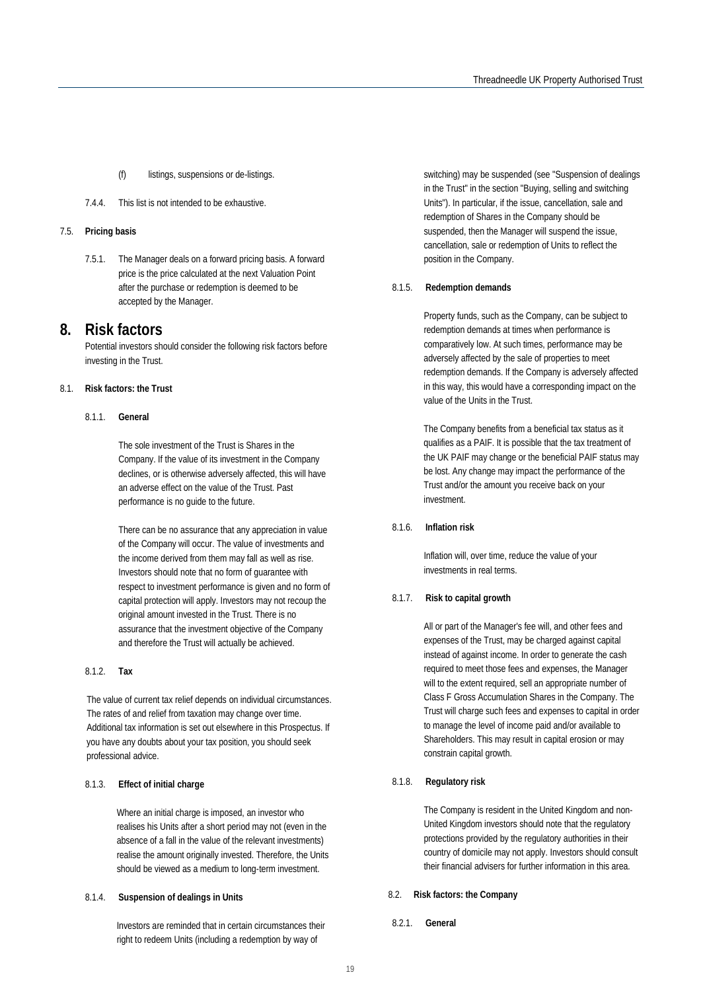- (f) listings, suspensions or de-listings.
- 7.4.4. This list is not intended to be exhaustive.

#### 7.5. **Pricing basis**

7.5.1. The Manager deals on a forward pricing basis. A forward price is the price calculated at the next Valuation Point after the purchase or redemption is deemed to be accepted by the Manager.

### <span id="page-19-0"></span>**8. Risk factors**

Potential investors should consider the following risk factors before investing in the Trust.

#### 8.1. **Risk factors: the Trust**

#### 8.1.1. **General**

The sole investment of the Trust is Shares in the Company. If the value of its investment in the Company declines, or is otherwise adversely affected, this will have an adverse effect on the value of the Trust. Past performance is no guide to the future.

There can be no assurance that any appreciation in value of the Company will occur. The value of investments and the income derived from them may fall as well as rise. Investors should note that no form of guarantee with respect to investment performance is given and no form of capital protection will apply. Investors may not recoup the original amount invested in the Trust. There is no assurance that the investment objective of the Company and therefore the Trust will actually be achieved.

#### 8.1.2. **Tax**

The value of current tax relief depends on individual circumstances. The rates of and relief from taxation may change over time. Additional tax information is set out elsewhere in this Prospectus. If you have any doubts about your tax position, you should seek professional advice.

#### 8.1.3. **Effect of initial charge**

Where an initial charge is imposed, an investor who realises his Units after a short period may not (even in the absence of a fall in the value of the relevant investments) realise the amount originally invested. Therefore, the Units should be viewed as a medium to long-term investment.

#### 8.1.4. **Suspension of dealings in Units**

Investors are reminded that in certain circumstances their right to redeem Units (including a redemption by way of

switching) may be suspended (see "Suspension of dealings in the Trust" in the section "Buying, selling and switching Units"). In particular, if the issue, cancellation, sale and redemption of Shares in the Company should be suspended, then the Manager will suspend the issue, cancellation, sale or redemption of Units to reflect the position in the Company.

#### 8.1.5. **Redemption demands**

Property funds, such as the Company, can be subject to redemption demands at times when performance is comparatively low. At such times, performance may be adversely affected by the sale of properties to meet redemption demands. If the Company is adversely affected in this way, this would have a corresponding impact on the value of the Units in the Trust.

The Company benefits from a beneficial tax status as it qualifies as a PAIF. It is possible that the tax treatment of the UK PAIF may change or the beneficial PAIF status may be lost. Any change may impact the performance of the Trust and/or the amount you receive back on your investment.

#### 8.1.6. **Inflation risk**

Inflation will, over time, reduce the value of your investments in real terms.

#### 8.1.7. **Risk to capital growth**

All or part of the Manager's fee will, and other fees and expenses of the Trust, may be charged against capital instead of against income. In order to generate the cash required to meet those fees and expenses, the Manager will to the extent required, sell an appropriate number of Class F Gross Accumulation Shares in the Company. The Trust will charge such fees and expenses to capital in order to manage the level of income paid and/or available to Shareholders. This may result in capital erosion or may constrain capital growth.

#### 8.1.8. **Regulatory risk**

The Company is resident in the United Kingdom and non-United Kingdom investors should note that the regulatory protections provided by the regulatory authorities in their country of domicile may not apply. Investors should consult their financial advisers for further information in this area.

#### 8.2. **Risk factors: the Company**

8.2.1. **General**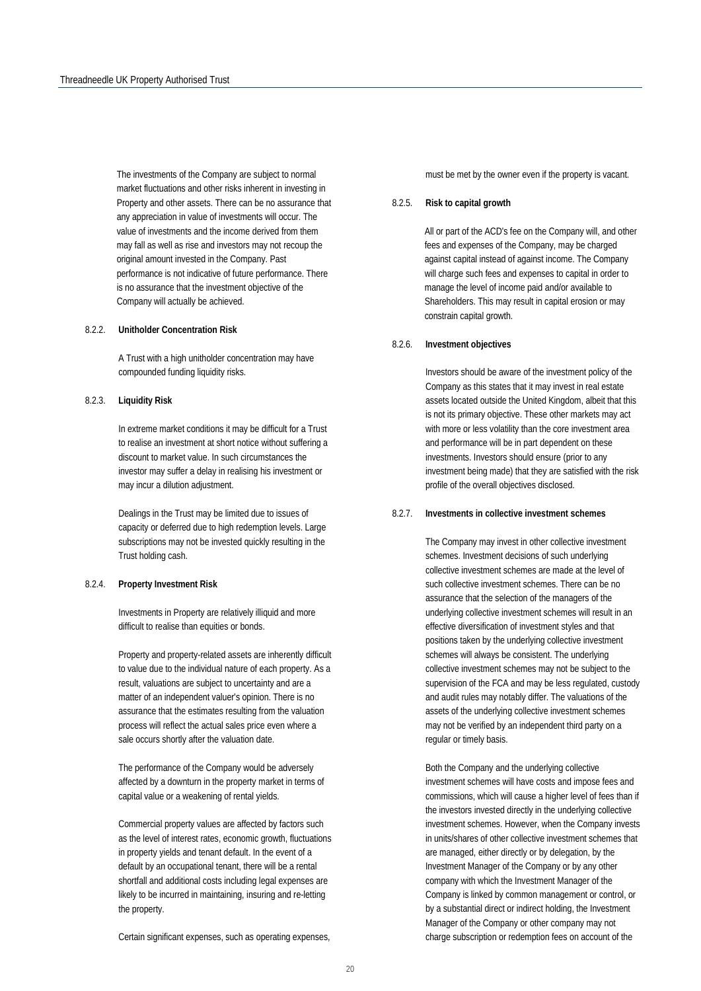The investments of the Company are subject to normal market fluctuations and other risks inherent in investing in Property and other assets. There can be no assurance that any appreciation in value of investments will occur. The value of investments and the income derived from them may fall as well as rise and investors may not recoup the original amount invested in the Company. Past performance is not indicative of future performance. There is no assurance that the investment objective of the Company will actually be achieved.

#### 8.2.2. **Unitholder Concentration Risk**

A Trust with a high unitholder concentration may have compounded funding liquidity risks.

#### 8.2.3. **Liquidity Risk**

In extreme market conditions it may be difficult for a Trust to realise an investment at short notice without suffering a discount to market value. In such circumstances the investor may suffer a delay in realising his investment or may incur a dilution adjustment.

Dealings in the Trust may be limited due to issues of capacity or deferred due to high redemption levels. Large subscriptions may not be invested quickly resulting in the Trust holding cash.

#### 8.2.4. **Property Investment Risk**

Investments in Property are relatively illiquid and more difficult to realise than equities or bonds.

Property and property-related assets are inherently difficult to value due to the individual nature of each property. As a result, valuations are subject to uncertainty and are a matter of an independent valuer's opinion. There is no assurance that the estimates resulting from the valuation process will reflect the actual sales price even where a sale occurs shortly after the valuation date.

The performance of the Company would be adversely affected by a downturn in the property market in terms of capital value or a weakening of rental yields.

Commercial property values are affected by factors such as the level of interest rates, economic growth, fluctuations in property yields and tenant default. In the event of a default by an occupational tenant, there will be a rental shortfall and additional costs including legal expenses are likely to be incurred in maintaining, insuring and re-letting the property.

Certain significant expenses, such as operating expenses,

must be met by the owner even if the property is vacant.

#### 8.2.5. **Risk to capital growth**

All or part of the ACD's fee on the Company will, and other fees and expenses of the Company, may be charged against capital instead of against income. The Company will charge such fees and expenses to capital in order to manage the level of income paid and/or available to Shareholders. This may result in capital erosion or may constrain capital growth.

#### 8.2.6. **Investment objectives**

Investors should be aware of the investment policy of the Company as this states that it may invest in real estate assets located outside the United Kingdom, albeit that this is not its primary objective. These other markets may act with more or less volatility than the core investment area and performance will be in part dependent on these investments. Investors should ensure (prior to any investment being made) that they are satisfied with the risk profile of the overall objectives disclosed.

#### 8.2.7. **Investments in collective investment schemes**

The Company may invest in other collective investment schemes. Investment decisions of such underlying collective investment schemes are made at the level of such collective investment schemes. There can be no assurance that the selection of the managers of the underlying collective investment schemes will result in an effective diversification of investment styles and that positions taken by the underlying collective investment schemes will always be consistent. The underlying collective investment schemes may not be subject to the supervision of the FCA and may be less regulated, custody and audit rules may notably differ. The valuations of the assets of the underlying collective investment schemes may not be verified by an independent third party on a regular or timely basis.

Both the Company and the underlying collective investment schemes will have costs and impose fees and commissions, which will cause a higher level of fees than if the investors invested directly in the underlying collective investment schemes. However, when the Company invests in units/shares of other collective investment schemes that are managed, either directly or by delegation, by the Investment Manager of the Company or by any other company with which the Investment Manager of the Company is linked by common management or control, or by a substantial direct or indirect holding, the Investment Manager of the Company or other company may not charge subscription or redemption fees on account of the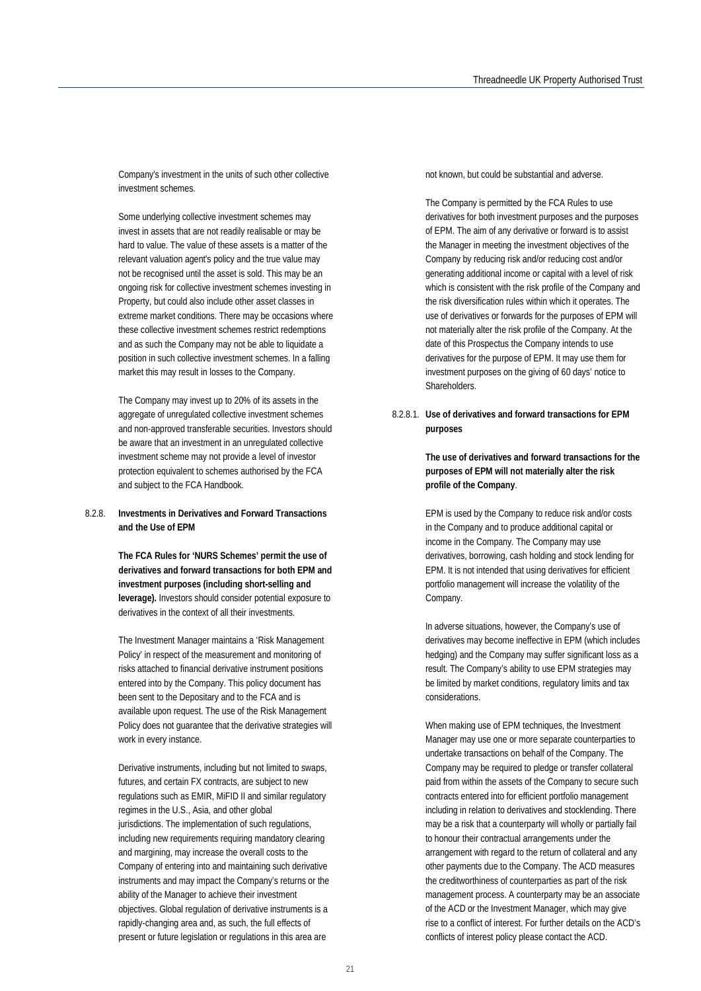Company's investment in the units of such other collective investment schemes.

Some underlying collective investment schemes may invest in assets that are not readily realisable or may be hard to value. The value of these assets is a matter of the relevant valuation agent's policy and the true value may not be recognised until the asset is sold. This may be an ongoing risk for collective investment schemes investing in Property, but could also include other asset classes in extreme market conditions. There may be occasions where these collective investment schemes restrict redemptions and as such the Company may not be able to liquidate a position in such collective investment schemes. In a falling market this may result in losses to the Company.

The Company may invest up to 20% of its assets in the aggregate of unregulated collective investment schemes and non-approved transferable securities. Investors should be aware that an investment in an unregulated collective investment scheme may not provide a level of investor protection equivalent to schemes authorised by the FCA and subject to the FCA Handbook.

#### 8.2.8. **Investments in Derivatives and Forward Transactions and the Use of EPM**

**The FCA Rules for 'NURS Schemes' permit the use of derivatives and forward transactions for both EPM and investment purposes (including short-selling and leverage).** Investors should consider potential exposure to derivatives in the context of all their investments.

The Investment Manager maintains a 'Risk Management Policy' in respect of the measurement and monitoring of risks attached to financial derivative instrument positions entered into by the Company. This policy document has been sent to the Depositary and to the FCA and is available upon request. The use of the Risk Management Policy does not guarantee that the derivative strategies will work in every instance.

Derivative instruments, including but not limited to swaps, futures, and certain FX contracts, are subject to new regulations such as EMIR, MiFID II and similar regulatory regimes in the U.S., Asia, and other global jurisdictions. The implementation of such regulations, including new requirements requiring mandatory clearing and margining, may increase the overall costs to the Company of entering into and maintaining such derivative instruments and may impact the Company's returns or the ability of the Manager to achieve their investment objectives. Global regulation of derivative instruments is a rapidly-changing area and, as such, the full effects of present or future legislation or regulations in this area are

not known, but could be substantial and adverse.

The Company is permitted by the FCA Rules to use derivatives for both investment purposes and the purposes of EPM. The aim of any derivative or forward is to assist the Manager in meeting the investment objectives of the Company by reducing risk and/or reducing cost and/or generating additional income or capital with a level of risk which is consistent with the risk profile of the Company and the risk diversification rules within which it operates. The use of derivatives or forwards for the purposes of EPM will not materially alter the risk profile of the Company. At the date of this Prospectus the Company intends to use derivatives for the purpose of EPM. It may use them for investment purposes on the giving of 60 days' notice to Shareholders.

#### 8.2.8.1. **Use of derivatives and forward transactions for EPM purposes**

**The use of derivatives and forward transactions for the purposes of EPM will not materially alter the risk profile of the Company**.

EPM is used by the Company to reduce risk and/or costs in the Company and to produce additional capital or income in the Company. The Company may use derivatives, borrowing, cash holding and stock lending for EPM. It is not intended that using derivatives for efficient portfolio management will increase the volatility of the Company.

In adverse situations, however, the Company's use of derivatives may become ineffective in EPM (which includes hedging) and the Company may suffer significant loss as a result. The Company's ability to use EPM strategies may be limited by market conditions, regulatory limits and tax considerations.

When making use of EPM techniques, the Investment Manager may use one or more separate counterparties to undertake transactions on behalf of the Company. The Company may be required to pledge or transfer collateral paid from within the assets of the Company to secure such contracts entered into for efficient portfolio management including in relation to derivatives and stocklending. There may be a risk that a counterparty will wholly or partially fail to honour their contractual arrangements under the arrangement with regard to the return of collateral and any other payments due to the Company. The ACD measures the creditworthiness of counterparties as part of the risk management process. A counterparty may be an associate of the ACD or the Investment Manager, which may give rise to a conflict of interest. For further details on the ACD's conflicts of interest policy please contact the ACD.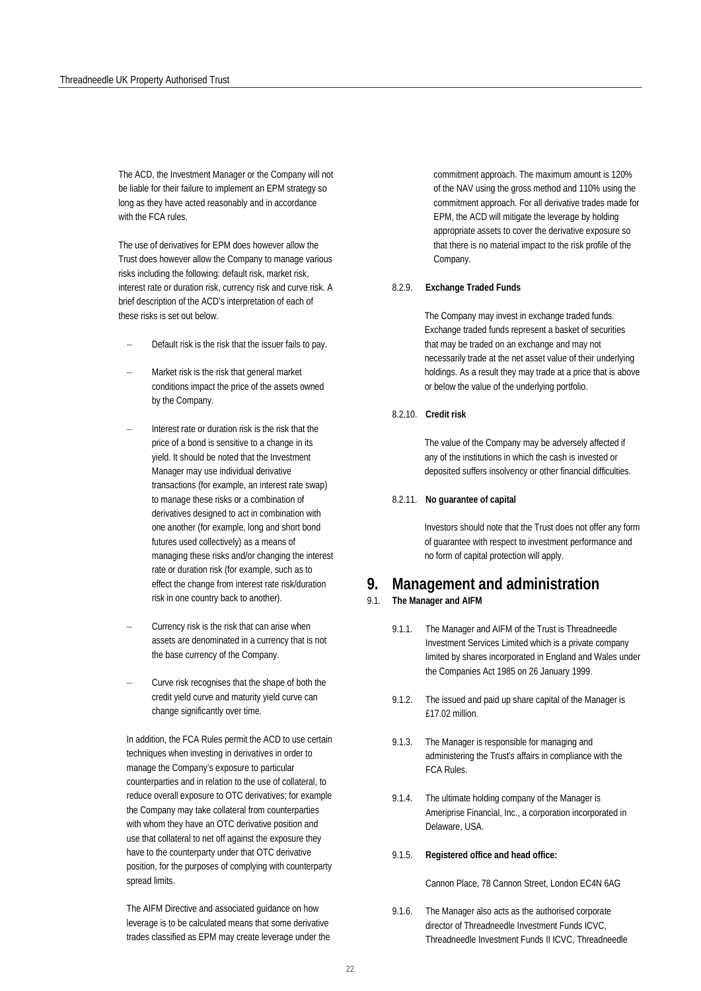The ACD, the Investment Manager or the Company will not be liable for their failure to implement an EPM strategy so long as they have acted reasonably and in accordance with the FCA rules.

The use of derivatives for EPM does however allow the Trust does however allow the Company to manage various risks including the following: default risk, market risk, interest rate or duration risk, currency risk and curve risk. A brief description of the ACD's interpretation of each of these risks is set out below.

- Default risk is the risk that the issuer fails to pay.
- − Market risk is the risk that general market conditions impact the price of the assets owned by the Company.
- Interest rate or duration risk is the risk that the price of a bond is sensitive to a change in its yield. It should be noted that the Investment Manager may use individual derivative transactions (for example, an interest rate swap) to manage these risks or a combination of derivatives designed to act in combination with one another (for example, long and short bond futures used collectively) as a means of managing these risks and/or changing the interest rate or duration risk (for example, such as to effect the change from interest rate risk/duration risk in one country back to another).
- Currency risk is the risk that can arise when assets are denominated in a currency that is not the base currency of the Company.
- Curve risk recognises that the shape of both the credit yield curve and maturity yield curve can change significantly over time.

In addition, the FCA Rules permit the ACD to use certain techniques when investing in derivatives in order to manage the Company's exposure to particular counterparties and in relation to the use of collateral, to reduce overall exposure to OTC derivatives; for example the Company may take collateral from counterparties with whom they have an OTC derivative position and use that collateral to net off against the exposure they have to the counterparty under that OTC derivative position, for the purposes of complying with counterparty spread limits.

The AIFM Directive and associated guidance on how leverage is to be calculated means that some derivative trades classified as EPM may create leverage under the commitment approach. The maximum amount is 120% of the NAV using the gross method and 110% using the commitment approach. For all derivative trades made for EPM, the ACD will mitigate the leverage by holding appropriate assets to cover the derivative exposure so that there is no material impact to the risk profile of the Company.

#### 8.2.9. **Exchange Traded Funds**

The Company may invest in exchange traded funds. Exchange traded funds represent a basket of securities that may be traded on an exchange and may not necessarily trade at the net asset value of their underlying holdings. As a result they may trade at a price that is above or below the value of the underlying portfolio.

#### 8.2.10. **Credit risk**

The value of the Company may be adversely affected if any of the institutions in which the cash is invested or deposited suffers insolvency or other financial difficulties.

#### 8.2.11. **No guarantee of capital**

Investors should note that the Trust does not offer any form of guarantee with respect to investment performance and no form of capital protection will apply.

## <span id="page-22-0"></span>**9. Management and administration**

#### 9.1. **The Manager and AIFM**

- 9.1.1. The Manager and AIFM of the Trust is Threadneedle Investment Services Limited which is a private company limited by shares incorporated in England and Wales under the Companies Act 1985 on 26 January 1999.
- 9.1.2. The issued and paid up share capital of the Manager is £17.02 million.
- 9.1.3. The Manager is responsible for managing and administering the Trust's affairs in compliance with the FCA Rules.
- 9.1.4. The ultimate holding company of the Manager is Ameriprise Financial, Inc., a corporation incorporated in Delaware, USA.

#### 9.1.5. **Registered office and head office:**

Cannon Place, 78 Cannon Street, London EC4N 6AG

9.1.6. The Manager also acts as the authorised corporate director of Threadneedle Investment Funds ICVC, Threadneedle Investment Funds II ICVC, Threadneedle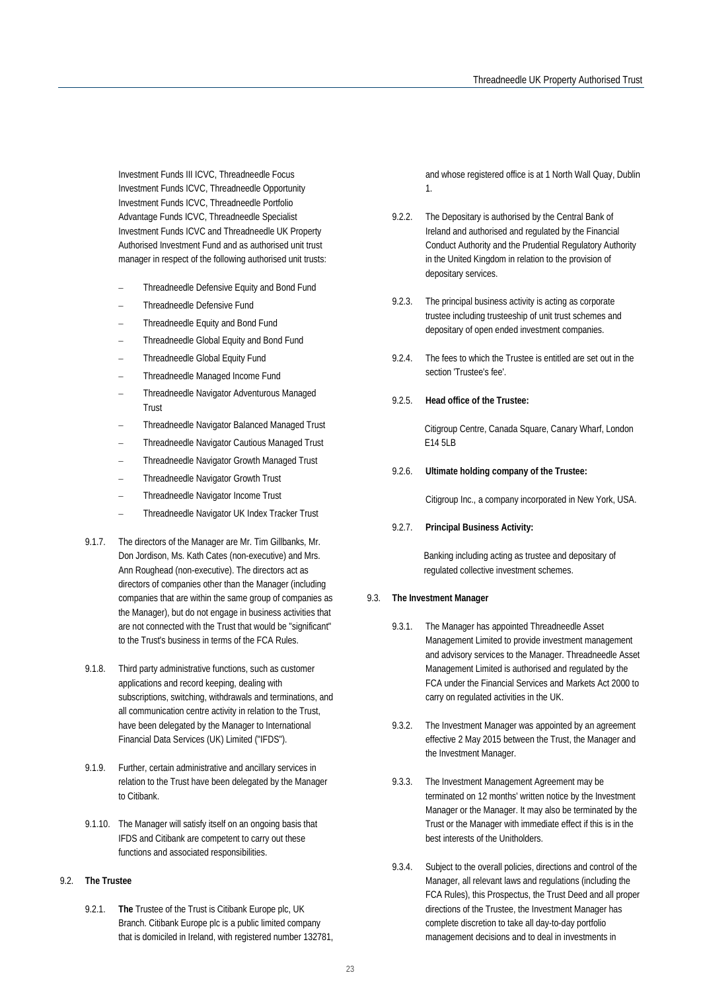Investment Funds III ICVC, Threadneedle Focus Investment Funds ICVC, Threadneedle Opportunity Investment Funds ICVC, Threadneedle Portfolio Advantage Funds ICVC, Threadneedle Specialist Investment Funds ICVC and Threadneedle UK Property Authorised Investment Fund and as authorised unit trust manager in respect of the following authorised unit trusts:

- − Threadneedle Defensive Equity and Bond Fund
- − Threadneedle Defensive Fund
- − Threadneedle Equity and Bond Fund
- − Threadneedle Global Equity and Bond Fund
- − Threadneedle Global Equity Fund
- − Threadneedle Managed Income Fund
- − Threadneedle Navigator Adventurous Managed Trust
- − Threadneedle Navigator Balanced Managed Trust
- − Threadneedle Navigator Cautious Managed Trust
- − Threadneedle Navigator Growth Managed Trust
- − Threadneedle Navigator Growth Trust
- − Threadneedle Navigator Income Trust
- − Threadneedle Navigator UK Index Tracker Trust
- 9.1.7. The directors of the Manager are Mr. Tim Gillbanks, Mr. Don Jordison, Ms. Kath Cates (non-executive) and Mrs. Ann Roughead (non-executive). The directors act as directors of companies other than the Manager (including companies that are within the same group of companies as the Manager), but do not engage in business activities that are not connected with the Trust that would be "significant" to the Trust's business in terms of the FCA Rules.
- 9.1.8. Third party administrative functions, such as customer applications and record keeping, dealing with subscriptions, switching, withdrawals and terminations, and all communication centre activity in relation to the Trust, have been delegated by the Manager to International Financial Data Services (UK) Limited ("IFDS").
- 9.1.9. Further, certain administrative and ancillary services in relation to the Trust have been delegated by the Manager to Citibank.
- 9.1.10. The Manager will satisfy itself on an ongoing basis that IFDS and Citibank are competent to carry out these functions and associated responsibilities.

#### 9.2. **The Trustee**

9.2.1. **The** Trustee of the Trust is Citibank Europe plc, UK Branch. Citibank Europe plc is a public limited company that is domiciled in Ireland, with registered number 132781, and whose registered office is at 1 North Wall Quay, Dublin 1.

- 9.2.2. The Depositary is authorised by the Central Bank of Ireland and authorised and regulated by the Financial Conduct Authority and the Prudential Regulatory Authority in the United Kingdom in relation to the provision of depositary services.
- 9.2.3. The principal business activity is acting as corporate trustee including trusteeship of unit trust schemes and depositary of open ended investment companies.
- 9.2.4. The fees to which the Trustee is entitled are set out in the section 'Trustee's fee'.
- 9.2.5. **Head office of the Trustee:**

Citigroup Centre, Canada Square, Canary Wharf, London E14 5LB

9.2.6. **Ultimate holding company of the Trustee:**

Citigroup Inc., a company incorporated in New York, USA.

#### 9.2.7. **Principal Business Activity:**

Banking including acting as trustee and depositary of regulated collective investment schemes.

#### <span id="page-23-0"></span>9.3. **The Investment Manager**

- 9.3.1. The Manager has appointed Threadneedle Asset Management Limited to provide investment management and advisory services to the Manager. Threadneedle Asset Management Limited is authorised and regulated by the FCA under the Financial Services and Markets Act 2000 to carry on regulated activities in the UK.
- 9.3.2. The Investment Manager was appointed by an agreement effective 2 May 2015 between the Trust, the Manager and the Investment Manager.
- 9.3.3. The Investment Management Agreement may be terminated on 12 months' written notice by the Investment Manager or the Manager. It may also be terminated by the Trust or the Manager with immediate effect if this is in the best interests of the Unitholders.
- 9.3.4. Subject to the overall policies, directions and control of the Manager, all relevant laws and regulations (including the FCA Rules), this Prospectus, the Trust Deed and all proper directions of the Trustee, the Investment Manager has complete discretion to take all day-to-day portfolio management decisions and to deal in investments in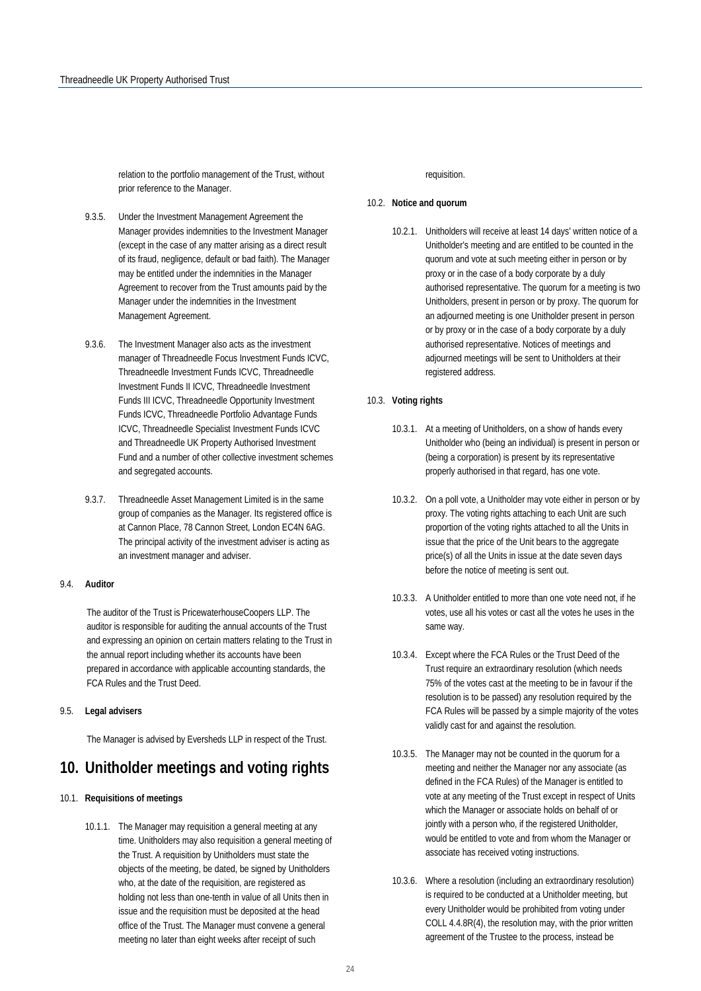relation to the portfolio management of the Trust, without prior reference to the Manager.

- 9.3.5. Under the Investment Management Agreement the Manager provides indemnities to the Investment Manager (except in the case of any matter arising as a direct result of its fraud, negligence, default or bad faith). The Manager may be entitled under the indemnities in the Manager Agreement to recover from the Trust amounts paid by the Manager under the indemnities in the Investment Management Agreement.
- 9.3.6. The Investment Manager also acts as the investment manager of Threadneedle Focus Investment Funds ICVC, Threadneedle Investment Funds ICVC, Threadneedle Investment Funds II ICVC, Threadneedle Investment Funds III ICVC, Threadneedle Opportunity Investment Funds ICVC, Threadneedle Portfolio Advantage Funds ICVC, Threadneedle Specialist Investment Funds ICVC and Threadneedle UK Property Authorised Investment Fund and a number of other collective investment schemes and segregated accounts.
- 9.3.7. Threadneedle Asset Management Limited is in the same group of companies as the Manager. Its registered office is at Cannon Place, 78 Cannon Street, London EC4N 6AG. The principal activity of the investment adviser is acting as an investment manager and adviser.

#### <span id="page-24-0"></span>9.4. **Auditor**

The auditor of the Trust is PricewaterhouseCoopers LLP. The auditor is responsible for auditing the annual accounts of the Trust and expressing an opinion on certain matters relating to the Trust in the annual report including whether its accounts have been prepared in accordance with applicable accounting standards, the FCA Rules and the Trust Deed.

#### 9.5. **Legal advisers**

The Manager is advised by Eversheds LLP in respect of the Trust.

## **10. Unitholder meetings and voting rights**

#### 10.1. **Requisitions of meetings**

10.1.1. The Manager may requisition a general meeting at any time. Unitholders may also requisition a general meeting of the Trust. A requisition by Unitholders must state the objects of the meeting, be dated, be signed by Unitholders who, at the date of the requisition, are registered as holding not less than one-tenth in value of all Units then in issue and the requisition must be deposited at the head office of the Trust. The Manager must convene a general meeting no later than eight weeks after receipt of such

requisition.

#### 10.2. **Notice and quorum**

10.2.1. Unitholders will receive at least 14 days' written notice of a Unitholder's meeting and are entitled to be counted in the quorum and vote at such meeting either in person or by proxy or in the case of a body corporate by a duly authorised representative. The quorum for a meeting is two Unitholders, present in person or by proxy. The quorum for an adjourned meeting is one Unitholder present in person or by proxy or in the case of a body corporate by a duly authorised representative. Notices of meetings and adjourned meetings will be sent to Unitholders at their registered address.

#### 10.3. **Voting rights**

- 10.3.1. At a meeting of Unitholders, on a show of hands every Unitholder who (being an individual) is present in person or (being a corporation) is present by its representative properly authorised in that regard, has one vote.
- 10.3.2. On a poll vote, a Unitholder may vote either in person or by proxy. The voting rights attaching to each Unit are such proportion of the voting rights attached to all the Units in issue that the price of the Unit bears to the aggregate price(s) of all the Units in issue at the date seven days before the notice of meeting is sent out.
- 10.3.3. A Unitholder entitled to more than one vote need not, if he votes, use all his votes or cast all the votes he uses in the same way.
- 10.3.4. Except where the FCA Rules or the Trust Deed of the Trust require an extraordinary resolution (which needs 75% of the votes cast at the meeting to be in favour if the resolution is to be passed) any resolution required by the FCA Rules will be passed by a simple majority of the votes validly cast for and against the resolution.
- 10.3.5. The Manager may not be counted in the quorum for a meeting and neither the Manager nor any associate (as defined in the FCA Rules) of the Manager is entitled to vote at any meeting of the Trust except in respect of Units which the Manager or associate holds on behalf of or jointly with a person who, if the registered Unitholder, would be entitled to vote and from whom the Manager or associate has received voting instructions.
- 10.3.6. Where a resolution (including an extraordinary resolution) is required to be conducted at a Unitholder meeting, but every Unitholder would be prohibited from voting under COLL 4.4.8R(4), the resolution may, with the prior written agreement of the Trustee to the process, instead be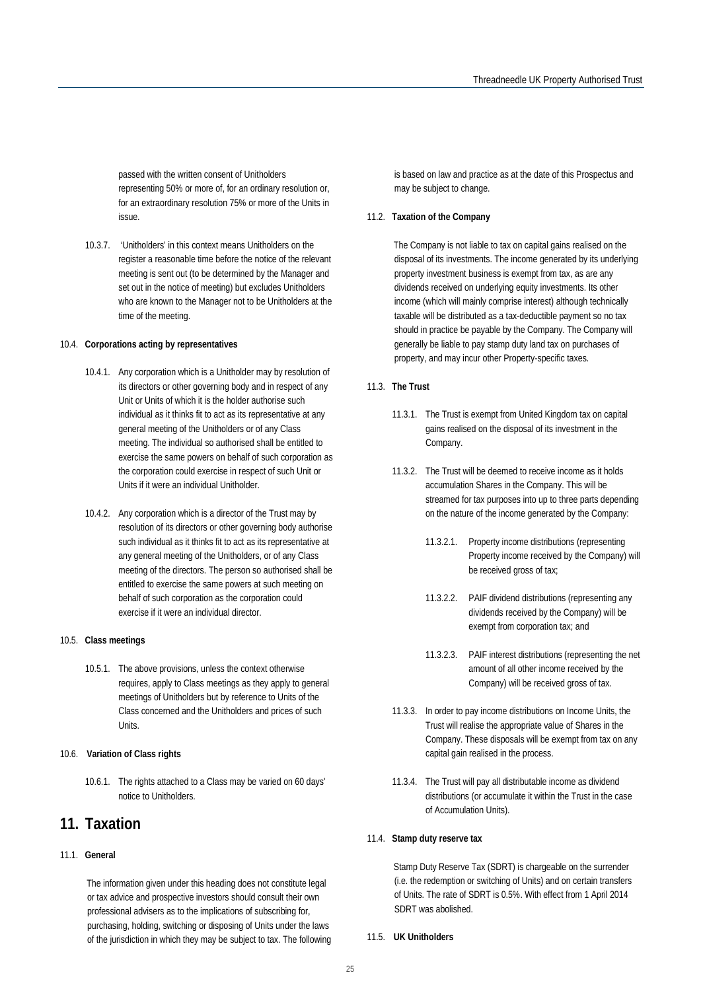passed with the written consent of Unitholders representing 50% or more of, for an ordinary resolution or, for an extraordinary resolution 75% or more of the Units in issue.

10.3.7. 'Unitholders' in this context means Unitholders on the register a reasonable time before the notice of the relevant meeting is sent out (to be determined by the Manager and set out in the notice of meeting) but excludes Unitholders who are known to the Manager not to be Unitholders at the time of the meeting.

#### 10.4. **Corporations acting by representatives**

- 10.4.1. Any corporation which is a Unitholder may by resolution of its directors or other governing body and in respect of any Unit or Units of which it is the holder authorise such individual as it thinks fit to act as its representative at any general meeting of the Unitholders or of any Class meeting. The individual so authorised shall be entitled to exercise the same powers on behalf of such corporation as the corporation could exercise in respect of such Unit or Units if it were an individual Unitholder.
- 10.4.2. Any corporation which is a director of the Trust may by resolution of its directors or other governing body authorise such individual as it thinks fit to act as its representative at any general meeting of the Unitholders, or of any Class meeting of the directors. The person so authorised shall be entitled to exercise the same powers at such meeting on behalf of such corporation as the corporation could exercise if it were an individual director.

#### 10.5. **Class meetings**

10.5.1. The above provisions, unless the context otherwise requires, apply to Class meetings as they apply to general meetings of Unitholders but by reference to Units of the Class concerned and the Unitholders and prices of such Units.

#### 10.6. **Variation of Class rights**

10.6.1. The rights attached to a Class may be varied on 60 days' notice to Unitholders.

## **11. Taxation**

#### 11.1. **General**

The information given under this heading does not constitute legal or tax advice and prospective investors should consult their own professional advisers as to the implications of subscribing for, purchasing, holding, switching or disposing of Units under the laws of the jurisdiction in which they may be subject to tax. The following is based on law and practice as at the date of this Prospectus and may be subject to change.

#### 11.2. **Taxation of the Company**

The Company is not liable to tax on capital gains realised on the disposal of its investments. The income generated by its underlying property investment business is exempt from tax, as are any dividends received on underlying equity investments. Its other income (which will mainly comprise interest) although technically taxable will be distributed as a tax-deductible payment so no tax should in practice be payable by the Company. The Company will generally be liable to pay stamp duty land tax on purchases of property, and may incur other Property-specific taxes.

#### 11.3. **The Trust**

- 11.3.1. The Trust is exempt from United Kingdom tax on capital gains realised on the disposal of its investment in the Company.
- 11.3.2. The Trust will be deemed to receive income as it holds accumulation Shares in the Company. This will be streamed for tax purposes into up to three parts depending on the nature of the income generated by the Company:
	- 11.3.2.1. Property income distributions (representing Property income received by the Company) will be received gross of tax;
	- 11.3.2.2. PAIF dividend distributions (representing any dividends received by the Company) will be exempt from corporation tax; and
	- 11.3.2.3. PAIF interest distributions (representing the net amount of all other income received by the Company) will be received gross of tax.
- 11.3.3. In order to pay income distributions on Income Units, the Trust will realise the appropriate value of Shares in the Company. These disposals will be exempt from tax on any capital gain realised in the process.
- 11.3.4. The Trust will pay all distributable income as dividend distributions (or accumulate it within the Trust in the case of Accumulation Units).

#### 11.4. **Stamp duty reserve tax**

Stamp Duty Reserve Tax (SDRT) is chargeable on the surrender (i.e. the redemption or switching of Units) and on certain transfers of Units. The rate of SDRT is 0.5%. With effect from 1 April 2014 SDRT was abolished.

#### 11.5. **UK Unitholders**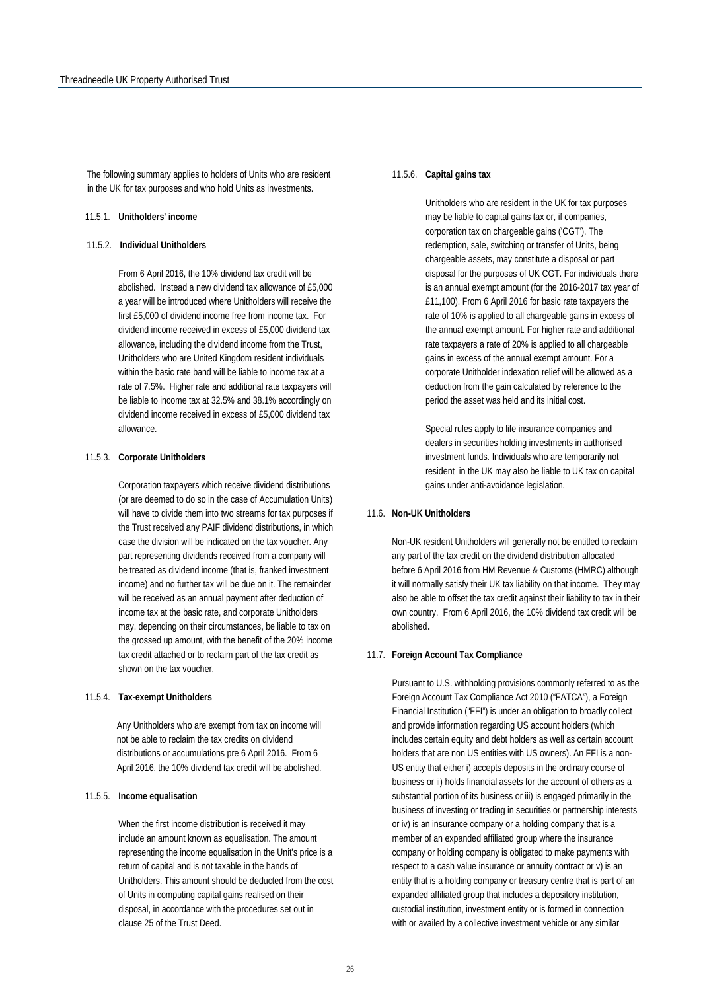The following summary applies to holders of Units who are resident in the UK for tax purposes and who hold Units as investments.

#### 11.5.1. **Unitholders' income**

#### 11.5.2. **Individual Unitholders**

From 6 April 2016, the 10% dividend tax credit will be abolished. Instead a new dividend tax allowance of £5,000 a year will be introduced where Unitholders will receive the first £5,000 of dividend income free from income tax. For dividend income received in excess of £5,000 dividend tax allowance, including the dividend income from the Trust, Unitholders who are United Kingdom resident individuals within the basic rate band will be liable to income tax at a rate of 7.5%. Higher rate and additional rate taxpayers will be liable to income tax at 32.5% and 38.1% accordingly on dividend income received in excess of £5,000 dividend tax allowance.

#### 11.5.3. **Corporate Unitholders**

Corporation taxpayers which receive dividend distributions (or are deemed to do so in the case of Accumulation Units) will have to divide them into two streams for tax purposes if the Trust received any PAIF dividend distributions, in which case the division will be indicated on the tax voucher. Any part representing dividends received from a company will be treated as dividend income (that is, franked investment income) and no further tax will be due on it. The remainder will be received as an annual payment after deduction of income tax at the basic rate, and corporate Unitholders may, depending on their circumstances, be liable to tax on the grossed up amount, with the benefit of the 20% income tax credit attached or to reclaim part of the tax credit as shown on the tax voucher.

#### 11.5.4. **Tax-exempt Unitholders**

Any Unitholders who are exempt from tax on income will not be able to reclaim the tax credits on dividend distributions or accumulations pre 6 April 2016. From 6 April 2016, the 10% dividend tax credit will be abolished.

#### 11.5.5. **Income equalisation**

When the first income distribution is received it may include an amount known as equalisation. The amount representing the income equalisation in the Unit's price is a return of capital and is not taxable in the hands of Unitholders. This amount should be deducted from the cost of Units in computing capital gains realised on their disposal, in accordance with the procedures set out in clause 25 of the Trust Deed.

#### 11.5.6. **Capital gains tax**

Unitholders who are resident in the UK for tax purposes may be liable to capital gains tax or, if companies, corporation tax on chargeable gains ('CGT'). The redemption, sale, switching or transfer of Units, being chargeable assets, may constitute a disposal or part disposal for the purposes of UK CGT. For individuals there is an annual exempt amount (for the 2016-2017 tax year of £11,100). From 6 April 2016 for basic rate taxpayers the rate of 10% is applied to all chargeable gains in excess of the annual exempt amount. For higher rate and additional rate taxpayers a rate of 20% is applied to all chargeable gains in excess of the annual exempt amount. For a corporate Unitholder indexation relief will be allowed as a deduction from the gain calculated by reference to the period the asset was held and its initial cost.

Special rules apply to life insurance companies and dealers in securities holding investments in authorised investment funds. Individuals who are temporarily not resident in the UK may also be liable to UK tax on capital gains under anti-avoidance legislation.

#### 11.6. **Non-UK Unitholders**

Non-UK resident Unitholders will generally not be entitled to reclaim any part of the tax credit on the dividend distribution allocated before 6 April 2016 from HM Revenue & Customs (HMRC) although it will normally satisfy their UK tax liability on that income. They may also be able to offset the tax credit against their liability to tax in their own country. From 6 April 2016, the 10% dividend tax credit will be abolished.

#### 11.7. **Foreign Account Tax Compliance**

Pursuant to U.S. withholding provisions commonly referred to as the Foreign Account Tax Compliance Act 2010 ("FATCA"), a Foreign Financial Institution ("FFI") is under an obligation to broadly collect and provide information regarding US account holders (which includes certain equity and debt holders as well as certain account holders that are non US entities with US owners). An FFI is a non-US entity that either i) accepts deposits in the ordinary course of business or ii) holds financial assets for the account of others as a substantial portion of its business or iii) is engaged primarily in the business of investing or trading in securities or partnership interests or iv) is an insurance company or a holding company that is a member of an expanded affiliated group where the insurance company or holding company is obligated to make payments with respect to a cash value insurance or annuity contract or v) is an entity that is a holding company or treasury centre that is part of an expanded affiliated group that includes a depository institution, custodial institution, investment entity or is formed in connection with or availed by a collective investment vehicle or any similar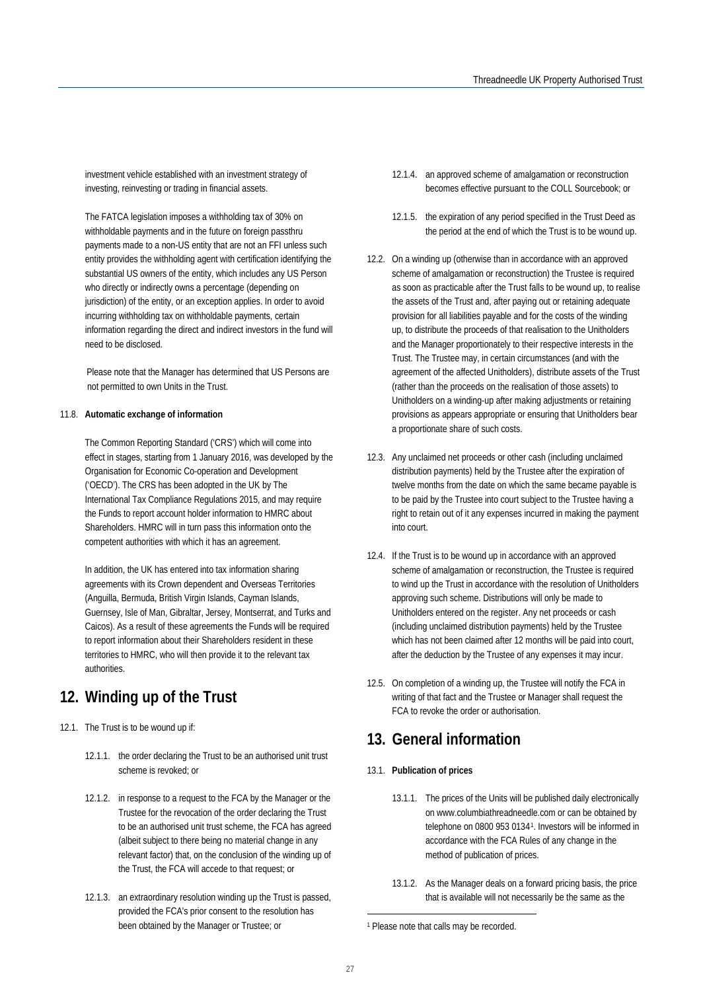investment vehicle established with an investment strategy of investing, reinvesting or trading in financial assets.

The FATCA legislation imposes a withholding tax of 30% on withholdable payments and in the future on foreign passthru payments made to a non-US entity that are not an FFI unless such entity provides the withholding agent with certification identifying the substantial US owners of the entity, which includes any US Person who directly or indirectly owns a percentage (depending on jurisdiction) of the entity, or an exception applies. In order to avoid incurring withholding tax on withholdable payments, certain information regarding the direct and indirect investors in the fund will need to be disclosed.

Please note that the Manager has determined that US Persons are not permitted to own Units in the Trust.

#### 11.8. **Automatic exchange of information**

The Common Reporting Standard ('CRS') which will come into effect in stages, starting from 1 January 2016, was developed by the Organisation for Economic Co-operation and Development ('OECD'). The CRS has been adopted in the UK by The International Tax Compliance Regulations 2015, and may require the Funds to report account holder information to HMRC about Shareholders. HMRC will in turn pass this information onto the competent authorities with which it has an agreement.

In addition, the UK has entered into tax information sharing agreements with its Crown dependent and Overseas Territories (Anguilla, Bermuda, British Virgin Islands, Cayman Islands, Guernsey, Isle of Man, Gibraltar, Jersey, Montserrat, and Turks and Caicos). As a result of these agreements the Funds will be required to report information about their Shareholders resident in these territories to HMRC, who will then provide it to the relevant tax authorities.

## **12. Winding up of the Trust**

- <span id="page-27-0"></span>12.1. The Trust is to be wound up if:
	- 12.1.1. the order declaring the Trust to be an authorised unit trust scheme is revoked; or
	- 12.1.2. in response to a request to the FCA by the Manager or the Trustee for the revocation of the order declaring the Trust to be an authorised unit trust scheme, the FCA has agreed (albeit subject to there being no material change in any relevant factor) that, on the conclusion of the winding up of the Trust, the FCA will accede to that request; or
	- 12.1.3. an extraordinary resolution winding up the Trust is passed, provided the FCA's prior consent to the resolution has been obtained by the Manager or Trustee; or
- 12.1.4. an approved scheme of amalgamation or reconstruction becomes effective pursuant to the COLL Sourcebook; or
- 12.1.5. the expiration of any period specified in the Trust Deed as the period at the end of which the Trust is to be wound up.
- 12.2. On a winding up (otherwise than in accordance with an approved scheme of amalgamation or reconstruction) the Trustee is required as soon as practicable after the Trust falls to be wound up, to realise the assets of the Trust and, after paying out or retaining adequate provision for all liabilities payable and for the costs of the winding up, to distribute the proceeds of that realisation to the Unitholders and the Manager proportionately to their respective interests in the Trust. The Trustee may, in certain circumstances (and with the agreement of the affected Unitholders), distribute assets of the Trust (rather than the proceeds on the realisation of those assets) to Unitholders on a winding-up after making adjustments or retaining provisions as appears appropriate or ensuring that Unitholders bear a proportionate share of such costs.
- 12.3. Any unclaimed net proceeds or other cash (including unclaimed distribution payments) held by the Trustee after the expiration of twelve months from the date on which the same became payable is to be paid by the Trustee into court subject to the Trustee having a right to retain out of it any expenses incurred in making the payment into court.
- 12.4. If the Trust is to be wound up in accordance with an approved scheme of amalgamation or reconstruction, the Trustee is required to wind up the Trust in accordance with the resolution of Unitholders approving such scheme. Distributions will only be made to Unitholders entered on the register. Any net proceeds or cash (including unclaimed distribution payments) held by the Trustee which has not been claimed after 12 months will be paid into court, after the deduction by the Trustee of any expenses it may incur.
- 12.5. On completion of a winding up, the Trustee will notify the FCA in writing of that fact and the Trustee or Manager shall request the FCA to revoke the order or authorisation.

## **13. General information**

- 13.1. **Publication of prices**
	- 13.1.1. The prices of the Units will be published daily electronically on www.columbiathreadneedle.com or can be obtained by telephone on 0800 953 0134[1](#page-27-0). Investors will be informed in accordance with the FCA Rules of any change in the method of publication of prices.
	- 13.1.2. As the Manager deals on a forward pricing basis, the price that is available will not necessarily be the same as the

1

<sup>1</sup> Please note that calls may be recorded.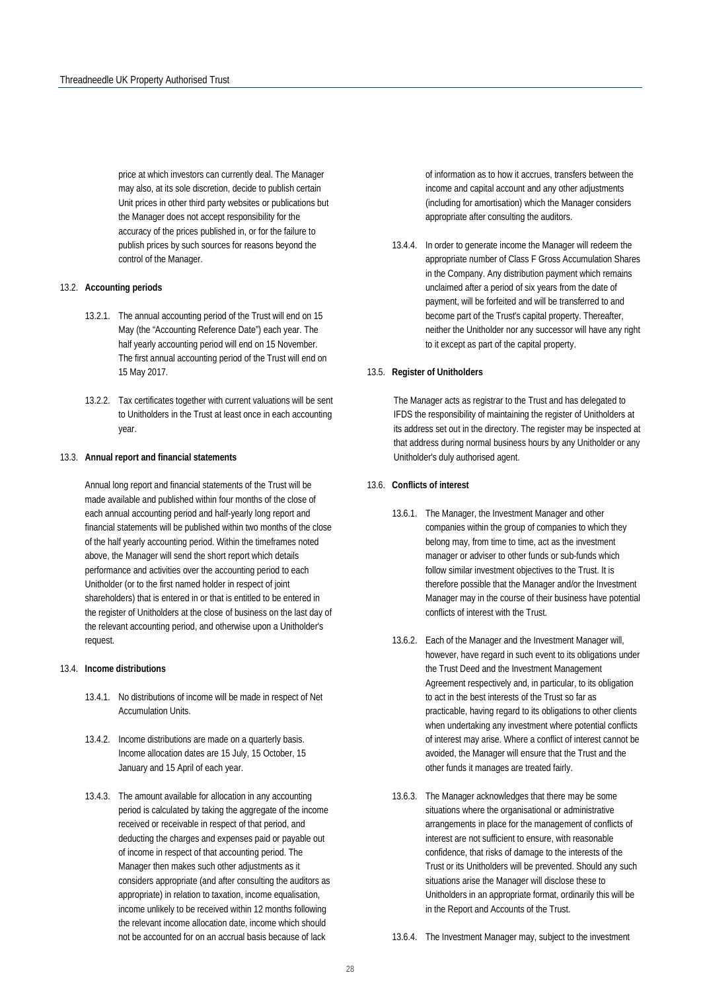price at which investors can currently deal. The Manager may also, at its sole discretion, decide to publish certain Unit prices in other third party websites or publications but the Manager does not accept responsibility for the accuracy of the prices published in, or for the failure to publish prices by such sources for reasons beyond the control of the Manager.

#### 13.2. **Accounting periods**

- 13.2.1. The annual accounting period of the Trust will end on 15 May (the "Accounting Reference Date") each year. The half yearly accounting period will end on 15 November. The first annual accounting period of the Trust will end on 15 May 2017.
- 13.2.2. Tax certificates together with current valuations will be sent to Unitholders in the Trust at least once in each accounting year.

#### 13.3. **Annual report and financial statements**

Annual long report and financial statements of the Trust will be made available and published within four months of the close of each annual accounting period and half-yearly long report and financial statements will be published within two months of the close of the half yearly accounting period. Within the timeframes noted above, the Manager will send the short report which details performance and activities over the accounting period to each Unitholder (or to the first named holder in respect of joint shareholders) that is entered in or that is entitled to be entered in the register of Unitholders at the close of business on the last day of the relevant accounting period, and otherwise upon a Unitholder's request.

#### 13.4. **Income distributions**

- 13.4.1. No distributions of income will be made in respect of Net Accumulation Units.
- 13.4.2. Income distributions are made on a quarterly basis. Income allocation dates are 15 July, 15 October, 15 January and 15 April of each year.
- 13.4.3. The amount available for allocation in any accounting period is calculated by taking the aggregate of the income received or receivable in respect of that period, and deducting the charges and expenses paid or payable out of income in respect of that accounting period. The Manager then makes such other adjustments as it considers appropriate (and after consulting the auditors as appropriate) in relation to taxation, income equalisation, income unlikely to be received within 12 months following the relevant income allocation date, income which should not be accounted for on an accrual basis because of lack

of information as to how it accrues, transfers between the income and capital account and any other adjustments (including for amortisation) which the Manager considers appropriate after consulting the auditors.

13.4.4. In order to generate income the Manager will redeem the appropriate number of Class F Gross Accumulation Shares in the Company. Any distribution payment which remains unclaimed after a period of six years from the date of payment, will be forfeited and will be transferred to and become part of the Trust's capital property. Thereafter, neither the Unitholder nor any successor will have any right to it except as part of the capital property.

#### 13.5. **Register of Unitholders**

The Manager acts as registrar to the Trust and has delegated to IFDS the responsibility of maintaining the register of Unitholders at its address set out in the directory. The register may be inspected at that address during normal business hours by any Unitholder or any Unitholder's duly authorised agent.

#### 13.6. **Conflicts of interest**

- 13.6.1. The Manager, the Investment Manager and other companies within the group of companies to which they belong may, from time to time, act as the investment manager or adviser to other funds or sub-funds which follow similar investment objectives to the Trust. It is therefore possible that the Manager and/or the Investment Manager may in the course of their business have potential conflicts of interest with the Trust.
- 13.6.2. Each of the Manager and the Investment Manager will, however, have regard in such event to its obligations under the Trust Deed and the Investment Management Agreement respectively and, in particular, to its obligation to act in the best interests of the Trust so far as practicable, having regard to its obligations to other clients when undertaking any investment where potential conflicts of interest may arise. Where a conflict of interest cannot be avoided, the Manager will ensure that the Trust and the other funds it manages are treated fairly.
- 13.6.3. The Manager acknowledges that there may be some situations where the organisational or administrative arrangements in place for the management of conflicts of interest are not sufficient to ensure, with reasonable confidence, that risks of damage to the interests of the Trust or its Unitholders will be prevented. Should any such situations arise the Manager will disclose these to Unitholders in an appropriate format, ordinarily this will be in the Report and Accounts of the Trust.

<sup>13.6.4.</sup> The Investment Manager may, subject to the investment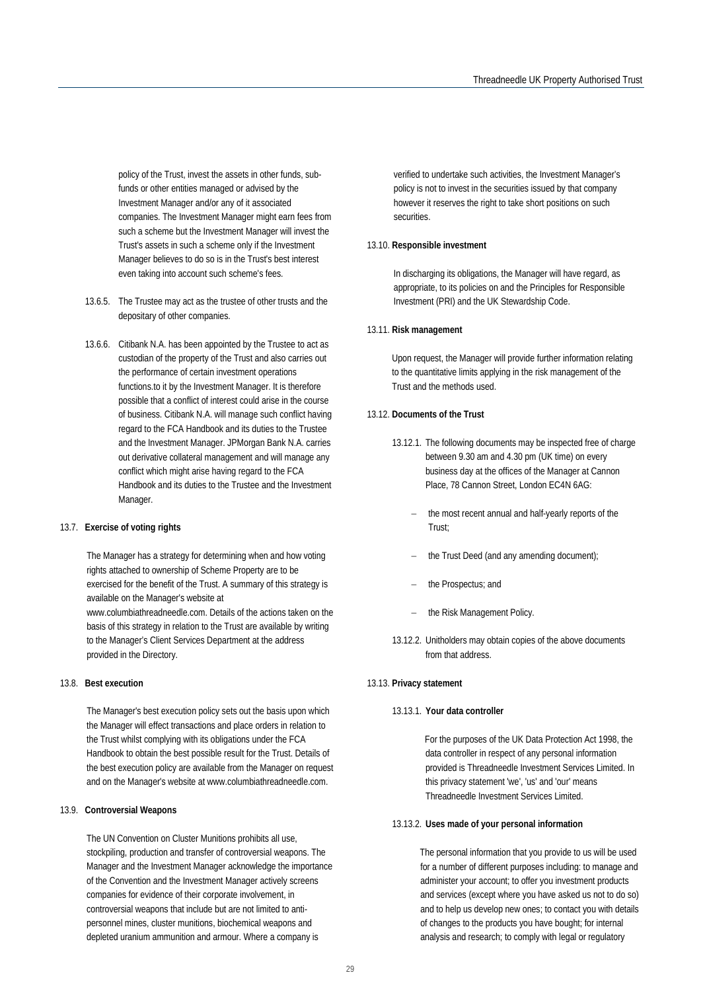policy of the Trust, invest the assets in other funds, subfunds or other entities managed or advised by the Investment Manager and/or any of it associated companies. The Investment Manager might earn fees from such a scheme but the Investment Manager will invest the Trust's assets in such a scheme only if the Investment Manager believes to do so is in the Trust's best interest even taking into account such scheme's fees.

- 13.6.5. The Trustee may act as the trustee of other trusts and the depositary of other companies.
- 13.6.6. Citibank N.A. has been appointed by the Trustee to act as custodian of the property of the Trust and also carries out the performance of certain investment operations functions.to it by the Investment Manager. It is therefore possible that a conflict of interest could arise in the course of business. Citibank N.A. will manage such conflict having regard to the FCA Handbook and its duties to the Trustee and the Investment Manager. JPMorgan Bank N.A. carries out derivative collateral management and will manage any conflict which might arise having regard to the FCA Handbook and its duties to the Trustee and the Investment Manager.

#### 13.7. **Exercise of voting rights**

The Manager has a strategy for determining when and how voting rights attached to ownership of Scheme Property are to be exercised for the benefit of the Trust. A summary of this strategy is available on the Manager's website at www.columbiathreadneedle.com. Details of the actions taken on the

basis of this strategy in relation to the Trust are available by writing to the Manager's Client Services Department at the address provided in the Directory.

#### 13.8. **Best execution**

The Manager's best execution policy sets out the basis upon which the Manager will effect transactions and place orders in relation to the Trust whilst complying with its obligations under the FCA Handbook to obtain the best possible result for the Trust. Details of the best execution policy are available from the Manager on request and on the Manager's website at www.columbiathreadneedle.com.

#### 13.9. **Controversial Weapons**

The UN Convention on Cluster Munitions prohibits all use, stockpiling, production and transfer of controversial weapons. The Manager and the Investment Manager acknowledge the importance of the Convention and the Investment Manager actively screens companies for evidence of their corporate involvement, in controversial weapons that include but are not limited to antipersonnel mines, cluster munitions, biochemical weapons and depleted uranium ammunition and armour. Where a company is

verified to undertake such activities, the Investment Manager's policy is not to invest in the securities issued by that company however it reserves the right to take short positions on such securities.

#### 13.10. **Responsible investment**

In discharging its obligations, the Manager will have regard, as appropriate, to its policies on and the Principles for Responsible Investment (PRI) and the UK Stewardship Code.

#### 13.11. **Risk management**

Upon request, the Manager will provide further information relating to the quantitative limits applying in the risk management of the Trust and the methods used.

#### 13.12. **Documents of the Trust**

- 13.12.1. The following documents may be inspected free of charge between 9.30 am and 4.30 pm (UK time) on every business day at the offices of the Manager at Cannon Place, 78 Cannon Street, London EC4N 6AG:
	- the most recent annual and half-yearly reports of the Trust;
	- the Trust Deed (and any amending document);
	- the Prospectus; and
	- the Risk Management Policy.
- 13.12.2. Unitholders may obtain copies of the above documents from that address.

#### 13.13. **Privacy statement**

#### 13.13.1. **Your data controller**

For the purposes of the UK Data Protection Act 1998, the data controller in respect of any personal information provided is Threadneedle Investment Services Limited. In this privacy statement 'we', 'us' and 'our' means Threadneedle Investment Services Limited.

#### 13.13.2. **Uses made of your personal information**

The personal information that you provide to us will be used for a number of different purposes including: to manage and administer your account; to offer you investment products and services (except where you have asked us not to do so) and to help us develop new ones; to contact you with details of changes to the products you have bought; for internal analysis and research; to comply with legal or regulatory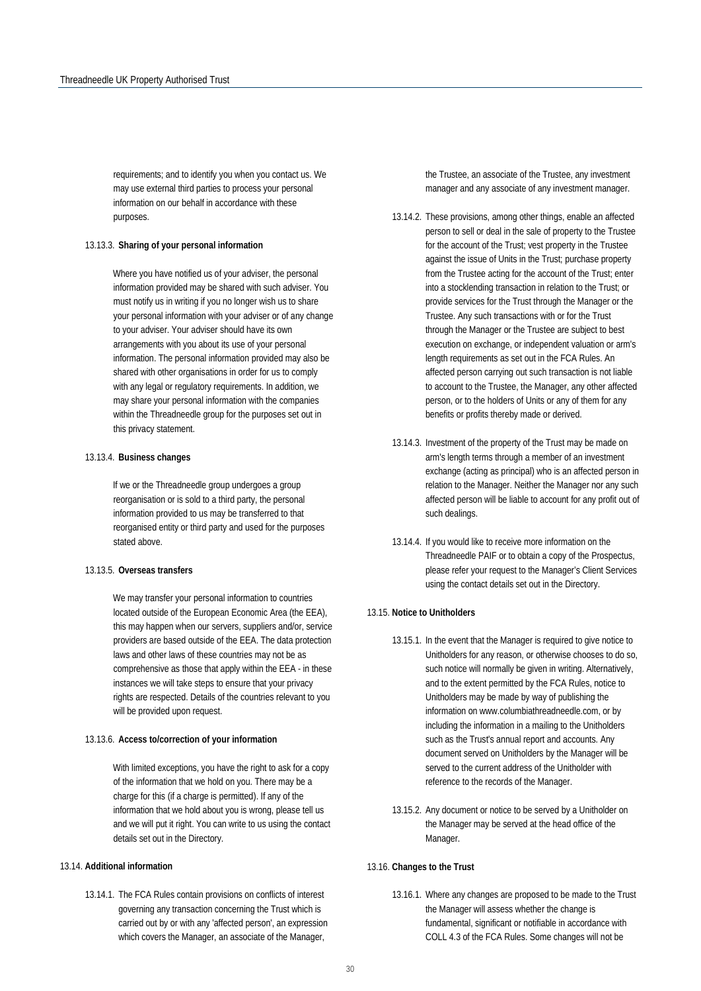requirements; and to identify you when you contact us. We may use external third parties to process your personal information on our behalf in accordance with these purposes.

#### 13.13.3. **Sharing of your personal information**

Where you have notified us of your adviser, the personal information provided may be shared with such adviser. You must notify us in writing if you no longer wish us to share your personal information with your adviser or of any change to your adviser. Your adviser should have its own arrangements with you about its use of your personal information. The personal information provided may also be shared with other organisations in order for us to comply with any legal or regulatory requirements. In addition, we may share your personal information with the companies within the Threadneedle group for the purposes set out in this privacy statement.

#### 13.13.4. **Business changes**

If we or the Threadneedle group undergoes a group reorganisation or is sold to a third party, the personal information provided to us may be transferred to that reorganised entity or third party and used for the purposes stated above.

#### 13.13.5. **Overseas transfers**

We may transfer your personal information to countries located outside of the European Economic Area (the EEA), this may happen when our servers, suppliers and/or, service providers are based outside of the EEA. The data protection laws and other laws of these countries may not be as comprehensive as those that apply within the EEA - in these instances we will take steps to ensure that your privacy rights are respected. Details of the countries relevant to you will be provided upon request.

#### 13.13.6. **Access to/correction of your information**

With limited exceptions, you have the right to ask for a copy of the information that we hold on you. There may be a charge for this (if a charge is permitted). If any of the information that we hold about you is wrong, please tell us and we will put it right. You can write to us using the contact details set out in the Directory.

#### 13.14. **Additional information**

13.14.1. The FCA Rules contain provisions on conflicts of interest governing any transaction concerning the Trust which is carried out by or with any 'affected person', an expression which covers the Manager, an associate of the Manager,

the Trustee, an associate of the Trustee, any investment manager and any associate of any investment manager.

- 13.14.2. These provisions, among other things, enable an affected person to sell or deal in the sale of property to the Trustee for the account of the Trust; vest property in the Trustee against the issue of Units in the Trust; purchase property from the Trustee acting for the account of the Trust; enter into a stocklending transaction in relation to the Trust; or provide services for the Trust through the Manager or the Trustee. Any such transactions with or for the Trust through the Manager or the Trustee are subject to best execution on exchange, or independent valuation or arm's length requirements as set out in the FCA Rules. An affected person carrying out such transaction is not liable to account to the Trustee, the Manager, any other affected person, or to the holders of Units or any of them for any benefits or profits thereby made or derived.
- 13.14.3. Investment of the property of the Trust may be made on arm's length terms through a member of an investment exchange (acting as principal) who is an affected person in relation to the Manager. Neither the Manager nor any such affected person will be liable to account for any profit out of such dealings.
- 13.14.4. If you would like to receive more information on the Threadneedle PAIF or to obtain a copy of the Prospectus, please refer your request to the Manager's Client Services using the contact details set out in the Directory.

#### 13.15. **Notice to Unitholders**

- 13.15.1. In the event that the Manager is required to give notice to Unitholders for any reason, or otherwise chooses to do so, such notice will normally be given in writing. Alternatively, and to the extent permitted by the FCA Rules, notice to Unitholders may be made by way of publishing the information on www.columbiathreadneedle.com, or by including the information in a mailing to the Unitholders such as the Trust's annual report and accounts. Any document served on Unitholders by the Manager will be served to the current address of the Unitholder with reference to the records of the Manager.
- 13.15.2. Any document or notice to be served by a Unitholder on the Manager may be served at the head office of the Manager.

#### 13.16. **Changes to the Trust**

13.16.1. Where any changes are proposed to be made to the Trust the Manager will assess whether the change is fundamental, significant or notifiable in accordance with COLL 4.3 of the FCA Rules. Some changes will not be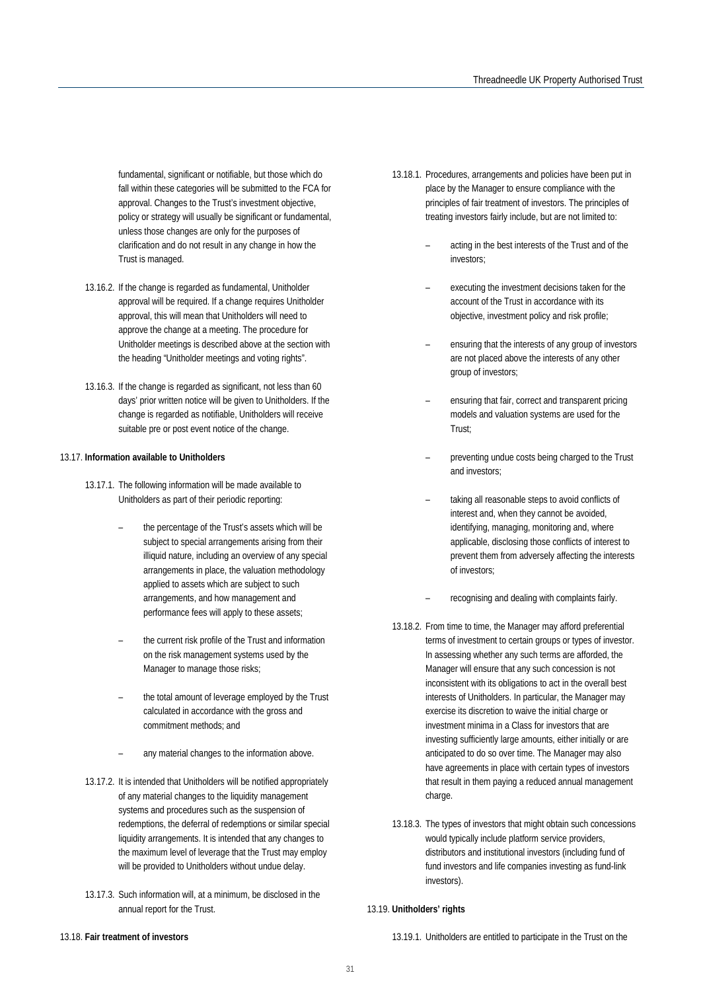fundamental, significant or notifiable, but those which do fall within these categories will be submitted to the FCA for approval. Changes to the Trust's investment objective, policy or strategy will usually be significant or fundamental, unless those changes are only for the purposes of clarification and do not result in any change in how the Trust is managed.

- 13.16.2. If the change is regarded as fundamental, Unitholder approval will be required. If a change requires Unitholder approval, this will mean that Unitholders will need to approve the change at a meeting. The procedure for Unitholder meetings is described above at the section with the heading "Unitholder meetings and voting rights".
- 13.16.3. If the change is regarded as significant, not less than 60 days' prior written notice will be given to Unitholders. If the change is regarded as notifiable, Unitholders will receive suitable pre or post event notice of the change.

#### 13.17. **Information available to Unitholders**

- 13.17.1. The following information will be made available to Unitholders as part of their periodic reporting:
	- the percentage of the Trust's assets which will be subject to special arrangements arising from their illiquid nature, including an overview of any special arrangements in place, the valuation methodology applied to assets which are subject to such arrangements, and how management and performance fees will apply to these assets;
	- the current risk profile of the Trust and information on the risk management systems used by the Manager to manage those risks;
	- the total amount of leverage employed by the Trust calculated in accordance with the gross and commitment methods; and
	- any material changes to the information above.
- 13.17.2. It is intended that Unitholders will be notified appropriately of any material changes to the liquidity management systems and procedures such as the suspension of redemptions, the deferral of redemptions or similar special liquidity arrangements. It is intended that any changes to the maximum level of leverage that the Trust may employ will be provided to Unitholders without undue delay.
- 13.17.3. Such information will, at a minimum, be disclosed in the annual report for the Trust.
- 13.18.1. Procedures, arrangements and policies have been put in place by the Manager to ensure compliance with the principles of fair treatment of investors. The principles of treating investors fairly include, but are not limited to:
	- acting in the best interests of the Trust and of the investors;
	- executing the investment decisions taken for the account of the Trust in accordance with its objective, investment policy and risk profile;
	- ensuring that the interests of any group of investors are not placed above the interests of any other group of investors;
	- ensuring that fair, correct and transparent pricing models and valuation systems are used for the Trust;
	- preventing undue costs being charged to the Trust and investors;
	- taking all reasonable steps to avoid conflicts of interest and, when they cannot be avoided, identifying, managing, monitoring and, where applicable, disclosing those conflicts of interest to prevent them from adversely affecting the interests of investors;
	- recognising and dealing with complaints fairly.
- 13.18.2. From time to time, the Manager may afford preferential terms of investment to certain groups or types of investor. In assessing whether any such terms are afforded, the Manager will ensure that any such concession is not inconsistent with its obligations to act in the overall best interests of Unitholders. In particular, the Manager may exercise its discretion to waive the initial charge or investment minima in a Class for investors that are investing sufficiently large amounts, either initially or are anticipated to do so over time. The Manager may also have agreements in place with certain types of investors that result in them paying a reduced annual management charge.
- 13.18.3. The types of investors that might obtain such concessions would typically include platform service providers, distributors and institutional investors (including fund of fund investors and life companies investing as fund-link investors).

#### 13.19. **Unitholders' rights**

#### 13.18. **Fair treatment of investors**

13.19.1. Unitholders are entitled to participate in the Trust on the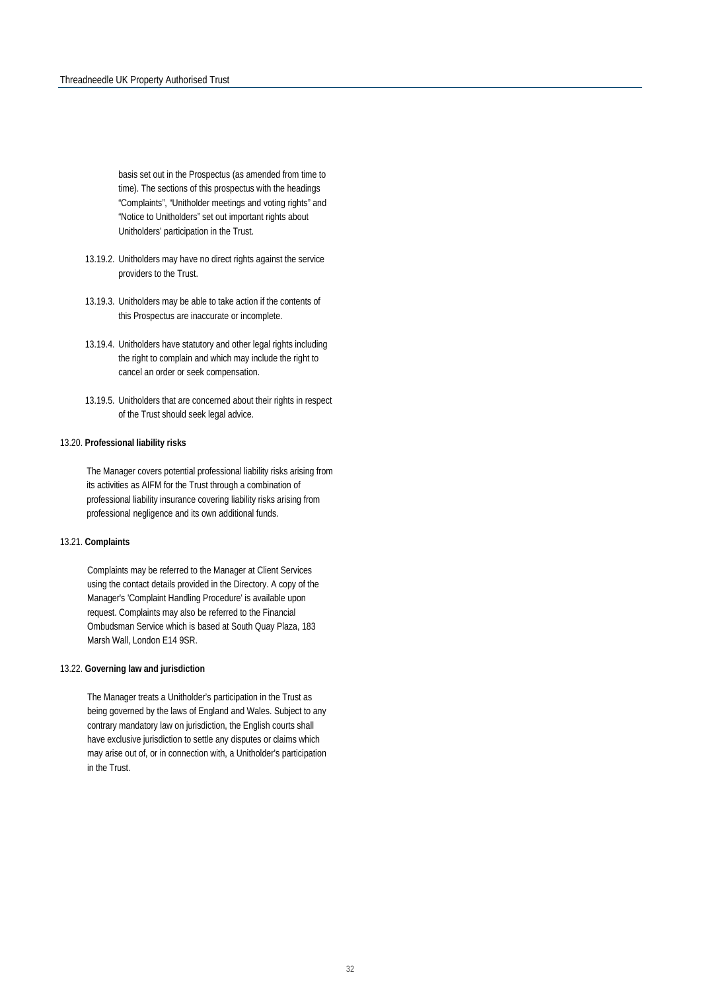basis set out in the Prospectus (as amended from time to time). The sections of this prospectus with the headings "Complaints", "Unitholder meetings and voting rights" and "Notice to Unitholders" set out important rights about Unitholders' participation in the Trust.

- 13.19.2. Unitholders may have no direct rights against the service providers to the Trust.
- 13.19.3. Unitholders may be able to take action if the contents of this Prospectus are inaccurate or incomplete.
- 13.19.4. Unitholders have statutory and other legal rights including the right to complain and which may include the right to cancel an order or seek compensation.
- 13.19.5. Unitholders that are concerned about their rights in respect of the Trust should seek legal advice.

#### 13.20. **Professional liability risks**

The Manager covers potential professional liability risks arising from its activities as AIFM for the Trust through a combination of professional liability insurance covering liability risks arising from professional negligence and its own additional funds.

#### 13.21. **Complaints**

Complaints may be referred to the Manager at Client Services using the contact details provided in the Directory. A copy of the Manager's 'Complaint Handling Procedure' is available upon request. Complaints may also be referred to the Financial Ombudsman Service which is based at South Quay Plaza, 183 Marsh Wall, London E14 9SR.

#### 13.22. **Governing law and jurisdiction**

The Manager treats a Unitholder's participation in the Trust as being governed by the laws of England and Wales. Subject to any contrary mandatory law on jurisdiction, the English courts shall have exclusive jurisdiction to settle any disputes or claims which may arise out of, or in connection with, a Unitholder's participation in the Trust.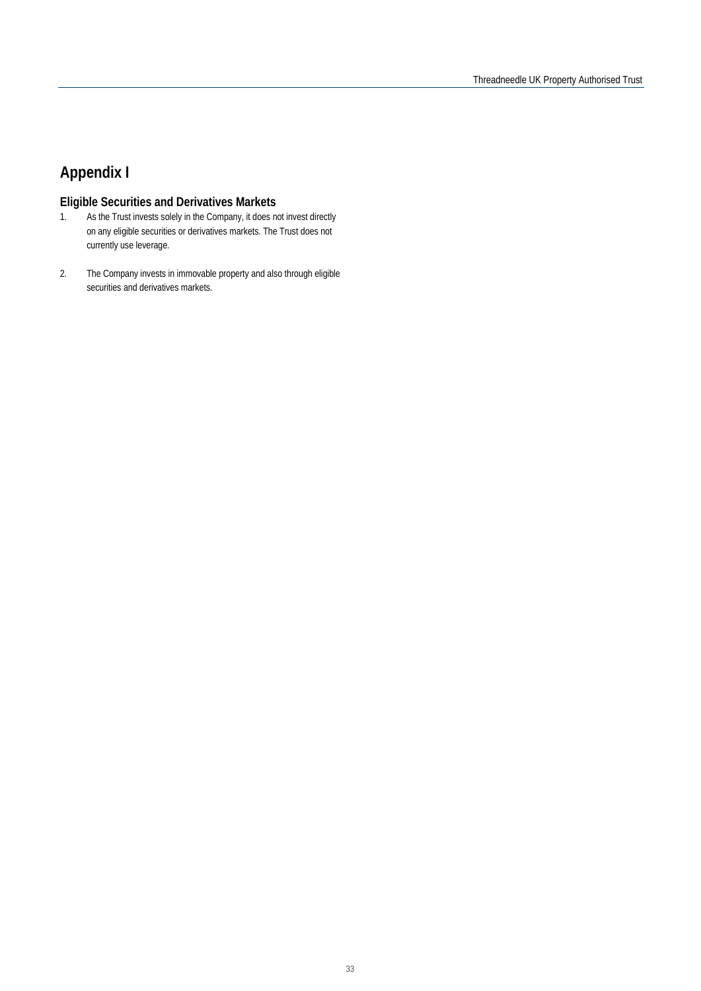## **Appendix I**

# **Eligible Securities and Derivatives Markets**<br>1. As the Trust invests solely in the Company, it does n

- As the Trust invests solely in the Company, it does not invest directly on any eligible securities or derivatives markets. The Trust does not currently use leverage.
- 2. The Company invests in immovable property and also through eligible securities and derivatives markets.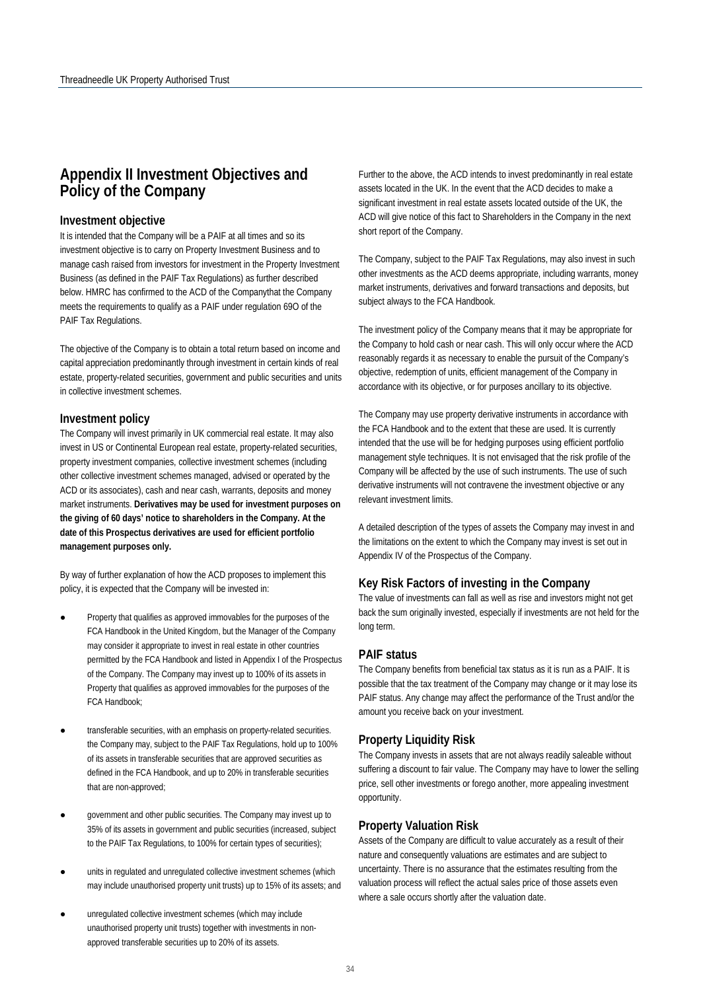## **Appendix II Investment Objectives and Policy of the Company**

#### **Investment objective**

It is intended that the Company will be a PAIF at all times and so its investment objective is to carry on Property Investment Business and to manage cash raised from investors for investment in the Property Investment Business (as defined in the PAIF Tax Regulations) as further described below. HMRC has confirmed to the ACD of the Companythat the Company meets the requirements to qualify as a PAIF under regulation 69O of the PAIF Tax Regulations.

The objective of the Company is to obtain a total return based on income and capital appreciation predominantly through investment in certain kinds of real estate, property-related securities, government and public securities and units in collective investment schemes.

#### **Investment policy**

The Company will invest primarily in UK commercial real estate. It may also invest in US or Continental European real estate, property-related securities, property investment companies, collective investment schemes (including other collective investment schemes managed, advised or operated by the ACD or its associates), cash and near cash, warrants, deposits and money market instruments. **Derivatives may be used for investment purposes on the giving of 60 days' notice to shareholders in the Company. At the date of this Prospectus derivatives are used for efficient portfolio management purposes only.**

By way of further explanation of how the ACD proposes to implement this policy, it is expected that the Company will be invested in:

- Property that qualifies as approved immovables for the purposes of the FCA Handbook in the United Kingdom, but the Manager of the Company may consider it appropriate to invest in real estate in other countries permitted by the FCA Handbook and listed in Appendix I of the Prospectus of the Company. The Company may invest up to 100% of its assets in Property that qualifies as approved immovables for the purposes of the FCA Handbook;
- transferable securities, with an emphasis on property-related securities. the Company may, subject to the PAIF Tax Regulations, hold up to 100% of its assets in transferable securities that are approved securities as defined in the FCA Handbook, and up to 20% in transferable securities that are non-approved;
- government and other public securities. The Company may invest up to 35% of its assets in government and public securities (increased, subject to the PAIF Tax Regulations, to 100% for certain types of securities);
- units in regulated and unregulated collective investment schemes (which may include unauthorised property unit trusts) up to 15% of its assets; and
- unregulated collective investment schemes (which may include unauthorised property unit trusts) together with investments in nonapproved transferable securities up to 20% of its assets.

Further to the above, the ACD intends to invest predominantly in real estate assets located in the UK. In the event that the ACD decides to make a significant investment in real estate assets located outside of the UK, the ACD will give notice of this fact to Shareholders in the Company in the next short report of the Company.

The Company, subject to the PAIF Tax Regulations, may also invest in such other investments as the ACD deems appropriate, including warrants, money market instruments, derivatives and forward transactions and deposits, but subject always to the FCA Handbook.

The investment policy of the Company means that it may be appropriate for the Company to hold cash or near cash. This will only occur where the ACD reasonably regards it as necessary to enable the pursuit of the Company's objective, redemption of units, efficient management of the Company in accordance with its objective, or for purposes ancillary to its objective.

The Company may use property derivative instruments in accordance with the FCA Handbook and to the extent that these are used. It is currently intended that the use will be for hedging purposes using efficient portfolio management style techniques. It is not envisaged that the risk profile of the Company will be affected by the use of such instruments. The use of such derivative instruments will not contravene the investment objective or any relevant investment limits.

A detailed description of the types of assets the Company may invest in and the limitations on the extent to which the Company may invest is set out in Appendix IV of the Prospectus of the Company.

#### **Key Risk Factors of investing in the Company**

The value of investments can fall as well as rise and investors might not get back the sum originally invested, especially if investments are not held for the long term.

#### **PAIF status**

The Company benefits from beneficial tax status as it is run as a PAIF. It is possible that the tax treatment of the Company may change or it may lose its PAIF status. Any change may affect the performance of the Trust and/or the amount you receive back on your investment.

#### **Property Liquidity Risk**

The Company invests in assets that are not always readily saleable without suffering a discount to fair value. The Company may have to lower the selling price, sell other investments or forego another, more appealing investment opportunity.

#### **Property Valuation Risk**

Assets of the Company are difficult to value accurately as a result of their nature and consequently valuations are estimates and are subject to uncertainty. There is no assurance that the estimates resulting from the valuation process will reflect the actual sales price of those assets even where a sale occurs shortly after the valuation date.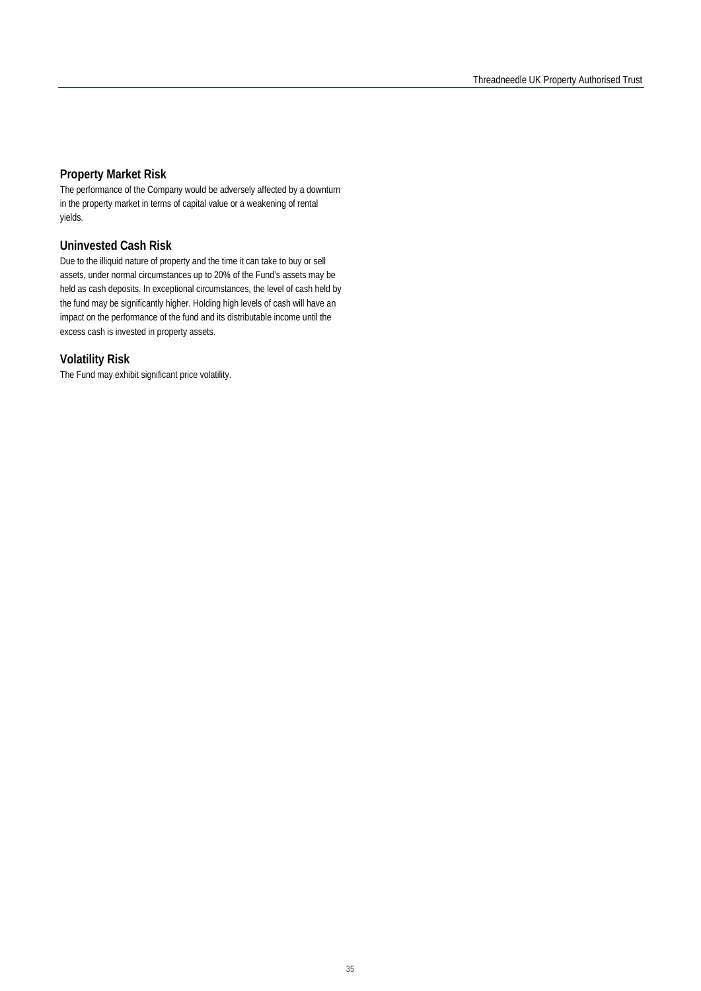#### **Property Market Risk**

The performance of the Company would be adversely affected by a downturn in the property market in terms of capital value or a weakening of rental yields.

#### **Uninvested Cash Risk**

Due to the illiquid nature of property and the time it can take to buy or sell assets, under normal circumstances up to 20% of the Fund's assets may be held as cash deposits. In exceptional circumstances, the level of cash held by the fund may be significantly higher. Holding high levels of cash will have an impact on the performance of the fund and its distributable income until the excess cash is invested in property assets.

#### **Volatility Risk**

The Fund may exhibit significant price volatility.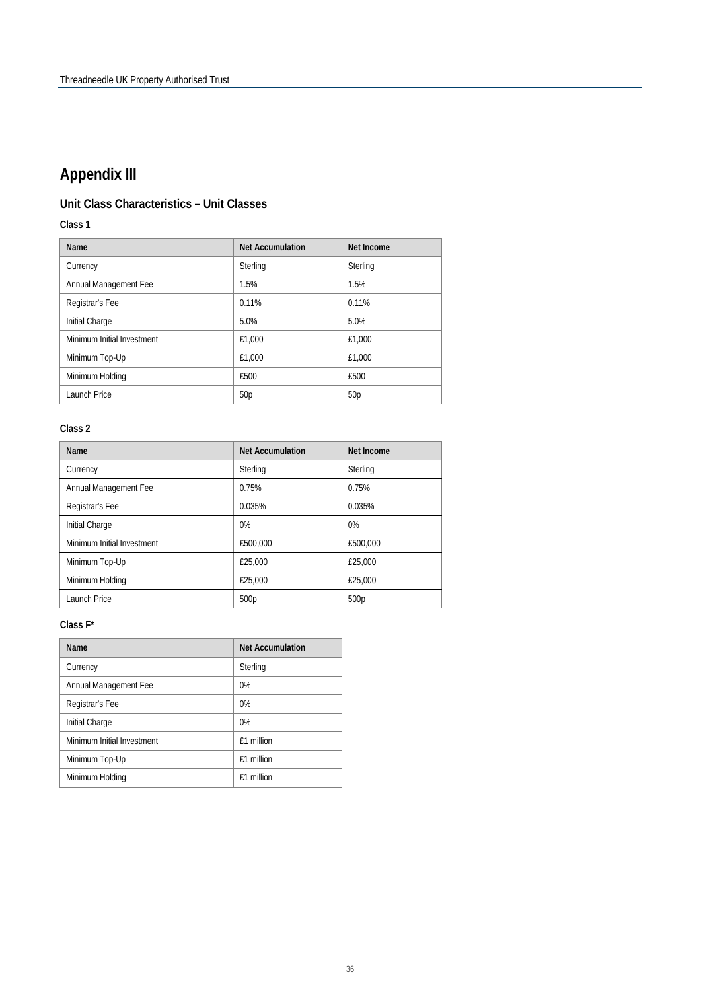## **Appendix III**

## **Unit Class Characteristics – Unit Classes**

**Class 1**

| <b>Name</b>                | <b>Net Accumulation</b> | Net Income      |
|----------------------------|-------------------------|-----------------|
| Currency                   | Sterling                | Sterling        |
| Annual Management Fee      | 1.5%                    | 1.5%            |
| Registrar's Fee            | 0.11%                   | 0.11%           |
| Initial Charge             | 5.0%                    | 5.0%            |
| Minimum Initial Investment | £1.000                  | £1,000          |
| Minimum Top-Up             | £1.000                  | £1,000          |
| Minimum Holding            | £500                    | £500            |
| Launch Price               | 50 <sub>p</sub>         | 50 <sub>p</sub> |

#### **Class 2**

| <b>Name</b>                | <b>Net Accumulation</b> | <b>Net Income</b> |
|----------------------------|-------------------------|-------------------|
| Currency                   | Sterling                | Sterling          |
| Annual Management Fee      | 0.75%                   | 0.75%             |
| Registrar's Fee            | 0.035%                  | 0.035%            |
| Initial Charge             | 0%                      | 0%                |
| Minimum Initial Investment | £500,000                | £500.000          |
| Minimum Top-Up             | £25,000                 | £25,000           |
| Minimum Holding            | £25,000                 | £25,000           |
| Launch Price               | 500p                    | 500 <sub>p</sub>  |

#### **Class F\***

| Name                       | <b>Net Accumulation</b> |  |
|----------------------------|-------------------------|--|
| Currency                   | Sterling                |  |
| Annual Management Fee      | 0%                      |  |
| Registrar's Fee            | $0\%$                   |  |
| Initial Charge             | $0\%$                   |  |
| Minimum Initial Investment | f1 million              |  |
| Minimum Top-Up             | f1 million              |  |
| Minimum Holding            | f1 million              |  |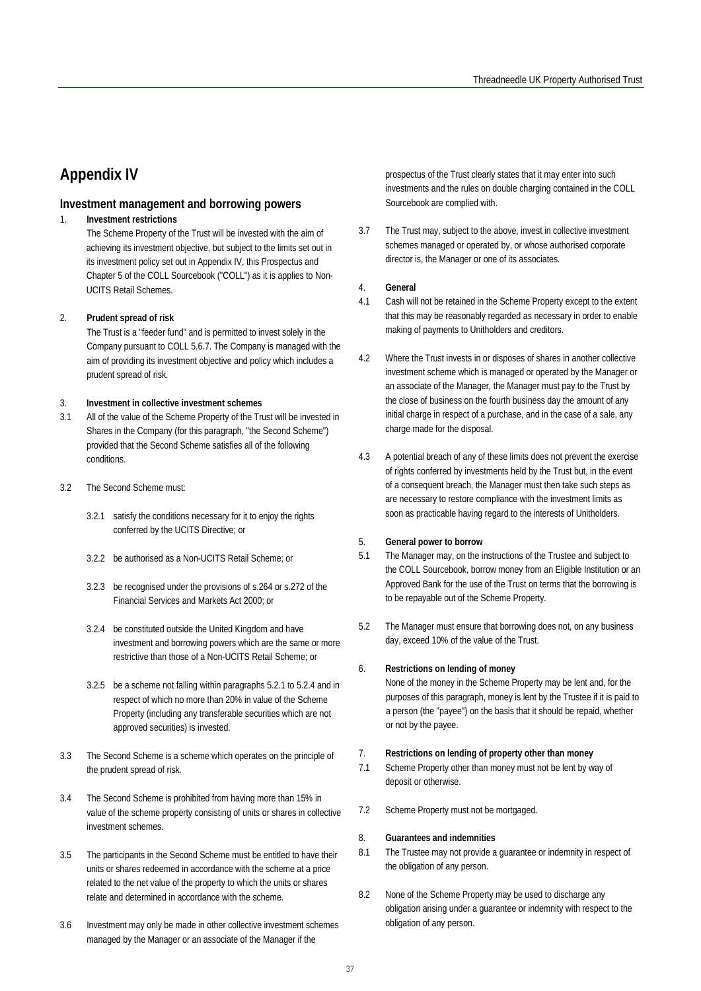## **Appendix IV**

#### **Investment management and borrowing powers**

#### 1. **Investment restrictions**

The Scheme Property of the Trust will be invested with the aim of achieving its investment objective, but subject to the limits set out in its investment policy set out in Appendix IV, this Prospectus and Chapter 5 of the COLL Sourcebook ("COLL") as it is applies to Non-UCITS Retail Schemes.

#### 2. **Prudent spread of risk**

The Trust is a "feeder fund" and is permitted to invest solely in the Company pursuant to COLL 5.6.7. The Company is managed with the aim of providing its investment objective and policy which includes a prudent spread of risk.

#### 3. **Investment in collective investment schemes**

- 3.1 All of the value of the Scheme Property of the Trust will be invested in Shares in the Company (for this paragraph, "the Second Scheme") provided that the Second Scheme satisfies all of the following conditions.
- 3.2 The Second Scheme must:
	- 3.2.1 satisfy the conditions necessary for it to enjoy the rights conferred by the UCITS Directive; or
	- 3.2.2 be authorised as a Non-UCITS Retail Scheme; or
	- 3.2.3 be recognised under the provisions of s.264 or s.272 of the Financial Services and Markets Act 2000; or
	- 3.2.4 be constituted outside the United Kingdom and have investment and borrowing powers which are the same or more restrictive than those of a Non-UCITS Retail Scheme; or
	- 3.2.5 be a scheme not falling within paragraphs 5.2.1 to 5.2.4 and in respect of which no more than 20% in value of the Scheme Property (including any transferable securities which are not approved securities) is invested.
- 3.3 The Second Scheme is a scheme which operates on the principle of the prudent spread of risk.
- 3.4 The Second Scheme is prohibited from having more than 15% in value of the scheme property consisting of units or shares in collective investment schemes.
- 3.5 The participants in the Second Scheme must be entitled to have their units or shares redeemed in accordance with the scheme at a price related to the net value of the property to which the units or shares relate and determined in accordance with the scheme.
- 3.6 Investment may only be made in other collective investment schemes managed by the Manager or an associate of the Manager if the

prospectus of the Trust clearly states that it may enter into such investments and the rules on double charging contained in the COLL Sourcebook are complied with.

3.7 The Trust may, subject to the above, invest in collective investment schemes managed or operated by, or whose authorised corporate director is, the Manager or one of its associates.

#### 4. **General**

- 4.1 Cash will not be retained in the Scheme Property except to the extent that this may be reasonably regarded as necessary in order to enable making of payments to Unitholders and creditors.
- 4.2 Where the Trust invests in or disposes of shares in another collective investment scheme which is managed or operated by the Manager or an associate of the Manager, the Manager must pay to the Trust by the close of business on the fourth business day the amount of any initial charge in respect of a purchase, and in the case of a sale, any charge made for the disposal.
- 4.3 A potential breach of any of these limits does not prevent the exercise of rights conferred by investments held by the Trust but, in the event of a consequent breach, the Manager must then take such steps as are necessary to restore compliance with the investment limits as soon as practicable having regard to the interests of Unitholders.

#### 5. **General power to borrow**

- 5.1 The Manager may, on the instructions of the Trustee and subject to the COLL Sourcebook, borrow money from an Eligible Institution or an Approved Bank for the use of the Trust on terms that the borrowing is to be repayable out of the Scheme Property.
- 5.2 The Manager must ensure that borrowing does not, on any business day, exceed 10% of the value of the Trust.

#### 6. **Restrictions on lending of money**

None of the money in the Scheme Property may be lent and, for the purposes of this paragraph, money is lent by the Trustee if it is paid to a person (the "payee") on the basis that it should be repaid, whether or not by the payee.

#### 7. **Restrictions on lending of property other than money**

- 7.1 Scheme Property other than money must not be lent by way of deposit or otherwise.
- 7.2 Scheme Property must not be mortgaged.

#### 8. **Guarantees and indemnities**

- 8.1 The Trustee may not provide a guarantee or indemnity in respect of the obligation of any person.
- 8.2 None of the Scheme Property may be used to discharge any obligation arising under a guarantee or indemnity with respect to the obligation of any person.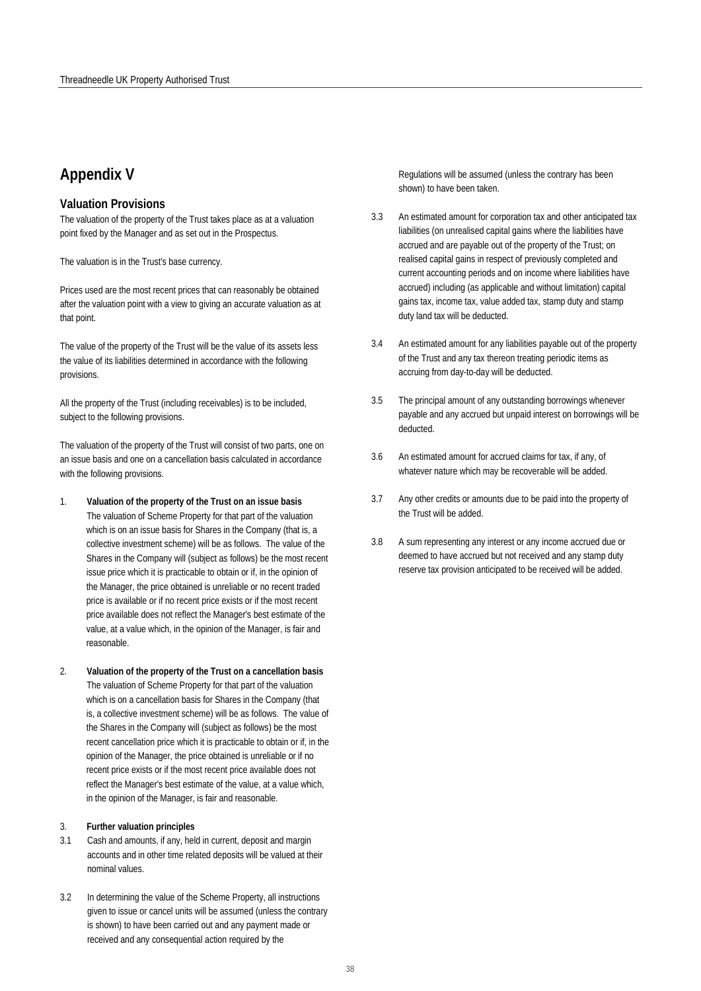## **Appendix V**

#### **Valuation Provisions**

The valuation of the property of the Trust takes place as at a valuation point fixed by the Manager and as set out in the Prospectus.

The valuation is in the Trust's base currency.

Prices used are the most recent prices that can reasonably be obtained after the valuation point with a view to giving an accurate valuation as at that point.

The value of the property of the Trust will be the value of its assets less the value of its liabilities determined in accordance with the following provisions.

All the property of the Trust (including receivables) is to be included, subject to the following provisions.

The valuation of the property of the Trust will consist of two parts, one on an issue basis and one on a cancellation basis calculated in accordance with the following provisions.

- 1. **Valuation of the property of the Trust on an issue basis**  The valuation of Scheme Property for that part of the valuation which is on an issue basis for Shares in the Company (that is, a collective investment scheme) will be as follows. The value of the Shares in the Company will (subject as follows) be the most recent issue price which it is practicable to obtain or if, in the opinion of the Manager, the price obtained is unreliable or no recent traded price is available or if no recent price exists or if the most recent price available does not reflect the Manager's best estimate of the value, at a value which, in the opinion of the Manager, is fair and reasonable.
- 2. **Valuation of the property of the Trust on a cancellation basis** The valuation of Scheme Property for that part of the valuation which is on a cancellation basis for Shares in the Company (that is, a collective investment scheme) will be as follows. The value of the Shares in the Company will (subject as follows) be the most recent cancellation price which it is practicable to obtain or if, in the opinion of the Manager, the price obtained is unreliable or if no recent price exists or if the most recent price available does not reflect the Manager's best estimate of the value, at a value which, in the opinion of the Manager, is fair and reasonable.

#### 3. **Further valuation principles**

- 3.1 Cash and amounts, if any, held in current, deposit and margin accounts and in other time related deposits will be valued at their nominal values.
- 3.2 In determining the value of the Scheme Property, all instructions given to issue or cancel units will be assumed (unless the contrary is shown) to have been carried out and any payment made or received and any consequential action required by the

Regulations will be assumed (unless the contrary has been shown) to have been taken.

- 3.3 An estimated amount for corporation tax and other anticipated tax liabilities (on unrealised capital gains where the liabilities have accrued and are payable out of the property of the Trust; on realised capital gains in respect of previously completed and current accounting periods and on income where liabilities have accrued) including (as applicable and without limitation) capital gains tax, income tax, value added tax, stamp duty and stamp duty land tax will be deducted.
- 3.4 An estimated amount for any liabilities payable out of the property of the Trust and any tax thereon treating periodic items as accruing from day-to-day will be deducted.
- 3.5 The principal amount of any outstanding borrowings whenever payable and any accrued but unpaid interest on borrowings will be deducted.
- 3.6 An estimated amount for accrued claims for tax, if any, of whatever nature which may be recoverable will be added.
- 3.7 Any other credits or amounts due to be paid into the property of the Trust will be added.
- 3.8 A sum representing any interest or any income accrued due or deemed to have accrued but not received and any stamp duty reserve tax provision anticipated to be received will be added.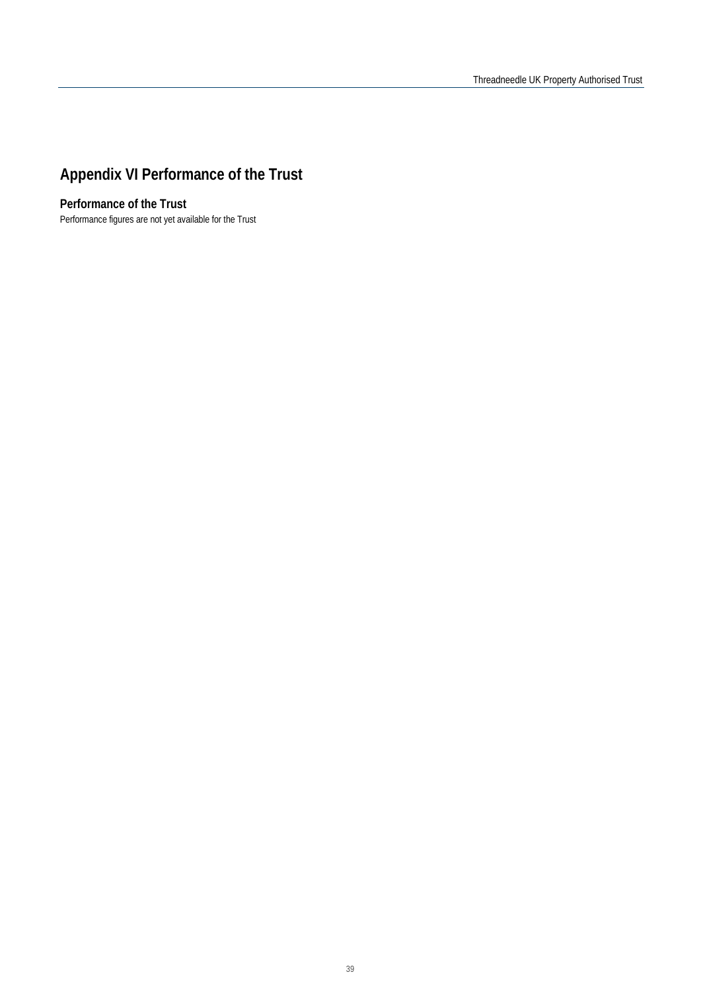## **Appendix VI Performance of the Trust**

## **Performance of the Trust**

Performance figures are not yet available for the Trust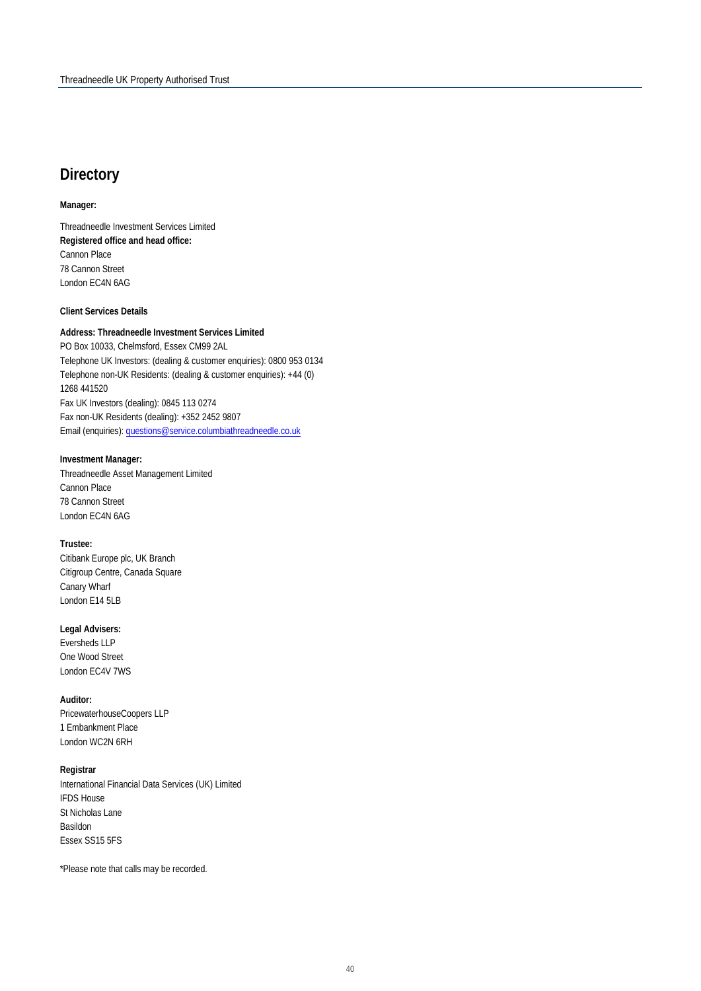## **Directory**

#### **Manager:**

Threadneedle Investment Services Limited **Registered office and head office:** Cannon Place 78 Cannon Street London EC4N 6AG

#### **Client Services Details**

#### **Address: Threadneedle Investment Services Limited**

PO Box 10033, Chelmsford, Essex CM99 2AL Telephone UK Investors: (dealing & customer enquiries): 0800 953 0134 Telephone non-UK Residents: (dealing & customer enquiries): +44 (0) 1268 441520 Fax UK Investors (dealing): 0845 113 0274 Fax non-UK Residents (dealing): +352 2452 9807 Email (enquiries)[: questions@service.columbiathreadneedle.co.uk](mailto:questions@service.columbiathreadneedle.co.uk)

#### **Investment Manager:**

Threadneedle Asset Management Limited Cannon Place 78 Cannon Street London EC4N 6AG

#### **Trustee:**

Citibank Europe plc, UK Branch Citigroup Centre, Canada Square Canary Wharf London E14 5LB

#### **Legal Advisers:**

Eversheds LLP One Wood Street London EC4V 7WS

#### **Auditor:**

PricewaterhouseCoopers LLP 1 Embankment Place London WC2N 6RH

#### **Registrar**

International Financial Data Services (UK) Limited IFDS House St Nicholas Lane Basildon Essex SS15 5FS

\*Please note that calls may be recorded.